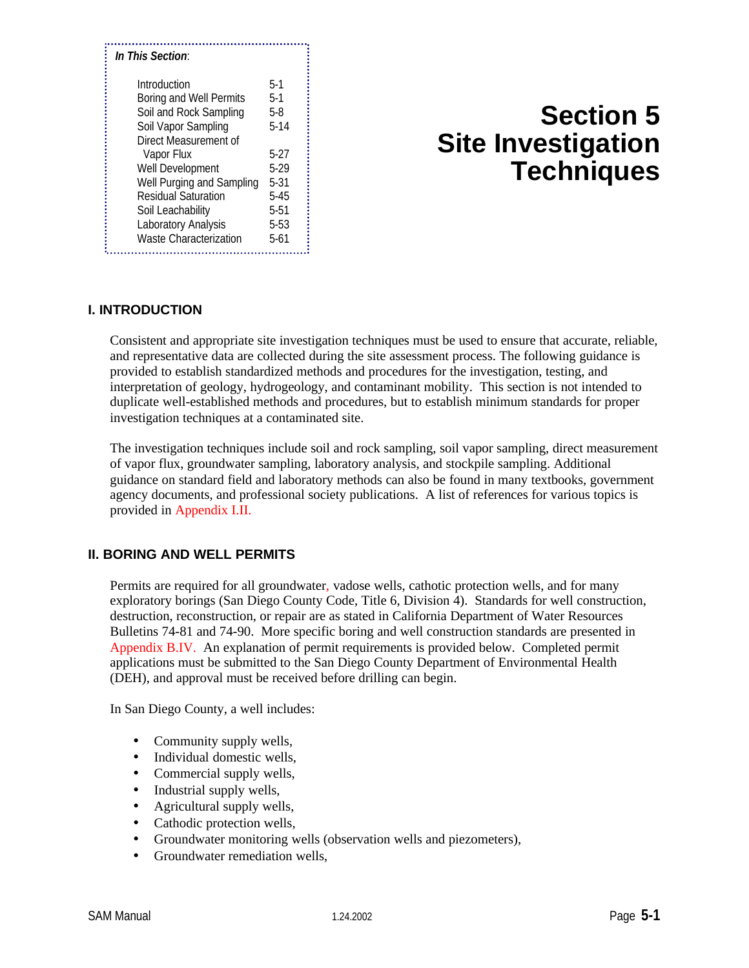| In This Section:                                                                                                                                                                                                                                                                            |                                                                                                             |
|---------------------------------------------------------------------------------------------------------------------------------------------------------------------------------------------------------------------------------------------------------------------------------------------|-------------------------------------------------------------------------------------------------------------|
| Introduction<br>Boring and Well Permits<br>Soil and Rock Sampling<br>Soil Vapor Sampling<br>Direct Measurement of<br>Vapor Flux<br>Well Development<br>Well Purging and Sampling<br><b>Residual Saturation</b><br>Soil Leachability<br>Laboratory Analysis<br><b>Waste Characterization</b> | $5-1$<br>$5-1$<br>5-8<br>$5 - 14$<br>5-27<br>5-29<br>$5 - 31$<br>$5 - 45$<br>$5 - 51$<br>$5 - 53$<br>$5-61$ |

# **Section 5 Site Investigation Techniques**

# **I. INTRODUCTION**

Consistent and appropriate site investigation techniques must be used to ensure that accurate, reliable, and representative data are collected during the site assessment process. The following guidance is provided to establish standardized methods and procedures for the investigation, testing, and interpretation of geology, hydrogeology, and contaminant mobility. This section is not intended to duplicate well-established methods and procedures, but to establish minimum standards for proper investigation techniques at a contaminated site.

The investigation techniques include soil and rock sampling, soil vapor sampling, direct measurement of vapor flux, groundwater sampling, laboratory analysis, and stockpile sampling. Additional guidance on standard field and laboratory methods can also be found in many textbooks, government agency documents, and professional society publications. A list of references for various topics is provided in Appendix I.II.

# **II. BORING AND WELL PERMITS**

Permits are required for all groundwater, vadose wells, cathotic protection wells, and for many exploratory borings (San Diego County Code, Title 6, Division 4). Standards for well construction, destruction, reconstruction, or repair are as stated in California Department of Water Resources Bulletins 74-81 and 74-90. More specific boring and well construction standards are presented in Appendix B.IV. An explanation of permit requirements is provided below. Completed permit applications must be submitted to the San Diego County Department of Environmental Health (DEH), and approval must be received before drilling can begin.

In San Diego County, a well includes:

- Community supply wells,
- Individual domestic wells,
- Commercial supply wells,
- Industrial supply wells,
- Agricultural supply wells,
- Cathodic protection wells,
- Groundwater monitoring wells (observation wells and piezometers),
- Groundwater remediation wells,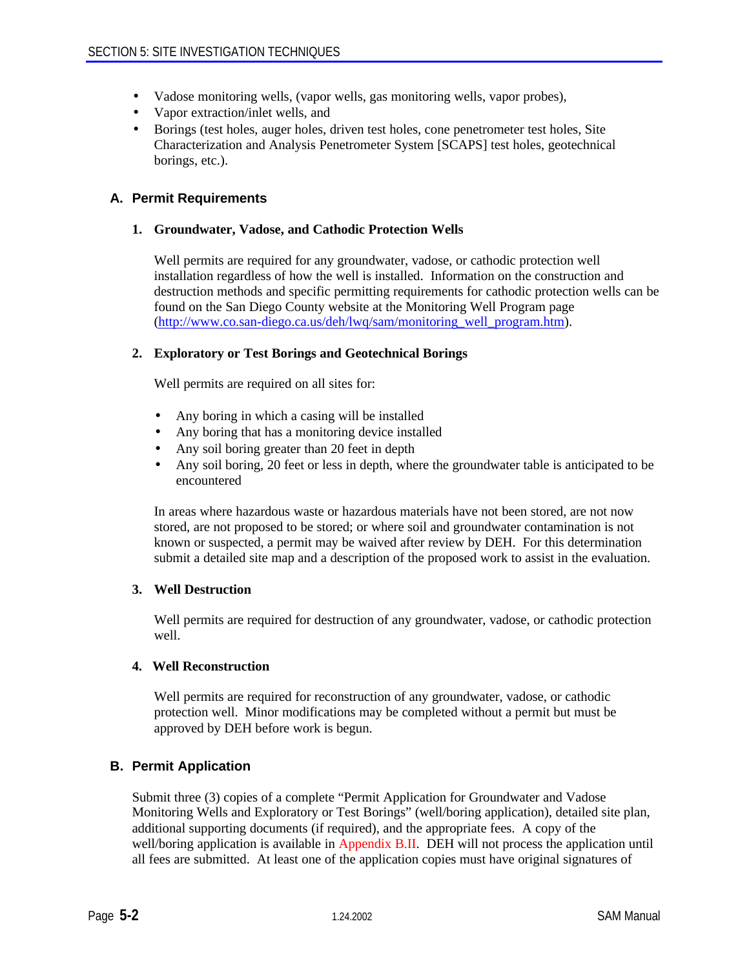- Vadose monitoring wells, (vapor wells, gas monitoring wells, vapor probes),
- Vapor extraction/inlet wells, and
- Borings (test holes, auger holes, driven test holes, cone penetrometer test holes, Site Characterization and Analysis Penetrometer System [SCAPS] test holes, geotechnical borings, etc.).

# **A. Permit Requirements**

#### **1. Groundwater, Vadose, and Cathodic Protection Wells**

Well permits are required for any groundwater, vadose, or cathodic protection well installation regardless of how the well is installed. Information on the construction and destruction methods and specific permitting requirements for cathodic protection wells can be found on the San Diego County website at the Monitoring Well Program page (http://www.co.san-diego.ca.us/deh/lwq/sam/monitoring\_well\_program.htm).

#### **2. Exploratory or Test Borings and Geotechnical Borings**

Well permits are required on all sites for:

- Any boring in which a casing will be installed
- Any boring that has a monitoring device installed
- Any soil boring greater than 20 feet in depth
- Any soil boring, 20 feet or less in depth, where the groundwater table is anticipated to be encountered

In areas where hazardous waste or hazardous materials have not been stored, are not now stored, are not proposed to be stored; or where soil and groundwater contamination is not known or suspected, a permit may be waived after review by DEH. For this determination submit a detailed site map and a description of the proposed work to assist in the evaluation.

#### **3. Well Destruction**

Well permits are required for destruction of any groundwater, vadose, or cathodic protection well.

#### **4. Well Reconstruction**

Well permits are required for reconstruction of any groundwater, vadose, or cathodic protection well. Minor modifications may be completed without a permit but must be approved by DEH before work is begun.

# **B. Permit Application**

Submit three (3) copies of a complete "Permit Application for Groundwater and Vadose Monitoring Wells and Exploratory or Test Borings" (well/boring application), detailed site plan, additional supporting documents (if required), and the appropriate fees. A copy of the well/boring application is available in Appendix B.II. DEH will not process the application until all fees are submitted. At least one of the application copies must have original signatures of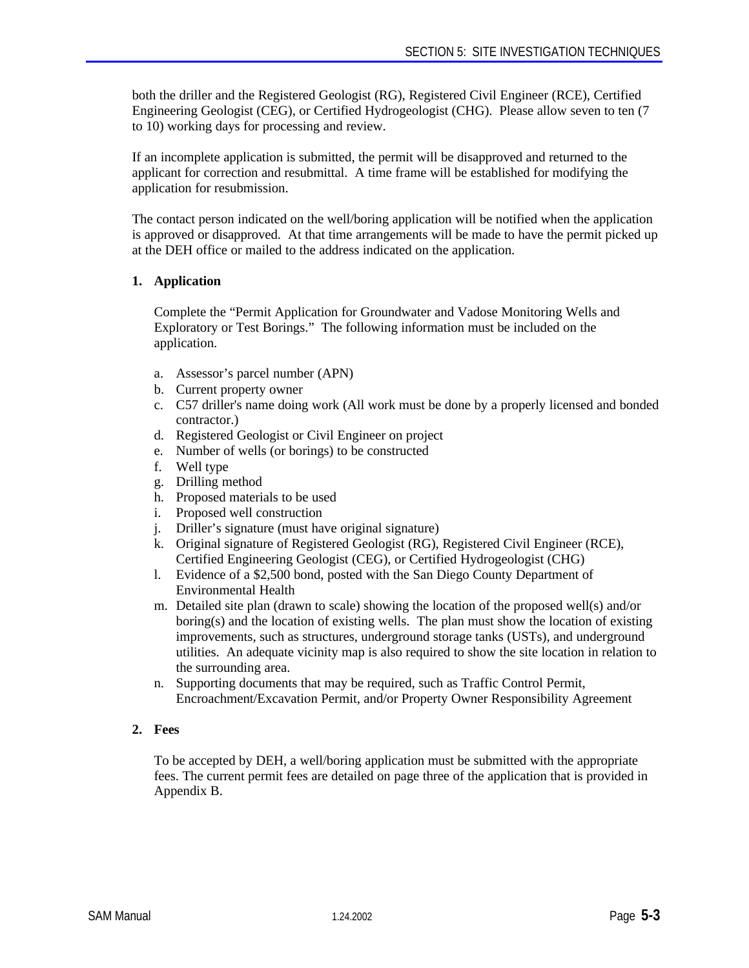both the driller and the Registered Geologist (RG), Registered Civil Engineer (RCE), Certified Engineering Geologist (CEG), or Certified Hydrogeologist (CHG). Please allow seven to ten (7 to 10) working days for processing and review.

If an incomplete application is submitted, the permit will be disapproved and returned to the applicant for correction and resubmittal. A time frame will be established for modifying the application for resubmission.

The contact person indicated on the well/boring application will be notified when the application is approved or disapproved. At that time arrangements will be made to have the permit picked up at the DEH office or mailed to the address indicated on the application.

# **1. Application**

Complete the "Permit Application for Groundwater and Vadose Monitoring Wells and Exploratory or Test Borings." The following information must be included on the application.

- a. Assessor's parcel number (APN)
- b. Current property owner
- c. C57 driller's name doing work (All work must be done by a properly licensed and bonded contractor.)
- d. Registered Geologist or Civil Engineer on project
- e. Number of wells (or borings) to be constructed
- f. Well type
- g. Drilling method
- h. Proposed materials to be used
- i. Proposed well construction
- j. Driller's signature (must have original signature)
- k. Original signature of Registered Geologist (RG), Registered Civil Engineer (RCE), Certified Engineering Geologist (CEG), or Certified Hydrogeologist (CHG)
- l. Evidence of a \$2,500 bond, posted with the San Diego County Department of Environmental Health
- m. Detailed site plan (drawn to scale) showing the location of the proposed well(s) and/or boring(s) and the location of existing wells. The plan must show the location of existing improvements, such as structures, underground storage tanks (USTs), and underground utilities. An adequate vicinity map is also required to show the site location in relation to the surrounding area.
- n. Supporting documents that may be required, such as Traffic Control Permit, Encroachment/Excavation Permit, and/or Property Owner Responsibility Agreement

# **2. Fees**

To be accepted by DEH, a well/boring application must be submitted with the appropriate fees. The current permit fees are detailed on page three of the application that is provided in Appendix B.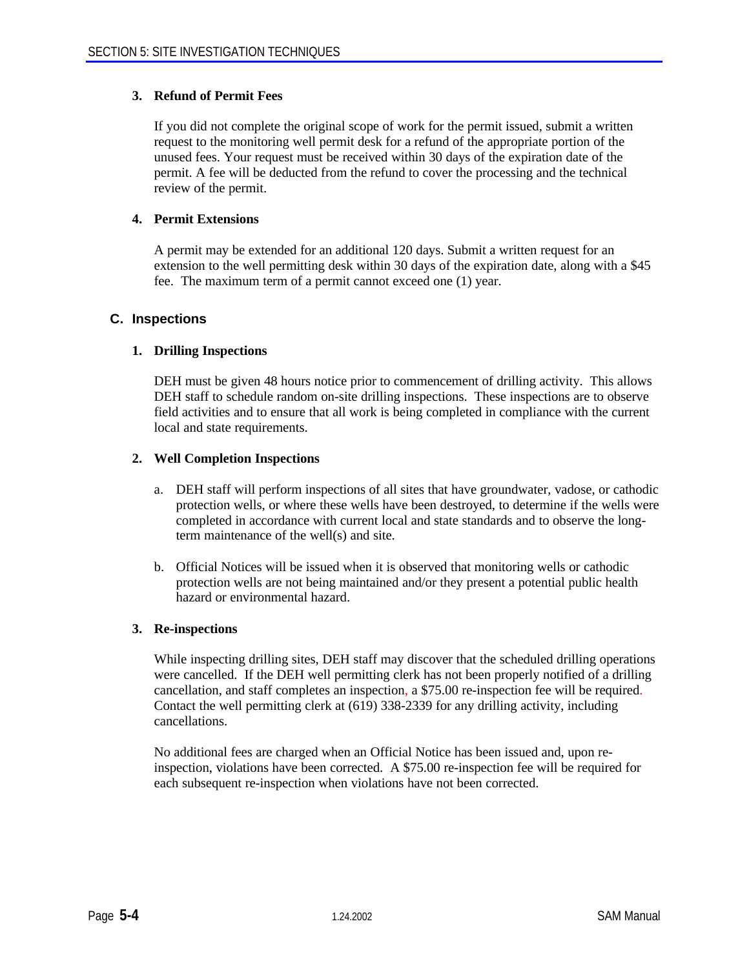#### **3. Refund of Permit Fees**

If you did not complete the original scope of work for the permit issued, submit a written request to the monitoring well permit desk for a refund of the appropriate portion of the unused fees. Your request must be received within 30 days of the expiration date of the permit. A fee will be deducted from the refund to cover the processing and the technical review of the permit.

#### **4. Permit Extensions**

A permit may be extended for an additional 120 days. Submit a written request for an extension to the well permitting desk within 30 days of the expiration date, along with a \$45 fee. The maximum term of a permit cannot exceed one (1) year.

#### **C. Inspections**

#### **1. Drilling Inspections**

DEH must be given 48 hours notice prior to commencement of drilling activity. This allows DEH staff to schedule random on-site drilling inspections. These inspections are to observe field activities and to ensure that all work is being completed in compliance with the current local and state requirements.

#### **2. Well Completion Inspections**

- a. DEH staff will perform inspections of all sites that have groundwater, vadose, or cathodic protection wells, or where these wells have been destroyed, to determine if the wells were completed in accordance with current local and state standards and to observe the longterm maintenance of the well(s) and site.
- b. Official Notices will be issued when it is observed that monitoring wells or cathodic protection wells are not being maintained and/or they present a potential public health hazard or environmental hazard.

#### **3. Re-inspections**

While inspecting drilling sites, DEH staff may discover that the scheduled drilling operations were cancelled. If the DEH well permitting clerk has not been properly notified of a drilling cancellation, and staff completes an inspection, a \$75.00 re-inspection fee will be required. Contact the well permitting clerk at (619) 338-2339 for any drilling activity, including cancellations.

No additional fees are charged when an Official Notice has been issued and, upon reinspection, violations have been corrected. A \$75.00 re-inspection fee will be required for each subsequent re-inspection when violations have not been corrected.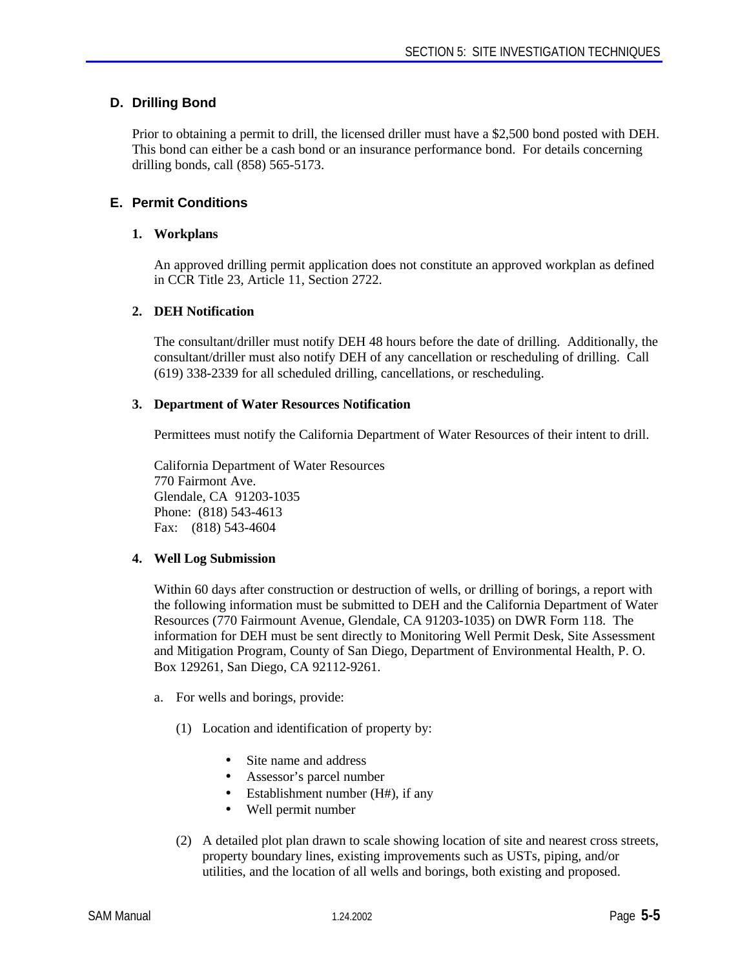# **D. Drilling Bond**

Prior to obtaining a permit to drill, the licensed driller must have a \$2,500 bond posted with DEH. This bond can either be a cash bond or an insurance performance bond. For details concerning drilling bonds, call (858) 565-5173.

# **E. Permit Conditions**

#### **1. Workplans**

An approved drilling permit application does not constitute an approved workplan as defined in CCR Title 23, Article 11, Section 2722.

#### **2. DEH Notification**

The consultant/driller must notify DEH 48 hours before the date of drilling. Additionally, the consultant/driller must also notify DEH of any cancellation or rescheduling of drilling. Call (619) 338-2339 for all scheduled drilling, cancellations, or rescheduling.

#### **3. Department of Water Resources Notification**

Permittees must notify the California Department of Water Resources of their intent to drill.

California Department of Water Resources 770 Fairmont Ave. Glendale, CA 91203-1035 Phone: (818) 543-4613 Fax: (818) 543-4604

# **4. Well Log Submission**

Within 60 days after construction or destruction of wells, or drilling of borings, a report with the following information must be submitted to DEH and the California Department of Water Resources (770 Fairmount Avenue, Glendale, CA 91203-1035) on DWR Form 118. The information for DEH must be sent directly to Monitoring Well Permit Desk, Site Assessment and Mitigation Program, County of San Diego, Department of Environmental Health, P. O. Box 129261, San Diego, CA 92112-9261.

- a. For wells and borings, provide:
	- (1) Location and identification of property by:
		- Site name and address
		- Assessor's parcel number
		- Establishment number  $(H#)$ , if any
		- Well permit number
	- (2) A detailed plot plan drawn to scale showing location of site and nearest cross streets, property boundary lines, existing improvements such as USTs, piping, and/or utilities, and the location of all wells and borings, both existing and proposed.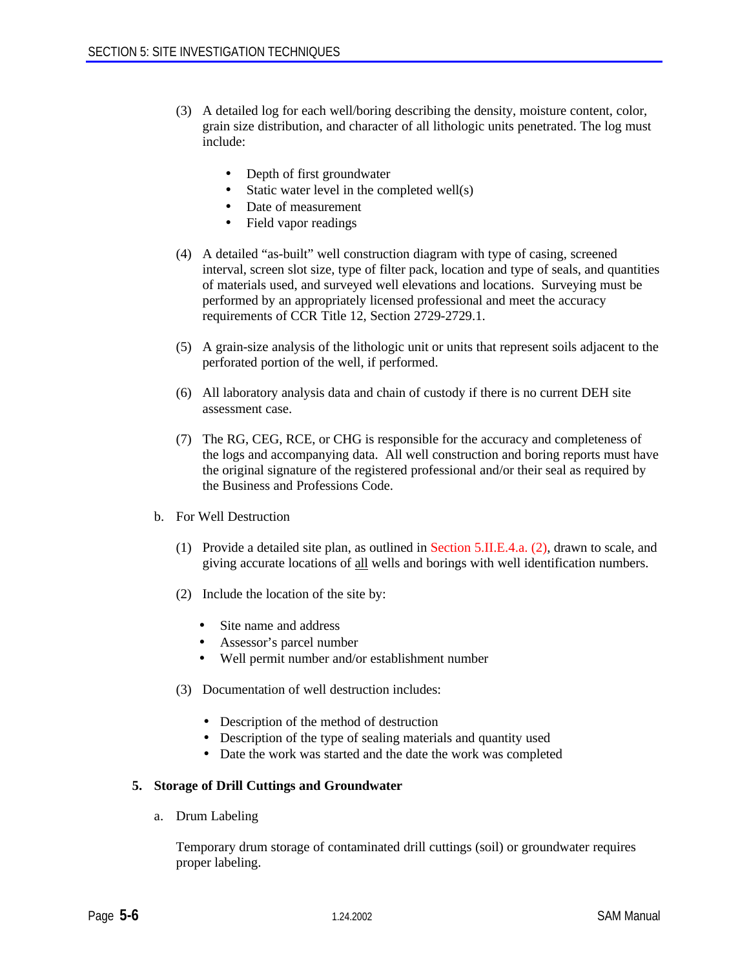- (3) A detailed log for each well/boring describing the density, moisture content, color, grain size distribution, and character of all lithologic units penetrated. The log must include:
	- Depth of first groundwater
	- Static water level in the completed well(s)
	- Date of measurement
	- Field vapor readings
- (4) A detailed "as-built" well construction diagram with type of casing, screened interval, screen slot size, type of filter pack, location and type of seals, and quantities of materials used, and surveyed well elevations and locations. Surveying must be performed by an appropriately licensed professional and meet the accuracy requirements of CCR Title 12, Section 2729-2729.1.
- (5) A grain-size analysis of the lithologic unit or units that represent soils adjacent to the perforated portion of the well, if performed.
- (6) All laboratory analysis data and chain of custody if there is no current DEH site assessment case.
- (7) The RG, CEG, RCE, or CHG is responsible for the accuracy and completeness of the logs and accompanying data. All well construction and boring reports must have the original signature of the registered professional and/or their seal as required by the Business and Professions Code.
- b. For Well Destruction
	- (1) Provide a detailed site plan, as outlined in Section 5.II.E.4.a. (2), drawn to scale, and giving accurate locations of all wells and borings with well identification numbers.
	- (2) Include the location of the site by:
		- Site name and address
		- Assessor's parcel number
		- Well permit number and/or establishment number
	- (3) Documentation of well destruction includes:
		- Description of the method of destruction
		- Description of the type of sealing materials and quantity used
		- Date the work was started and the date the work was completed

#### **5. Storage of Drill Cuttings and Groundwater**

a. Drum Labeling

Temporary drum storage of contaminated drill cuttings (soil) or groundwater requires proper labeling.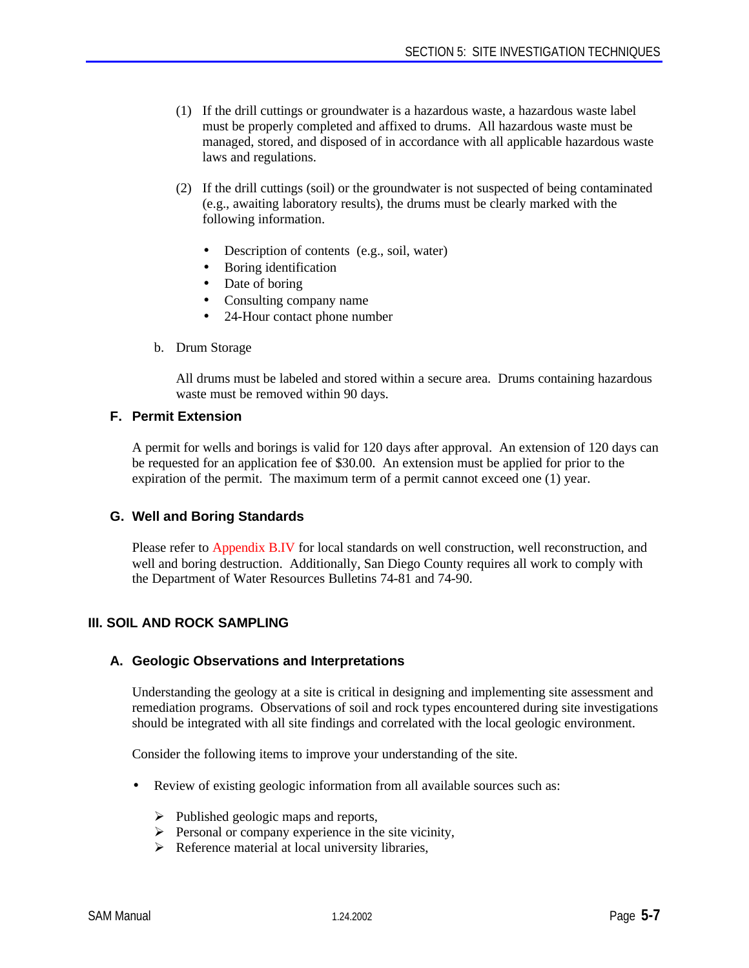- (1) If the drill cuttings or groundwater is a hazardous waste, a hazardous waste label must be properly completed and affixed to drums. All hazardous waste must be managed, stored, and disposed of in accordance with all applicable hazardous waste laws and regulations.
- (2) If the drill cuttings (soil) or the groundwater is not suspected of being contaminated (e.g., awaiting laboratory results), the drums must be clearly marked with the following information.
	- Description of contents (e.g., soil, water)
	- Boring identification
	- Date of boring
	- Consulting company name
	- 24-Hour contact phone number
- b. Drum Storage

All drums must be labeled and stored within a secure area. Drums containing hazardous waste must be removed within 90 days.

#### **F. Permit Extension**

A permit for wells and borings is valid for 120 days after approval. An extension of 120 days can be requested for an application fee of \$30.00. An extension must be applied for prior to the expiration of the permit. The maximum term of a permit cannot exceed one (1) year.

# **G. Well and Boring Standards**

Please refer to Appendix B.IV for local standards on well construction, well reconstruction, and well and boring destruction. Additionally, San Diego County requires all work to comply with the Department of Water Resources Bulletins 74-81 and 74-90.

# **III. SOIL AND ROCK SAMPLING**

#### **A. Geologic Observations and Interpretations**

Understanding the geology at a site is critical in designing and implementing site assessment and remediation programs. Observations of soil and rock types encountered during site investigations should be integrated with all site findings and correlated with the local geologic environment.

Consider the following items to improve your understanding of the site.

- Review of existing geologic information from all available sources such as:
	- $\triangleright$  Published geologic maps and reports,
	- $\triangleright$  Personal or company experience in the site vicinity,
	- $\triangleright$  Reference material at local university libraries,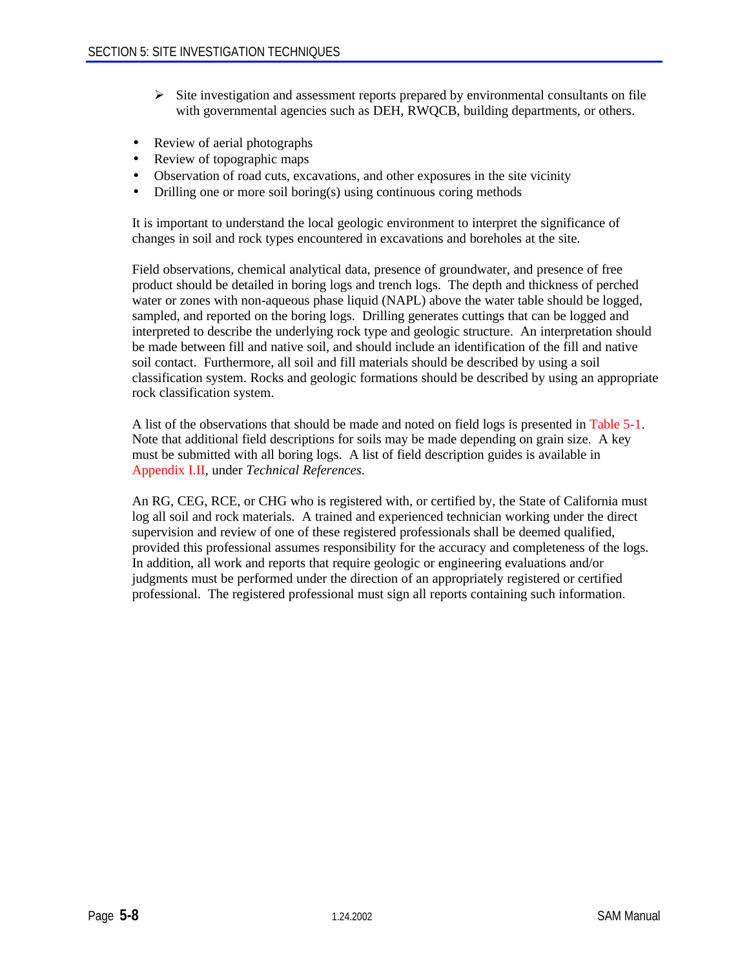- $\triangleright$  Site investigation and assessment reports prepared by environmental consultants on file with governmental agencies such as DEH, RWQCB, building departments, or others.
- Review of aerial photographs
- Review of topographic maps
- Observation of road cuts, excavations, and other exposures in the site vicinity
- Drilling one or more soil boring(s) using continuous coring methods

It is important to understand the local geologic environment to interpret the significance of changes in soil and rock types encountered in excavations and boreholes at the site.

Field observations, chemical analytical data, presence of groundwater, and presence of free product should be detailed in boring logs and trench logs. The depth and thickness of perched water or zones with non-aqueous phase liquid (NAPL) above the water table should be logged, sampled, and reported on the boring logs. Drilling generates cuttings that can be logged and interpreted to describe the underlying rock type and geologic structure. An interpretation should be made between fill and native soil, and should include an identification of the fill and native soil contact. Furthermore, all soil and fill materials should be described by using a soil classification system. Rocks and geologic formations should be described by using an appropriate rock classification system.

A list of the observations that should be made and noted on field logs is presented in Table 5-1. Note that additional field descriptions for soils may be made depending on grain size. A key must be submitted with all boring logs. A list of field description guides is available in Appendix I.II, under *Technical References*.

An RG, CEG, RCE, or CHG who is registered with, or certified by, the State of California must log all soil and rock materials. A trained and experienced technician working under the direct supervision and review of one of these registered professionals shall be deemed qualified, provided this professional assumes responsibility for the accuracy and completeness of the logs. In addition, all work and reports that require geologic or engineering evaluations and/or judgments must be performed under the direction of an appropriately registered or certified professional. The registered professional must sign all reports containing such information.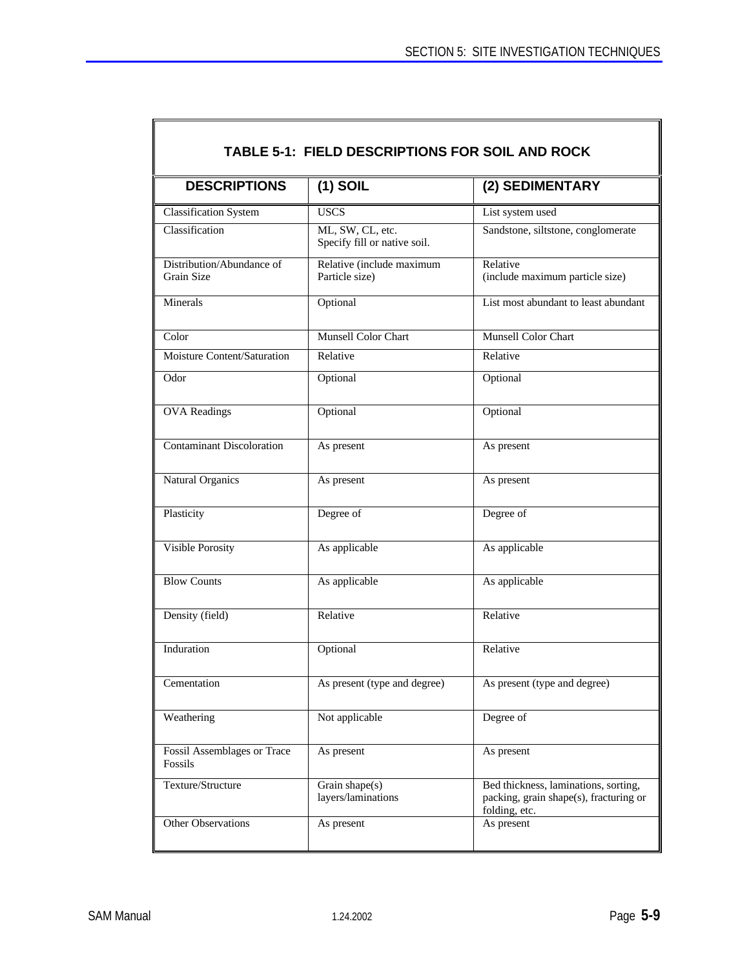$\overline{\mathsf{I}}$ 

| <b>DESCRIPTIONS</b>                     | $(1)$ SOIL                                       | (2) SEDIMENTARY                                                                                 |  |
|-----------------------------------------|--------------------------------------------------|-------------------------------------------------------------------------------------------------|--|
| Classification System                   | <b>USCS</b>                                      | List system used                                                                                |  |
| Classification                          | ML, SW, CL, etc.<br>Specify fill or native soil. | Sandstone, siltstone, conglomerate                                                              |  |
| Distribution/Abundance of<br>Grain Size | Relative (include maximum<br>Particle size)      | Relative<br>(include maximum particle size)                                                     |  |
| Minerals                                | Optional                                         | List most abundant to least abundant                                                            |  |
| Color                                   | <b>Munsell Color Chart</b>                       | <b>Munsell Color Chart</b>                                                                      |  |
| Moisture Content/Saturation             | Relative                                         | Relative                                                                                        |  |
| Odor                                    | Optional                                         | Optional                                                                                        |  |
| <b>OVA</b> Readings                     | Optional                                         | Optional                                                                                        |  |
| <b>Contaminant Discoloration</b>        | As present                                       | As present                                                                                      |  |
| Natural Organics                        | As present                                       | As present                                                                                      |  |
| Plasticity                              | Degree of                                        | Degree of                                                                                       |  |
| Visible Porosity                        | As applicable                                    | As applicable                                                                                   |  |
| <b>Blow Counts</b>                      | As applicable                                    | As applicable                                                                                   |  |
| Density (field)                         | Relative                                         | Relative                                                                                        |  |
| Induration                              | Optional                                         | Relative                                                                                        |  |
| Cementation                             | As present (type and degree)                     | As present (type and degree)                                                                    |  |
| Weathering                              | Not applicable                                   | Degree of                                                                                       |  |
| Fossil Assemblages or Trace<br>Fossils  | As present                                       | As present                                                                                      |  |
| Texture/Structure                       | Grain shape $(s)$<br>layers/laminations          | Bed thickness, laminations, sorting,<br>packing, grain shape(s), fracturing or<br>folding, etc. |  |
| Other Observations                      | As present                                       | As present                                                                                      |  |

 $\mathbb{F}$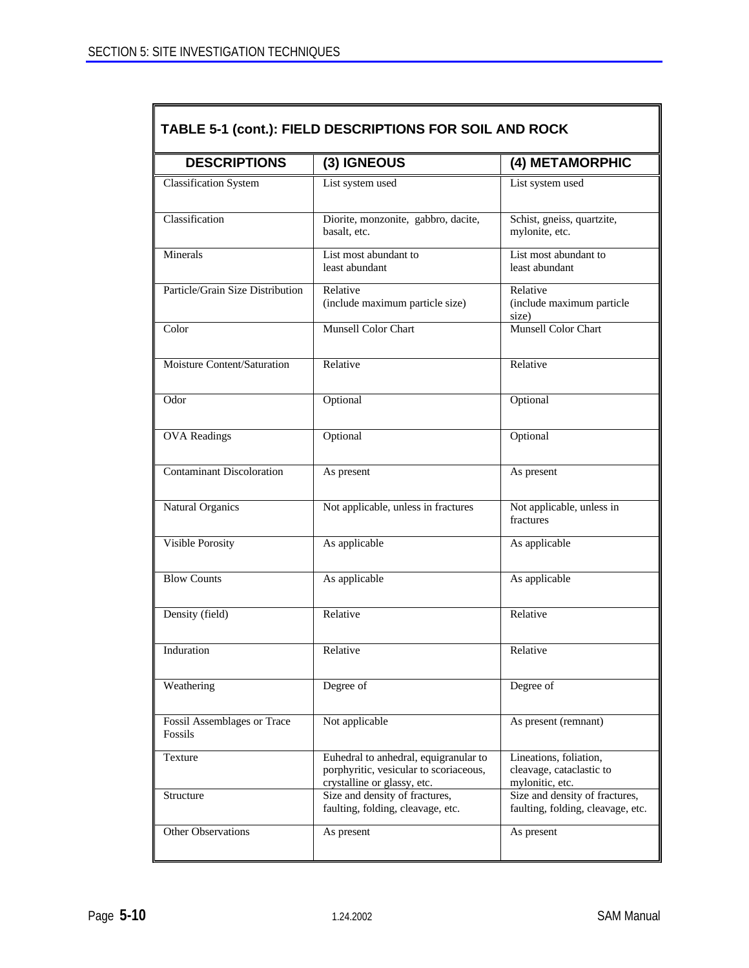| <b>DESCRIPTIONS</b>                    | (3) IGNEOUS                                                                                                    | (4) METAMORPHIC                                                       |  |
|----------------------------------------|----------------------------------------------------------------------------------------------------------------|-----------------------------------------------------------------------|--|
| <b>Classification System</b>           | List system used                                                                                               | List system used                                                      |  |
| Classification                         | Diorite, monzonite, gabbro, dacite,<br>basalt, etc.                                                            | Schist, gneiss, quartzite,<br>mylonite, etc.                          |  |
| Minerals                               | List most abundant to<br>least abundant                                                                        | List most abundant to<br>least abundant                               |  |
| Particle/Grain Size Distribution       | Relative<br>(include maximum particle size)                                                                    | Relative<br>(include maximum particle<br>size)                        |  |
| Color                                  | Munsell Color Chart                                                                                            | Munsell Color Chart                                                   |  |
| Moisture Content/Saturation            | Relative                                                                                                       | Relative                                                              |  |
| Odor                                   | Optional                                                                                                       | Optional                                                              |  |
| <b>OVA</b> Readings                    | Optional                                                                                                       | Optional                                                              |  |
| <b>Contaminant Discoloration</b>       | As present                                                                                                     | As present                                                            |  |
| <b>Natural Organics</b>                | Not applicable, unless in fractures                                                                            | Not applicable, unless in<br>fractures                                |  |
| <b>Visible Porosity</b>                | As applicable                                                                                                  | As applicable                                                         |  |
| <b>Blow Counts</b>                     | As applicable                                                                                                  | As applicable                                                         |  |
| Density (field)                        | Relative                                                                                                       | Relative                                                              |  |
| Induration                             | Relative                                                                                                       | Relative                                                              |  |
| Weathering                             | Degree of                                                                                                      | Degree of                                                             |  |
| Fossil Assemblages or Trace<br>Fossils | Not applicable                                                                                                 | As present (remnant)                                                  |  |
| Texture                                | Euhedral to anhedral, equigranular to<br>porphyritic, vesicular to scoriaceous,<br>crystalline or glassy, etc. | Lineations, foliation,<br>cleavage, cataclastic to<br>mylonitic, etc. |  |
| Structure                              | Size and density of fractures,<br>faulting, folding, cleavage, etc.                                            | Size and density of fractures,<br>faulting, folding, cleavage, etc.   |  |
| Other Observations                     | As present                                                                                                     | As present                                                            |  |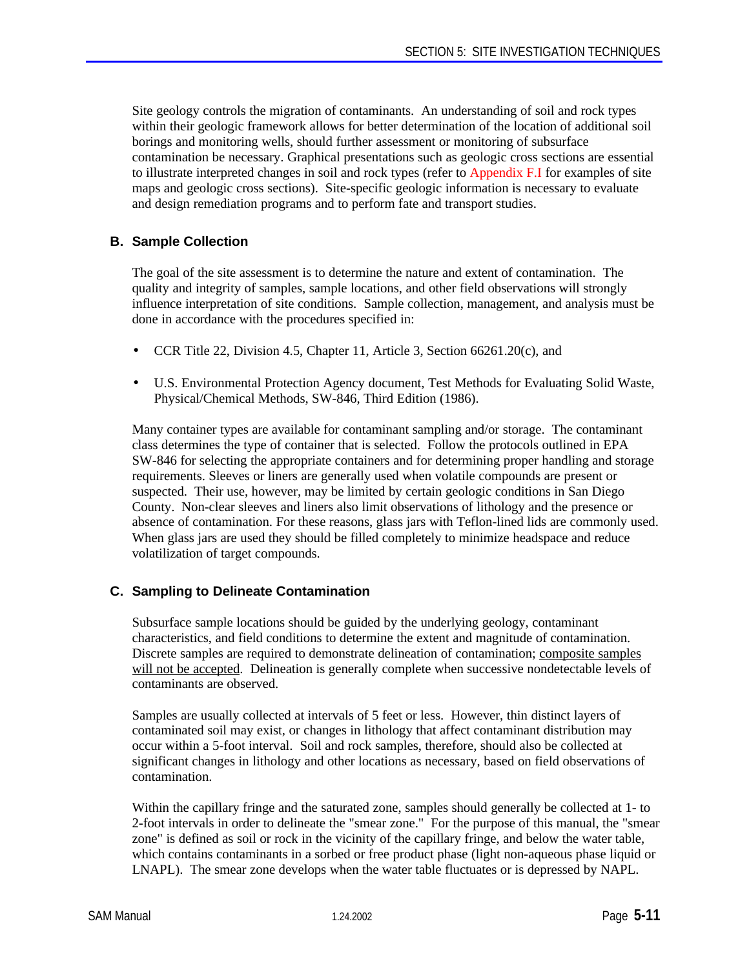Site geology controls the migration of contaminants. An understanding of soil and rock types within their geologic framework allows for better determination of the location of additional soil borings and monitoring wells, should further assessment or monitoring of subsurface contamination be necessary. Graphical presentations such as geologic cross sections are essential to illustrate interpreted changes in soil and rock types (refer to Appendix F.I for examples of site maps and geologic cross sections). Site-specific geologic information is necessary to evaluate and design remediation programs and to perform fate and transport studies.

# **B. Sample Collection**

The goal of the site assessment is to determine the nature and extent of contamination. The quality and integrity of samples, sample locations, and other field observations will strongly influence interpretation of site conditions. Sample collection, management, and analysis must be done in accordance with the procedures specified in:

- CCR Title 22, Division 4.5, Chapter 11, Article 3, Section 66261.20(c), and
- U.S. Environmental Protection Agency document, Test Methods for Evaluating Solid Waste, Physical/Chemical Methods, SW-846, Third Edition (1986).

Many container types are available for contaminant sampling and/or storage. The contaminant class determines the type of container that is selected. Follow the protocols outlined in EPA SW-846 for selecting the appropriate containers and for determining proper handling and storage requirements. Sleeves or liners are generally used when volatile compounds are present or suspected. Their use, however, may be limited by certain geologic conditions in San Diego County. Non-clear sleeves and liners also limit observations of lithology and the presence or absence of contamination. For these reasons, glass jars with Teflon-lined lids are commonly used. When glass jars are used they should be filled completely to minimize headspace and reduce volatilization of target compounds.

# **C. Sampling to Delineate Contamination**

Subsurface sample locations should be guided by the underlying geology, contaminant characteristics, and field conditions to determine the extent and magnitude of contamination. Discrete samples are required to demonstrate delineation of contamination; composite samples will not be accepted. Delineation is generally complete when successive nondetectable levels of contaminants are observed.

Samples are usually collected at intervals of 5 feet or less. However, thin distinct layers of contaminated soil may exist, or changes in lithology that affect contaminant distribution may occur within a 5-foot interval. Soil and rock samples, therefore, should also be collected at significant changes in lithology and other locations as necessary, based on field observations of contamination.

Within the capillary fringe and the saturated zone, samples should generally be collected at 1- to 2-foot intervals in order to delineate the "smear zone." For the purpose of this manual, the "smear zone" is defined as soil or rock in the vicinity of the capillary fringe, and below the water table, which contains contaminants in a sorbed or free product phase (light non-aqueous phase liquid or LNAPL). The smear zone develops when the water table fluctuates or is depressed by NAPL.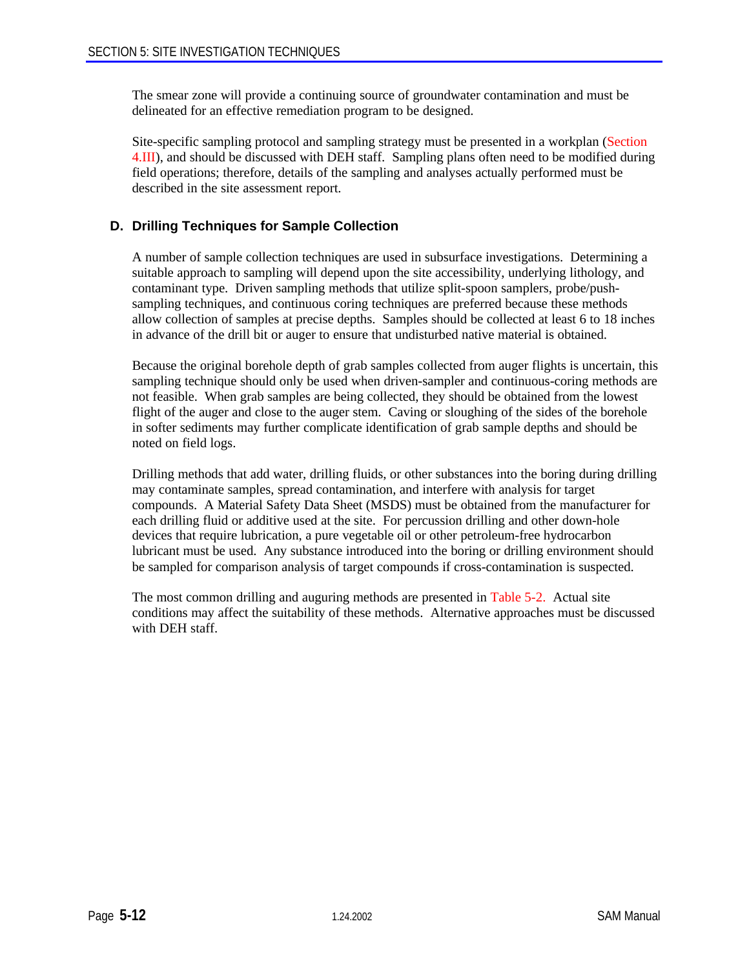The smear zone will provide a continuing source of groundwater contamination and must be delineated for an effective remediation program to be designed.

Site-specific sampling protocol and sampling strategy must be presented in a workplan (Section 4.III), and should be discussed with DEH staff. Sampling plans often need to be modified during field operations; therefore, details of the sampling and analyses actually performed must be described in the site assessment report.

# **D. Drilling Techniques for Sample Collection**

A number of sample collection techniques are used in subsurface investigations. Determining a suitable approach to sampling will depend upon the site accessibility, underlying lithology, and contaminant type. Driven sampling methods that utilize split-spoon samplers, probe/pushsampling techniques, and continuous coring techniques are preferred because these methods allow collection of samples at precise depths. Samples should be collected at least 6 to 18 inches in advance of the drill bit or auger to ensure that undisturbed native material is obtained.

Because the original borehole depth of grab samples collected from auger flights is uncertain, this sampling technique should only be used when driven-sampler and continuous-coring methods are not feasible. When grab samples are being collected, they should be obtained from the lowest flight of the auger and close to the auger stem. Caving or sloughing of the sides of the borehole in softer sediments may further complicate identification of grab sample depths and should be noted on field logs.

Drilling methods that add water, drilling fluids, or other substances into the boring during drilling may contaminate samples, spread contamination, and interfere with analysis for target compounds. A Material Safety Data Sheet (MSDS) must be obtained from the manufacturer for each drilling fluid or additive used at the site. For percussion drilling and other down-hole devices that require lubrication, a pure vegetable oil or other petroleum-free hydrocarbon lubricant must be used. Any substance introduced into the boring or drilling environment should be sampled for comparison analysis of target compounds if cross-contamination is suspected.

The most common drilling and auguring methods are presented in Table 5-2. Actual site conditions may affect the suitability of these methods. Alternative approaches must be discussed with DEH staff.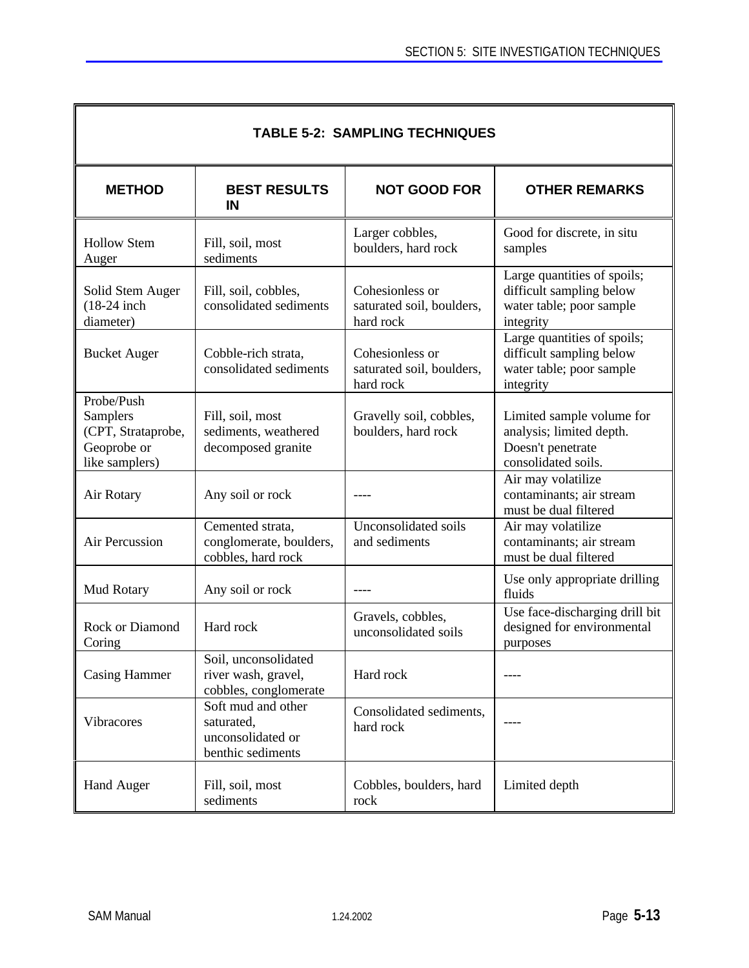| <b>TABLE 5-2: SAMPLING TECHNIQUES</b>                                         |                                                                            |                                                           |                                                                                                   |  |  |
|-------------------------------------------------------------------------------|----------------------------------------------------------------------------|-----------------------------------------------------------|---------------------------------------------------------------------------------------------------|--|--|
| <b>METHOD</b>                                                                 | <b>BEST RESULTS</b><br>IN                                                  | <b>NOT GOOD FOR</b>                                       | <b>OTHER REMARKS</b>                                                                              |  |  |
| <b>Hollow Stem</b><br>Auger                                                   | Fill, soil, most<br>sediments                                              | Larger cobbles,<br>boulders, hard rock                    | Good for discrete, in situ<br>samples                                                             |  |  |
| Solid Stem Auger<br>$(18-24)$ inch<br>diameter)                               | Fill, soil, cobbles,<br>consolidated sediments                             | Cohesionless or<br>saturated soil, boulders,<br>hard rock | Large quantities of spoils;<br>difficult sampling below<br>water table; poor sample<br>integrity  |  |  |
| <b>Bucket Auger</b>                                                           | Cobble-rich strata,<br>consolidated sediments                              | Cohesionless or<br>saturated soil, boulders,<br>hard rock | Large quantities of spoils;<br>difficult sampling below<br>water table; poor sample<br>integrity  |  |  |
| Probe/Push<br>Samplers<br>(CPT, Strataprobe,<br>Geoprobe or<br>like samplers) | Fill, soil, most<br>sediments, weathered<br>decomposed granite             | Gravelly soil, cobbles,<br>boulders, hard rock            | Limited sample volume for<br>analysis; limited depth.<br>Doesn't penetrate<br>consolidated soils. |  |  |
| Air Rotary                                                                    | Any soil or rock                                                           |                                                           | Air may volatilize<br>contaminants; air stream<br>must be dual filtered                           |  |  |
| Air Percussion                                                                | Cemented strata,<br>conglomerate, boulders,<br>cobbles, hard rock          | Unconsolidated soils<br>and sediments                     | Air may volatilize<br>contaminants; air stream<br>must be dual filtered                           |  |  |
| Mud Rotary                                                                    | Any soil or rock                                                           |                                                           | Use only appropriate drilling<br>fluids                                                           |  |  |
| Rock or Diamond<br>Coring                                                     | Hard rock                                                                  | Gravels, cobbles,<br>unconsolidated soils                 | Use face-discharging drill bit<br>designed for environmental<br>purposes                          |  |  |
| <b>Casing Hammer</b>                                                          | Soil, unconsolidated<br>river wash, gravel,<br>cobbles, conglomerate       | Hard rock                                                 | ----                                                                                              |  |  |
| Vibracores                                                                    | Soft mud and other<br>saturated,<br>unconsolidated or<br>benthic sediments | Consolidated sediments,<br>hard rock                      |                                                                                                   |  |  |
| <b>Hand Auger</b>                                                             | Fill, soil, most<br>sediments                                              | Cobbles, boulders, hard<br>rock                           | Limited depth                                                                                     |  |  |

F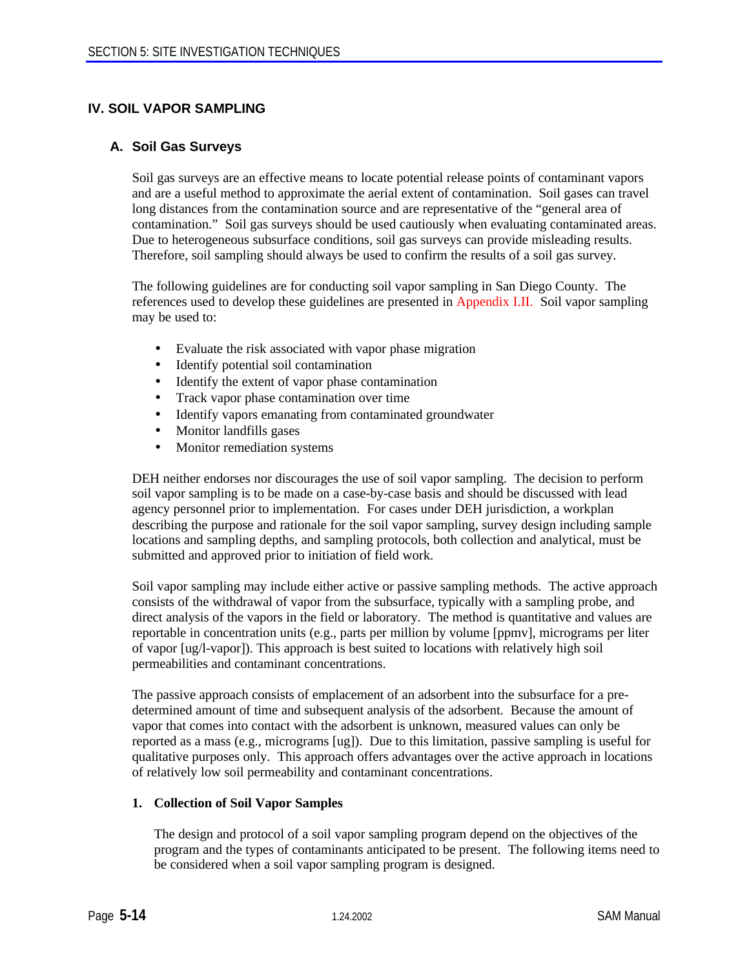# **IV. SOIL VAPOR SAMPLING**

#### **A. Soil Gas Surveys**

Soil gas surveys are an effective means to locate potential release points of contaminant vapors and are a useful method to approximate the aerial extent of contamination. Soil gases can travel long distances from the contamination source and are representative of the "general area of contamination." Soil gas surveys should be used cautiously when evaluating contaminated areas. Due to heterogeneous subsurface conditions, soil gas surveys can provide misleading results. Therefore, soil sampling should always be used to confirm the results of a soil gas survey.

The following guidelines are for conducting soil vapor sampling in San Diego County. The references used to develop these guidelines are presented in Appendix I.II. Soil vapor sampling may be used to:

- Evaluate the risk associated with vapor phase migration
- Identify potential soil contamination
- Identify the extent of vapor phase contamination
- Track vapor phase contamination over time
- Identify vapors emanating from contaminated groundwater
- Monitor landfills gases
- Monitor remediation systems

DEH neither endorses nor discourages the use of soil vapor sampling. The decision to perform soil vapor sampling is to be made on a case-by-case basis and should be discussed with lead agency personnel prior to implementation. For cases under DEH jurisdiction, a workplan describing the purpose and rationale for the soil vapor sampling, survey design including sample locations and sampling depths, and sampling protocols, both collection and analytical, must be submitted and approved prior to initiation of field work.

Soil vapor sampling may include either active or passive sampling methods. The active approach consists of the withdrawal of vapor from the subsurface, typically with a sampling probe, and direct analysis of the vapors in the field or laboratory. The method is quantitative and values are reportable in concentration units (e.g., parts per million by volume [ppmv], micrograms per liter of vapor [ug/l-vapor]). This approach is best suited to locations with relatively high soil permeabilities and contaminant concentrations.

The passive approach consists of emplacement of an adsorbent into the subsurface for a predetermined amount of time and subsequent analysis of the adsorbent. Because the amount of vapor that comes into contact with the adsorbent is unknown, measured values can only be reported as a mass (e.g., micrograms [ug]). Due to this limitation, passive sampling is useful for qualitative purposes only. This approach offers advantages over the active approach in locations of relatively low soil permeability and contaminant concentrations.

#### **1. Collection of Soil Vapor Samples**

The design and protocol of a soil vapor sampling program depend on the objectives of the program and the types of contaminants anticipated to be present. The following items need to be considered when a soil vapor sampling program is designed.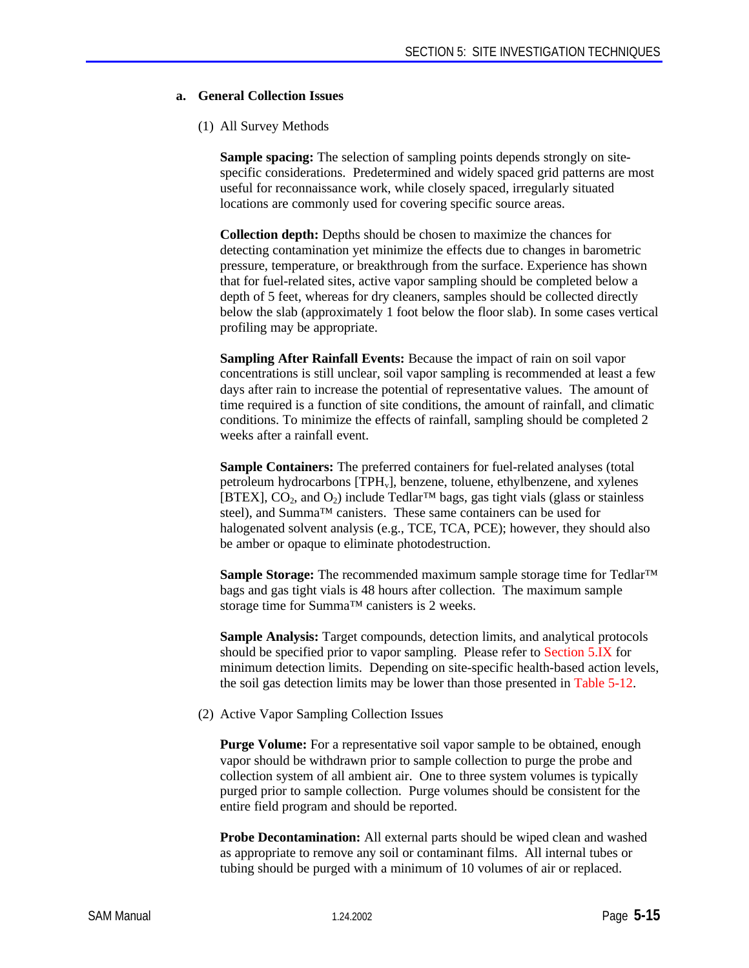#### **a. General Collection Issues**

#### (1) All Survey Methods

**Sample spacing:** The selection of sampling points depends strongly on sitespecific considerations. Predetermined and widely spaced grid patterns are most useful for reconnaissance work, while closely spaced, irregularly situated locations are commonly used for covering specific source areas.

**Collection depth:** Depths should be chosen to maximize the chances for detecting contamination yet minimize the effects due to changes in barometric pressure, temperature, or breakthrough from the surface. Experience has shown that for fuel-related sites, active vapor sampling should be completed below a depth of 5 feet, whereas for dry cleaners, samples should be collected directly below the slab (approximately 1 foot below the floor slab). In some cases vertical profiling may be appropriate.

**Sampling After Rainfall Events:** Because the impact of rain on soil vapor concentrations is still unclear, soil vapor sampling is recommended at least a few days after rain to increase the potential of representative values. The amount of time required is a function of site conditions, the amount of rainfall, and climatic conditions. To minimize the effects of rainfall, sampling should be completed 2 weeks after a rainfall event.

**Sample Containers:** The preferred containers for fuel-related analyses (total petroleum hydrocarbons [TPH<sub>v</sub>], benzene, toluene, ethylbenzene, and xylenes [BTEX],  $CO_2$ , and  $O_2$ ) include Tedlar<sup>TM</sup> bags, gas tight vials (glass or stainless steel), and Summa<sup>™</sup> canisters. These same containers can be used for halogenated solvent analysis (e.g., TCE, TCA, PCE); however, they should also be amber or opaque to eliminate photodestruction.

**Sample Storage:** The recommended maximum sample storage time for Tedlar™ bags and gas tight vials is 48 hours after collection. The maximum sample storage time for Summa™ canisters is 2 weeks.

**Sample Analysis:** Target compounds, detection limits, and analytical protocols should be specified prior to vapor sampling. Please refer to Section 5.IX for minimum detection limits. Depending on site-specific health-based action levels, the soil gas detection limits may be lower than those presented in Table 5-12.

(2) Active Vapor Sampling Collection Issues

**Purge Volume:** For a representative soil vapor sample to be obtained, enough vapor should be withdrawn prior to sample collection to purge the probe and collection system of all ambient air. One to three system volumes is typically purged prior to sample collection. Purge volumes should be consistent for the entire field program and should be reported.

**Probe Decontamination:** All external parts should be wiped clean and washed as appropriate to remove any soil or contaminant films. All internal tubes or tubing should be purged with a minimum of 10 volumes of air or replaced.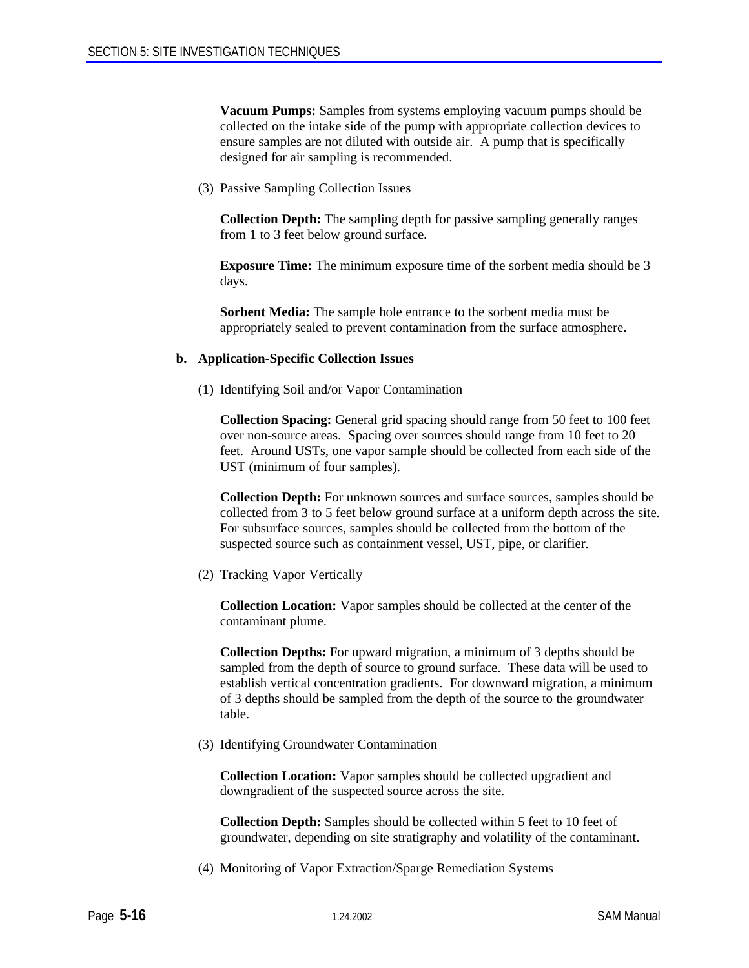**Vacuum Pumps:** Samples from systems employing vacuum pumps should be collected on the intake side of the pump with appropriate collection devices to ensure samples are not diluted with outside air. A pump that is specifically designed for air sampling is recommended.

(3) Passive Sampling Collection Issues

**Collection Depth:** The sampling depth for passive sampling generally ranges from 1 to 3 feet below ground surface.

**Exposure Time:** The minimum exposure time of the sorbent media should be 3 days.

**Sorbent Media:** The sample hole entrance to the sorbent media must be appropriately sealed to prevent contamination from the surface atmosphere.

#### **b. Application-Specific Collection Issues**

(1) Identifying Soil and/or Vapor Contamination

**Collection Spacing:** General grid spacing should range from 50 feet to 100 feet over non-source areas. Spacing over sources should range from 10 feet to 20 feet. Around USTs, one vapor sample should be collected from each side of the UST (minimum of four samples).

**Collection Depth:** For unknown sources and surface sources, samples should be collected from 3 to 5 feet below ground surface at a uniform depth across the site. For subsurface sources, samples should be collected from the bottom of the suspected source such as containment vessel, UST, pipe, or clarifier.

(2) Tracking Vapor Vertically

**Collection Location:** Vapor samples should be collected at the center of the contaminant plume.

**Collection Depths:** For upward migration, a minimum of 3 depths should be sampled from the depth of source to ground surface. These data will be used to establish vertical concentration gradients. For downward migration, a minimum of 3 depths should be sampled from the depth of the source to the groundwater table.

(3) Identifying Groundwater Contamination

**Collection Location:** Vapor samples should be collected upgradient and downgradient of the suspected source across the site.

**Collection Depth:** Samples should be collected within 5 feet to 10 feet of groundwater, depending on site stratigraphy and volatility of the contaminant.

(4) Monitoring of Vapor Extraction/Sparge Remediation Systems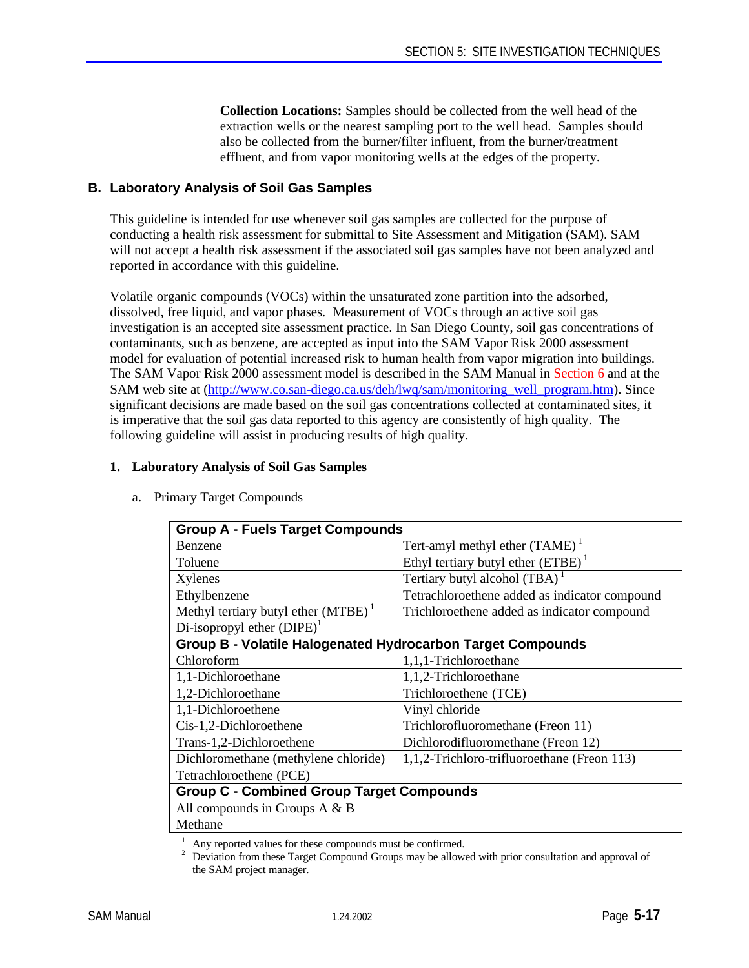**Collection Locations:** Samples should be collected from the well head of the extraction wells or the nearest sampling port to the well head. Samples should also be collected from the burner/filter influent, from the burner/treatment effluent, and from vapor monitoring wells at the edges of the property.

# **B. Laboratory Analysis of Soil Gas Samples**

This guideline is intended for use whenever soil gas samples are collected for the purpose of conducting a health risk assessment for submittal to Site Assessment and Mitigation (SAM). SAM will not accept a health risk assessment if the associated soil gas samples have not been analyzed and reported in accordance with this guideline.

Volatile organic compounds (VOCs) within the unsaturated zone partition into the adsorbed, dissolved, free liquid, and vapor phases. Measurement of VOCs through an active soil gas investigation is an accepted site assessment practice. In San Diego County, soil gas concentrations of contaminants, such as benzene, are accepted as input into the SAM Vapor Risk 2000 assessment model for evaluation of potential increased risk to human health from vapor migration into buildings. The SAM Vapor Risk 2000 assessment model is described in the SAM Manual in Section 6 and at the SAM web site at (http://www.co.san-diego.ca.us/deh/lwq/sam/monitoring\_well\_program.htm). Since significant decisions are made based on the soil gas concentrations collected at contaminated sites, it is imperative that the soil gas data reported to this agency are consistently of high quality. The following guideline will assist in producing results of high quality.

#### **1. Laboratory Analysis of Soil Gas Samples**

| <b>Group A - Fuels Target Compounds</b>                     |                                               |  |
|-------------------------------------------------------------|-----------------------------------------------|--|
| <b>Benzene</b>                                              | Tert-amyl methyl ether $(TAME)^T$             |  |
| Toluene                                                     | Ethyl tertiary butyl ether $(ETBE)^{1}$       |  |
| Xylenes                                                     | Tertiary butyl alcohol (TBA) <sup>1</sup>     |  |
| Ethylbenzene                                                | Tetrachloroethene added as indicator compound |  |
| Methyl tertiary butyl ether $(MTBE)^1$                      | Trichloroethene added as indicator compound   |  |
| Di-isopropyl ether $(DIPE)^1$                               |                                               |  |
| Group B - Volatile Halogenated Hydrocarbon Target Compounds |                                               |  |
| Chloroform                                                  | 1,1,1-Trichloroethane                         |  |
| 1,1-Dichloroethane                                          | 1,1,2-Trichloroethane                         |  |
| 1,2-Dichloroethane                                          | Trichloroethene (TCE)                         |  |
| 1,1-Dichloroethene                                          | Vinyl chloride                                |  |
| Cis-1,2-Dichloroethene                                      | Trichlorofluoromethane (Freon 11)             |  |
| Trans-1,2-Dichloroethene                                    | Dichlorodifluoromethane (Freon 12)            |  |
| Dichloromethane (methylene chloride)                        | 1,1,2-Trichloro-trifluoroethane (Freon 113)   |  |
| Tetrachloroethene (PCE)                                     |                                               |  |
| <b>Group C - Combined Group Target Compounds</b>            |                                               |  |
| All compounds in Groups $A \& B$                            |                                               |  |
| Methane                                                     |                                               |  |

a. Primary Target Compounds

<sup>1</sup> Any reported values for these compounds must be confirmed.

<sup>2</sup> Deviation from these Target Compound Groups may be allowed with prior consultation and approval of the SAM project manager.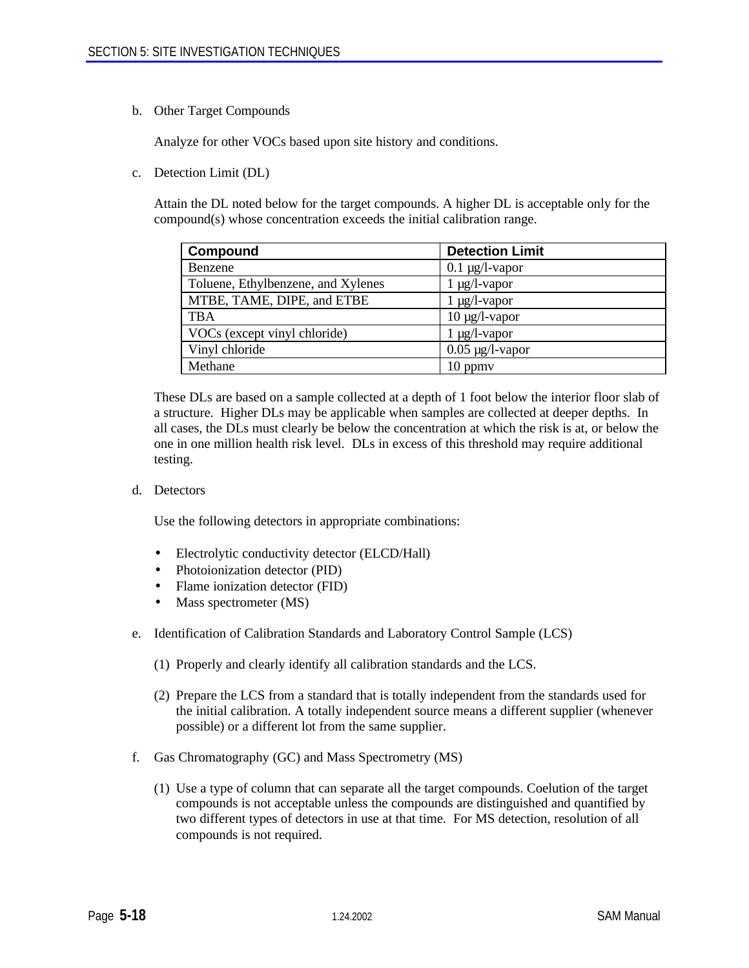b. Other Target Compounds

Analyze for other VOCs based upon site history and conditions.

c. Detection Limit (DL)

Attain the DL noted below for the target compounds. A higher DL is acceptable only for the compound(s) whose concentration exceeds the initial calibration range.

| Compound                           | <b>Detection Limit</b> |
|------------------------------------|------------------------|
| Benzene                            | $0.1 \mu g/l$ -vapor   |
| Toluene, Ethylbenzene, and Xylenes | $1 \mu g/l$ -vapor     |
| MTBE, TAME, DIPE, and ETBE         | $1 \mu g/l$ -vapor     |
| <b>TBA</b>                         | $10 \mu g/l$ -vapor    |
| VOCs (except vinyl chloride)       | $1 \mu g/l$ -vapor     |
| Vinyl chloride                     | $0.05 \mu g/l$ -vapor  |
| Methane                            | $10$ ppm $v$           |

These DLs are based on a sample collected at a depth of 1 foot below the interior floor slab of a structure. Higher DLs may be applicable when samples are collected at deeper depths. In all cases, the DLs must clearly be below the concentration at which the risk is at, or below the one in one million health risk level. DLs in excess of this threshold may require additional testing.

d. Detectors

Use the following detectors in appropriate combinations:

- Electrolytic conductivity detector (ELCD/Hall)
- Photoionization detector (PID)
- Flame ionization detector (FID)
- Mass spectrometer (MS)
- e. Identification of Calibration Standards and Laboratory Control Sample (LCS)
	- (1) Properly and clearly identify all calibration standards and the LCS.
	- (2) Prepare the LCS from a standard that is totally independent from the standards used for the initial calibration. A totally independent source means a different supplier (whenever possible) or a different lot from the same supplier.
- f. Gas Chromatography (GC) and Mass Spectrometry (MS)
	- (1) Use a type of column that can separate all the target compounds. Coelution of the target compounds is not acceptable unless the compounds are distinguished and quantified by two different types of detectors in use at that time. For MS detection, resolution of all compounds is not required.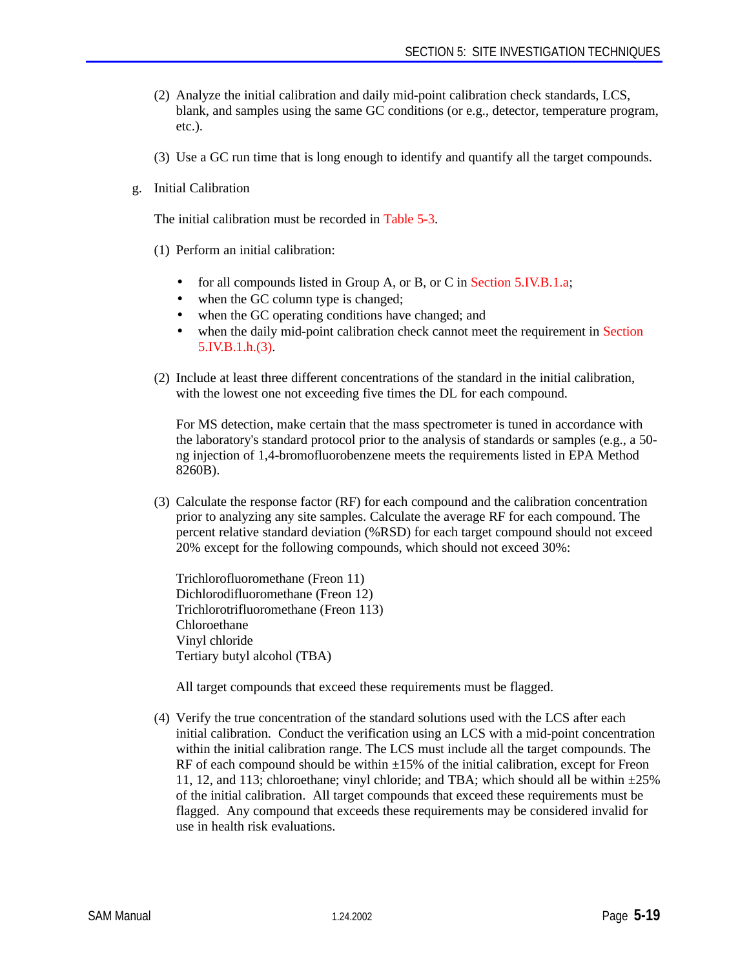- (2) Analyze the initial calibration and daily mid-point calibration check standards, LCS, blank, and samples using the same GC conditions (or e.g., detector, temperature program, etc.).
- (3) Use a GC run time that is long enough to identify and quantify all the target compounds.
- g. Initial Calibration

The initial calibration must be recorded in Table 5-3.

- (1) Perform an initial calibration:
	- for all compounds listed in Group A, or B, or C in Section 5.IV.B.1.a;
	- when the GC column type is changed;
	- when the GC operating conditions have changed; and
	- when the daily mid-point calibration check cannot meet the requirement in Section 5.IV.B.1.h.(3).
- (2) Include at least three different concentrations of the standard in the initial calibration, with the lowest one not exceeding five times the DL for each compound.

For MS detection, make certain that the mass spectrometer is tuned in accordance with the laboratory's standard protocol prior to the analysis of standards or samples (e.g., a 50 ng injection of 1,4-bromofluorobenzene meets the requirements listed in EPA Method 8260B).

(3) Calculate the response factor (RF) for each compound and the calibration concentration prior to analyzing any site samples. Calculate the average RF for each compound. The percent relative standard deviation (%RSD) for each target compound should not exceed 20% except for the following compounds, which should not exceed 30%:

Trichlorofluoromethane (Freon 11) Dichlorodifluoromethane (Freon 12) Trichlorotrifluoromethane (Freon 113) Chloroethane Vinyl chloride Tertiary butyl alcohol (TBA)

All target compounds that exceed these requirements must be flagged.

(4) Verify the true concentration of the standard solutions used with the LCS after each initial calibration. Conduct the verification using an LCS with a mid-point concentration within the initial calibration range. The LCS must include all the target compounds. The RF of each compound should be within  $\pm 15\%$  of the initial calibration, except for Freon 11, 12, and 113; chloroethane; vinyl chloride; and TBA; which should all be within  $\pm 25\%$ of the initial calibration. All target compounds that exceed these requirements must be flagged. Any compound that exceeds these requirements may be considered invalid for use in health risk evaluations.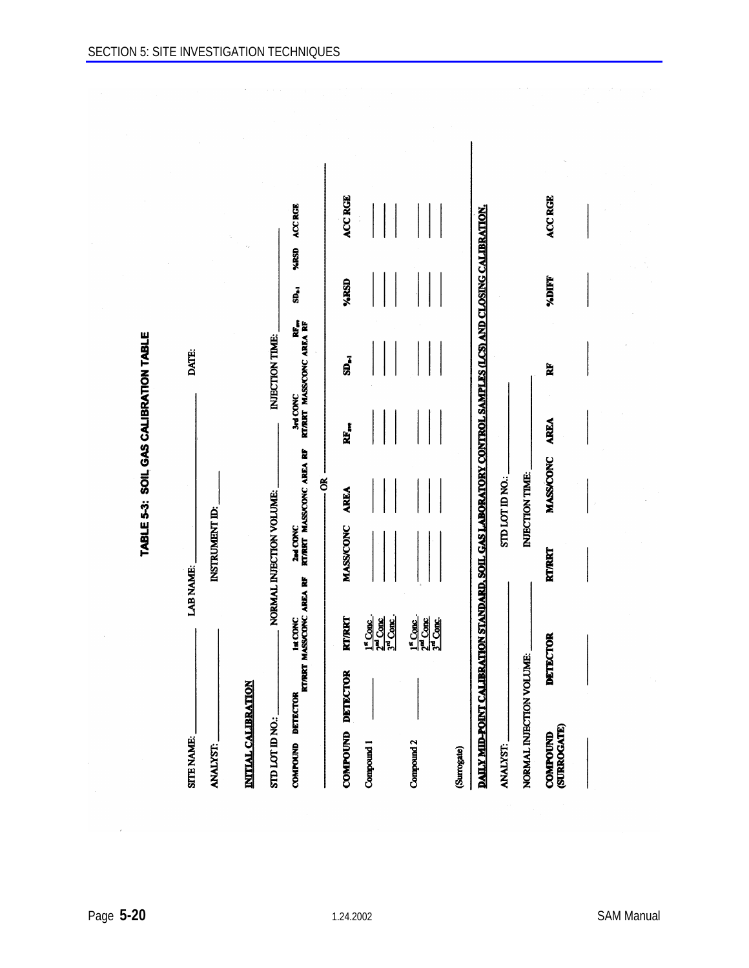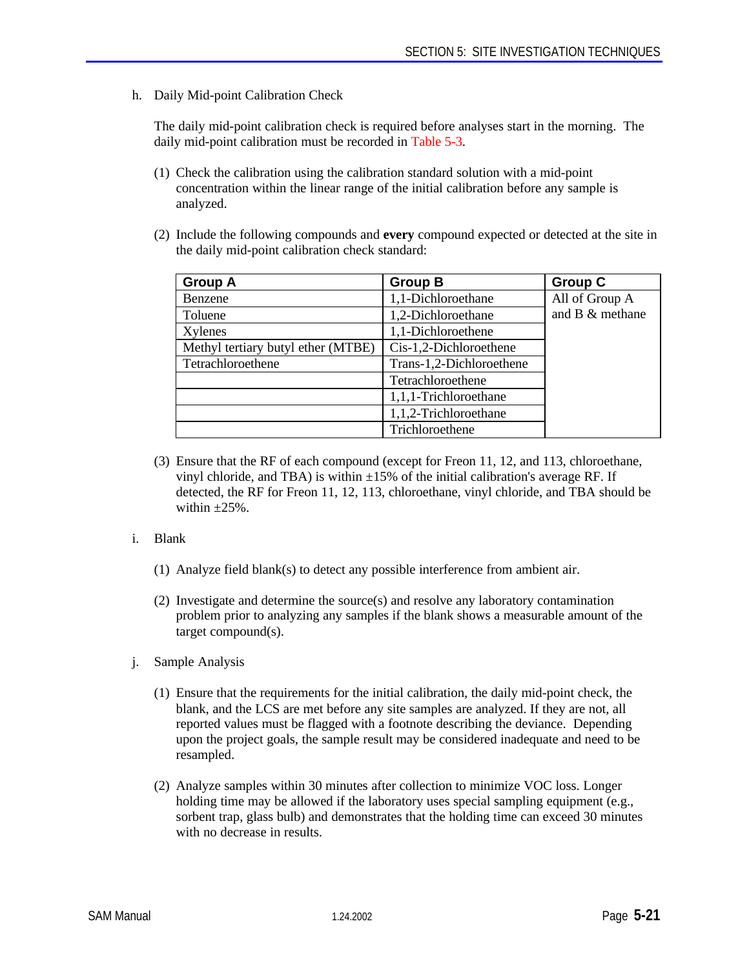h. Daily Mid-point Calibration Check

The daily mid-point calibration check is required before analyses start in the morning. The daily mid-point calibration must be recorded in Table 5-3.

- (1) Check the calibration using the calibration standard solution with a mid-point concentration within the linear range of the initial calibration before any sample is analyzed.
- (2) Include the following compounds and **every** compound expected or detected at the site in the daily mid-point calibration check standard:

| <b>Group A</b>                     | <b>Group B</b>           | <b>Group C</b>  |
|------------------------------------|--------------------------|-----------------|
| Benzene                            | 1,1-Dichloroethane       | All of Group A  |
| Toluene                            | 1,2-Dichloroethane       | and B & methane |
| Xylenes                            | 1,1-Dichloroethene       |                 |
| Methyl tertiary butyl ether (MTBE) | Cis-1,2-Dichloroethene   |                 |
| Tetrachloroethene                  | Trans-1,2-Dichloroethene |                 |
|                                    | Tetrachloroethene        |                 |
|                                    | 1,1,1-Trichloroethane    |                 |
|                                    | 1,1,2-Trichloroethane    |                 |
|                                    | Trichloroethene          |                 |

- (3) Ensure that the RF of each compound (except for Freon 11, 12, and 113, chloroethane, vinyl chloride, and TBA) is within  $\pm 15\%$  of the initial calibration's average RF. If detected, the RF for Freon 11, 12, 113, chloroethane, vinyl chloride, and TBA should be within  $+25%$
- i. Blank
	- (1) Analyze field blank(s) to detect any possible interference from ambient air.
	- (2) Investigate and determine the source(s) and resolve any laboratory contamination problem prior to analyzing any samples if the blank shows a measurable amount of the target compound(s).
- j. Sample Analysis
	- (1) Ensure that the requirements for the initial calibration, the daily mid-point check, the blank, and the LCS are met before any site samples are analyzed. If they are not, all reported values must be flagged with a footnote describing the deviance. Depending upon the project goals, the sample result may be considered inadequate and need to be resampled.
	- (2) Analyze samples within 30 minutes after collection to minimize VOC loss. Longer holding time may be allowed if the laboratory uses special sampling equipment (e.g., sorbent trap, glass bulb) and demonstrates that the holding time can exceed 30 minutes with no decrease in results.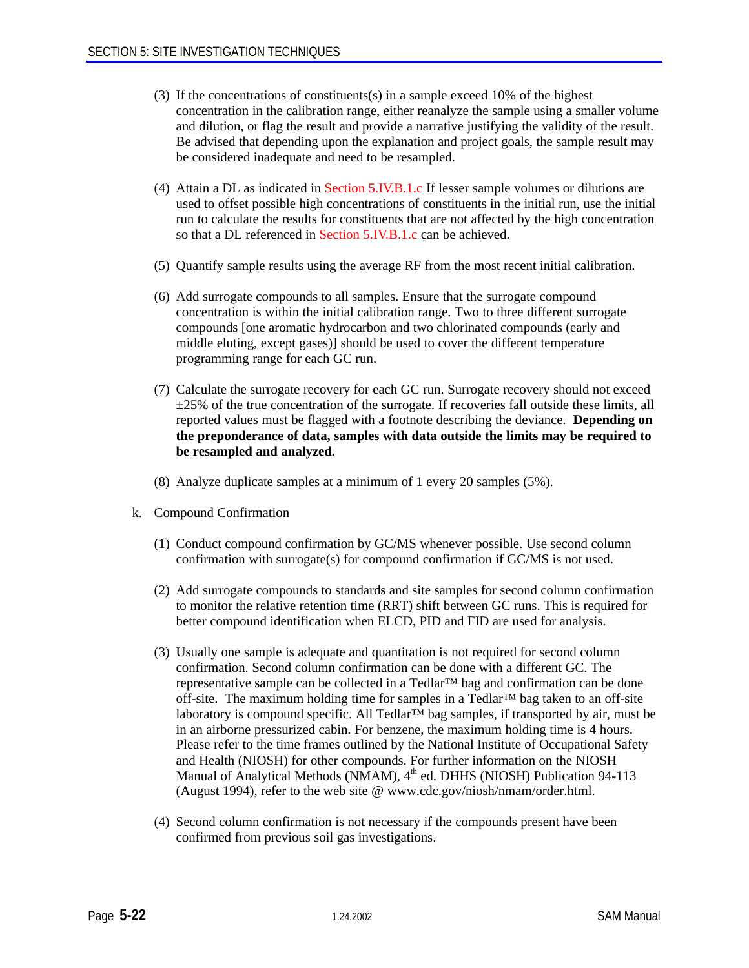- (3) If the concentrations of constituents(s) in a sample exceed 10% of the highest concentration in the calibration range, either reanalyze the sample using a smaller volume and dilution, or flag the result and provide a narrative justifying the validity of the result. Be advised that depending upon the explanation and project goals, the sample result may be considered inadequate and need to be resampled.
- (4) Attain a DL as indicated in Section 5.IV.B.1.c If lesser sample volumes or dilutions are used to offset possible high concentrations of constituents in the initial run, use the initial run to calculate the results for constituents that are not affected by the high concentration so that a DL referenced in Section 5.IV.B.1.c can be achieved.
- (5) Quantify sample results using the average RF from the most recent initial calibration.
- (6) Add surrogate compounds to all samples. Ensure that the surrogate compound concentration is within the initial calibration range. Two to three different surrogate compounds [one aromatic hydrocarbon and two chlorinated compounds (early and middle eluting, except gases)] should be used to cover the different temperature programming range for each GC run.
- (7) Calculate the surrogate recovery for each GC run. Surrogate recovery should not exceed  $\pm 25\%$  of the true concentration of the surrogate. If recoveries fall outside these limits, all reported values must be flagged with a footnote describing the deviance. **Depending on the preponderance of data, samples with data outside the limits may be required to be resampled and analyzed.**
- (8) Analyze duplicate samples at a minimum of 1 every 20 samples (5%).
- k. Compound Confirmation
	- (1) Conduct compound confirmation by GC/MS whenever possible. Use second column confirmation with surrogate(s) for compound confirmation if GC/MS is not used.
	- (2) Add surrogate compounds to standards and site samples for second column confirmation to monitor the relative retention time (RRT) shift between GC runs. This is required for better compound identification when ELCD, PID and FID are used for analysis.
	- (3) Usually one sample is adequate and quantitation is not required for second column confirmation. Second column confirmation can be done with a different GC. The representative sample can be collected in a Tedlar™ bag and confirmation can be done off-site. The maximum holding time for samples in a Tedlar™ bag taken to an off-site laboratory is compound specific. All Tedlar™ bag samples, if transported by air, must be in an airborne pressurized cabin. For benzene, the maximum holding time is 4 hours. Please refer to the time frames outlined by the National Institute of Occupational Safety and Health (NIOSH) for other compounds. For further information on the NIOSH Manual of Analytical Methods (NMAM), 4<sup>th</sup> ed. DHHS (NIOSH) Publication 94-113 (August 1994), refer to the web site @ www.cdc.gov/niosh/nmam/order.html.
	- (4) Second column confirmation is not necessary if the compounds present have been confirmed from previous soil gas investigations.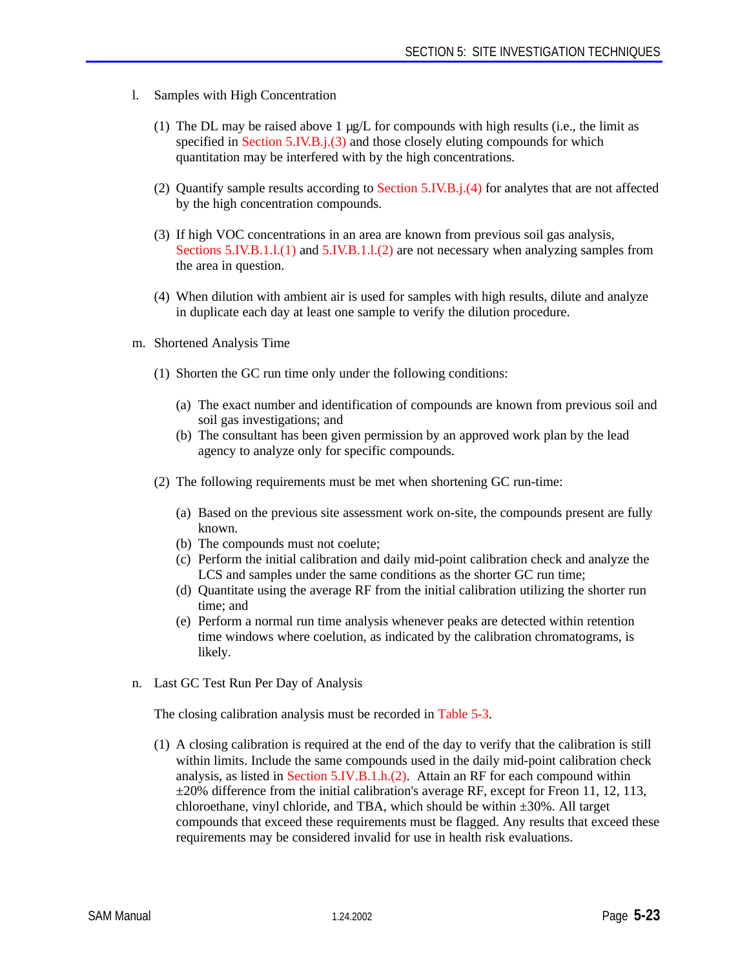- l. Samples with High Concentration
	- (1) The DL may be raised above 1  $\mu$ g/L for compounds with high results (i.e., the limit as specified in Section 5.IV.B.j.(3) and those closely eluting compounds for which quantitation may be interfered with by the high concentrations.
	- (2) Quantify sample results according to Section 5.IV.B.j.(4) for analytes that are not affected by the high concentration compounds.
	- (3) If high VOC concentrations in an area are known from previous soil gas analysis, Sections 5.IV.B.1.l.(1) and 5.IV.B.1.l.(2) are not necessary when analyzing samples from the area in question.
	- (4) When dilution with ambient air is used for samples with high results, dilute and analyze in duplicate each day at least one sample to verify the dilution procedure.
- m. Shortened Analysis Time
	- (1) Shorten the GC run time only under the following conditions:
		- (a) The exact number and identification of compounds are known from previous soil and soil gas investigations; and
		- (b) The consultant has been given permission by an approved work plan by the lead agency to analyze only for specific compounds.
	- (2) The following requirements must be met when shortening GC run-time:
		- (a) Based on the previous site assessment work on-site, the compounds present are fully known.
		- (b) The compounds must not coelute;
		- (c) Perform the initial calibration and daily mid-point calibration check and analyze the LCS and samples under the same conditions as the shorter GC run time;
		- (d) Quantitate using the average RF from the initial calibration utilizing the shorter run time; and
		- (e) Perform a normal run time analysis whenever peaks are detected within retention time windows where coelution, as indicated by the calibration chromatograms, is likely.
- n. Last GC Test Run Per Day of Analysis

The closing calibration analysis must be recorded in Table 5-3.

(1) A closing calibration is required at the end of the day to verify that the calibration is still within limits. Include the same compounds used in the daily mid-point calibration check analysis, as listed in Section 5.IV.B.1.h.(2). Attain an RF for each compound within  $\pm 20\%$  difference from the initial calibration's average RF, except for Freon 11, 12, 113, chloroethane, vinyl chloride, and TBA, which should be within ±30%. All target compounds that exceed these requirements must be flagged. Any results that exceed these requirements may be considered invalid for use in health risk evaluations.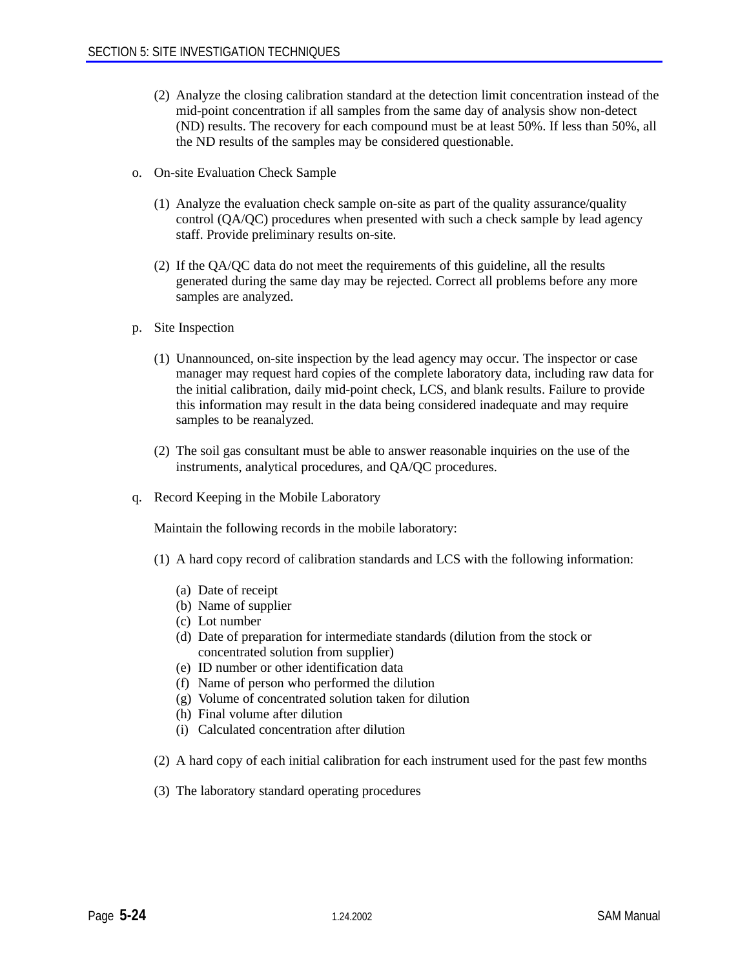- (2) Analyze the closing calibration standard at the detection limit concentration instead of the mid-point concentration if all samples from the same day of analysis show non-detect (ND) results. The recovery for each compound must be at least 50%. If less than 50%, all the ND results of the samples may be considered questionable.
- o. On-site Evaluation Check Sample
	- (1) Analyze the evaluation check sample on-site as part of the quality assurance/quality control (QA/QC) procedures when presented with such a check sample by lead agency staff. Provide preliminary results on-site.
	- (2) If the QA/QC data do not meet the requirements of this guideline, all the results generated during the same day may be rejected. Correct all problems before any more samples are analyzed.
- p. Site Inspection
	- (1) Unannounced, on-site inspection by the lead agency may occur. The inspector or case manager may request hard copies of the complete laboratory data, including raw data for the initial calibration, daily mid-point check, LCS, and blank results. Failure to provide this information may result in the data being considered inadequate and may require samples to be reanalyzed.
	- (2) The soil gas consultant must be able to answer reasonable inquiries on the use of the instruments, analytical procedures, and QA/QC procedures.
- q. Record Keeping in the Mobile Laboratory

Maintain the following records in the mobile laboratory:

- (1) A hard copy record of calibration standards and LCS with the following information:
	- (a) Date of receipt
	- (b) Name of supplier
	- (c) Lot number
	- (d) Date of preparation for intermediate standards (dilution from the stock or concentrated solution from supplier)
	- (e) ID number or other identification data
	- (f) Name of person who performed the dilution
	- (g) Volume of concentrated solution taken for dilution
	- (h) Final volume after dilution
	- (i) Calculated concentration after dilution
- (2) A hard copy of each initial calibration for each instrument used for the past few months
- (3) The laboratory standard operating procedures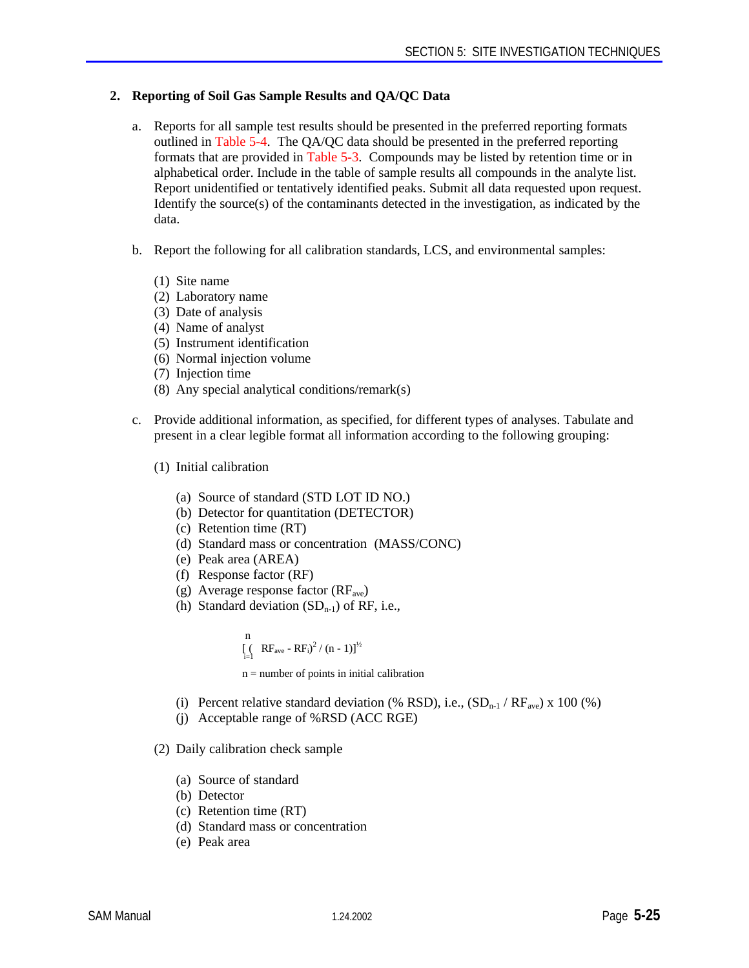# **2. Reporting of Soil Gas Sample Results and QA/QC Data**

- a. Reports for all sample test results should be presented in the preferred reporting formats outlined in Table 5-4. The QA/QC data should be presented in the preferred reporting formats that are provided in Table 5-3. Compounds may be listed by retention time or in alphabetical order. Include in the table of sample results all compounds in the analyte list. Report unidentified or tentatively identified peaks. Submit all data requested upon request. Identify the source $(s)$  of the contaminants detected in the investigation, as indicated by the data.
- b. Report the following for all calibration standards, LCS, and environmental samples:
	- (1) Site name
	- (2) Laboratory name
	- (3) Date of analysis
	- (4) Name of analyst
	- (5) Instrument identification
	- (6) Normal injection volume
	- (7) Injection time
	- (8) Any special analytical conditions/remark(s)
- c. Provide additional information, as specified, for different types of analyses. Tabulate and present in a clear legible format all information according to the following grouping:
	- (1) Initial calibration
		- (a) Source of standard (STD LOT ID NO.)
		- (b) Detector for quantitation (DETECTOR)
		- (c) Retention time (RT)
		- (d) Standard mass or concentration (MASS/CONC)
		- (e) Peak area (AREA)
		- (f) Response factor (RF)
		- (g) Average response factor  $(RF_{ave})$
		- (h) Standard deviation  $(SD_{n-1})$  of RF, i.e.,

 n  $\left[\begin{array}{cc} (R F_{\text{ave}} - R F_i)^2 / (n - 1) \end{array}\right]^{1/2}$ 

 $n =$  number of points in initial calibration

- (i) Percent relative standard deviation (% RSD), i.e.,  $(SD_{n-1}/RF_{ave}) \times 100$  (%)
- (j) Acceptable range of %RSD (ACC RGE)
- (2) Daily calibration check sample
	- (a) Source of standard
	- (b) Detector
	- (c) Retention time (RT)
	- (d) Standard mass or concentration
	- (e) Peak area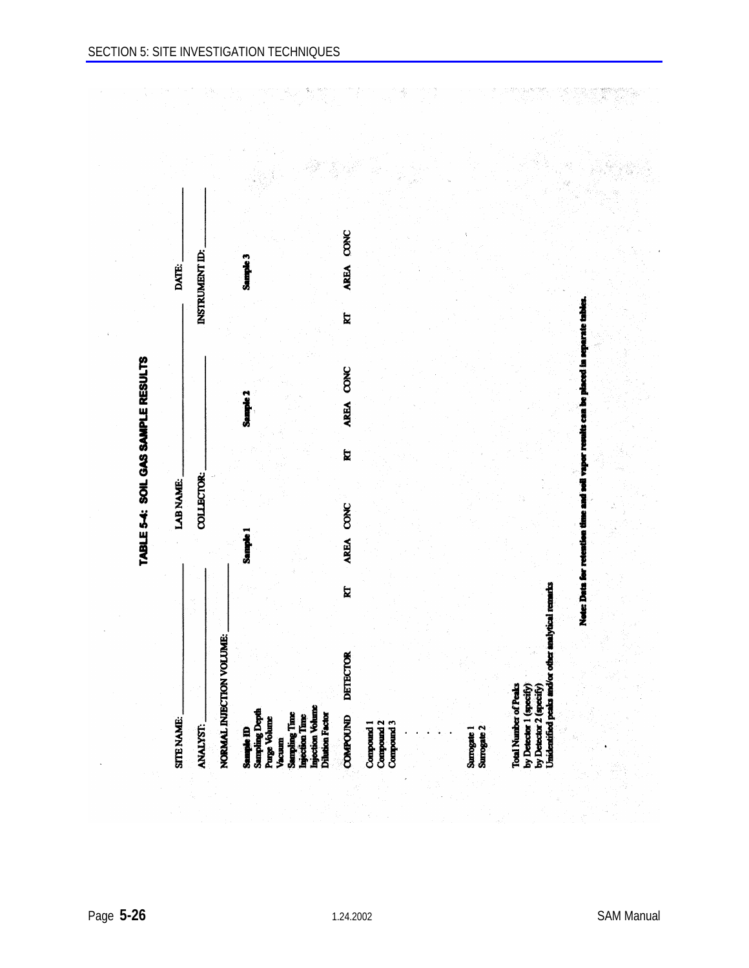$\label{eq:3.1} \mathcal{L}(\mathcal{A}) = \mathcal{L}(\mathcal{A}) = \mathcal{L}(\mathcal{A}) = \frac{1}{4} \mathcal{L}(\mathcal{A}) \mathcal{A}^{\text{eff}}.$ 

 $\sim$ 

 $\bar{r}$ 

 $\mathcal{A}$ 

| AREA CONC<br>INSTRUMENT ID:<br>Sample 3<br>Note: Data for retention time and soil vapor results can be placed in separate tables<br>$\overline{\mathbf{z}}$<br>AREA CONC<br>Sample 2<br>E<br>COLLECTOR:<br>AREA CONC<br>Sample 1<br>$\mathbf{z}$<br><b>DETECTOR</b><br><b>ANALYST:</b> |  |
|----------------------------------------------------------------------------------------------------------------------------------------------------------------------------------------------------------------------------------------------------------------------------------------|--|
| NORMAL INJECTION VOLUME:<br><b>Sampling Depth</b><br><b>Sampling Time</b><br>Purge Volume<br>Sample <b>ID</b><br>Vacuum                                                                                                                                                                |  |
|                                                                                                                                                                                                                                                                                        |  |
|                                                                                                                                                                                                                                                                                        |  |
|                                                                                                                                                                                                                                                                                        |  |
| Injection Volume<br>Injection Time                                                                                                                                                                                                                                                     |  |
| <b>Dilution Factor</b><br><b>COMPOUND</b><br>Compound <sub>2</sub><br>Compound 3<br>Compound 1                                                                                                                                                                                         |  |
|                                                                                                                                                                                                                                                                                        |  |
|                                                                                                                                                                                                                                                                                        |  |
|                                                                                                                                                                                                                                                                                        |  |
| <b>Total Number of Peak</b><br>Surrogate 2<br>Surrogate 1                                                                                                                                                                                                                              |  |
|                                                                                                                                                                                                                                                                                        |  |
|                                                                                                                                                                                                                                                                                        |  |
|                                                                                                                                                                                                                                                                                        |  |
|                                                                                                                                                                                                                                                                                        |  |
|                                                                                                                                                                                                                                                                                        |  |
| Unidentified peaks and/or other analytical remarks<br>by Detector 1 (specify)<br>by Detector 2 (specify                                                                                                                                                                                |  |
|                                                                                                                                                                                                                                                                                        |  |
|                                                                                                                                                                                                                                                                                        |  |
|                                                                                                                                                                                                                                                                                        |  |
|                                                                                                                                                                                                                                                                                        |  |

 $\frac{d^2}{dt^2}$ 

 $\frac{\partial}{\partial \omega}$ 

가, 성원,

 $\mathcal{R}$  -summary  $\mathcal{R}$ 

W)<br>M

Ň,

 $\hat{\vec{r}} = \vec{r}$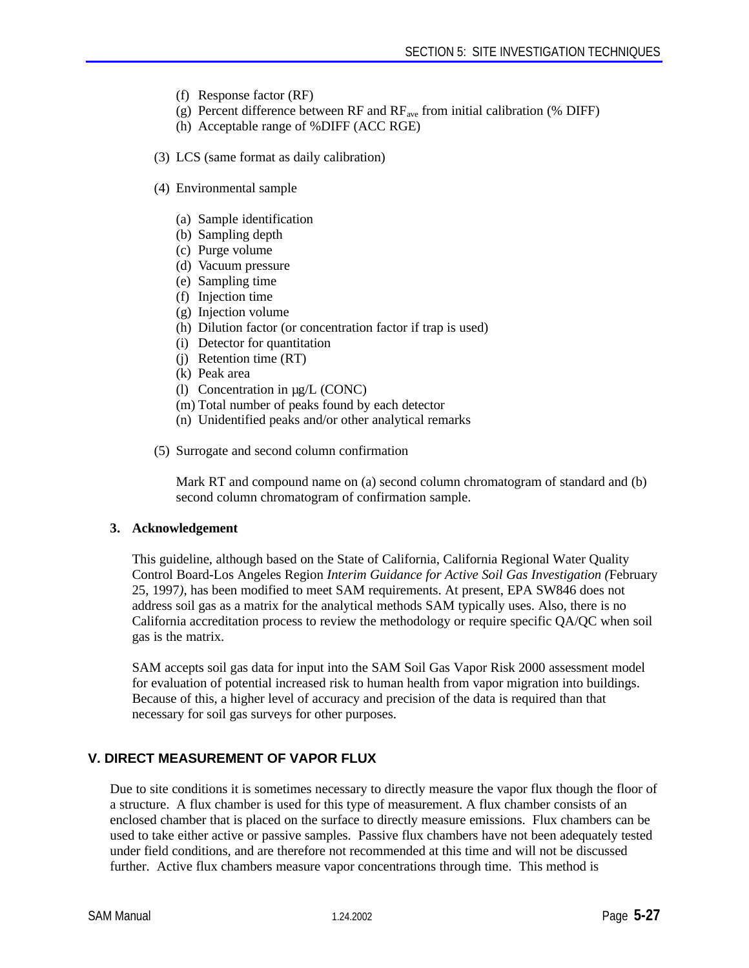- (f) Response factor (RF)
- (g) Percent difference between RF and  $RF_{ave}$  from initial calibration (% DIFF)
- (h) Acceptable range of %DIFF (ACC RGE)
- (3) LCS (same format as daily calibration)
- (4) Environmental sample
	- (a) Sample identification
	- (b) Sampling depth
	- (c) Purge volume
	- (d) Vacuum pressure
	- (e) Sampling time
	- (f) Injection time
	- (g) Injection volume
	- (h) Dilution factor (or concentration factor if trap is used)
	- (i) Detector for quantitation
	- (j) Retention time (RT)
	- (k) Peak area
	- (l) Concentration in µg/L (CONC)
	- (m) Total number of peaks found by each detector
	- (n) Unidentified peaks and/or other analytical remarks
- (5) Surrogate and second column confirmation

Mark RT and compound name on (a) second column chromatogram of standard and (b) second column chromatogram of confirmation sample.

#### **3. Acknowledgement**

This guideline, although based on the State of California, California Regional Water Quality Control Board-Los Angeles Region *Interim Guidance for Active Soil Gas Investigation (*February 25, 1997*)*, has been modified to meet SAM requirements. At present, EPA SW846 does not address soil gas as a matrix for the analytical methods SAM typically uses. Also, there is no California accreditation process to review the methodology or require specific QA/QC when soil gas is the matrix.

SAM accepts soil gas data for input into the SAM Soil Gas Vapor Risk 2000 assessment model for evaluation of potential increased risk to human health from vapor migration into buildings. Because of this, a higher level of accuracy and precision of the data is required than that necessary for soil gas surveys for other purposes.

#### **V. DIRECT MEASUREMENT OF VAPOR FLUX**

Due to site conditions it is sometimes necessary to directly measure the vapor flux though the floor of a structure. A flux chamber is used for this type of measurement. A flux chamber consists of an enclosed chamber that is placed on the surface to directly measure emissions. Flux chambers can be used to take either active or passive samples. Passive flux chambers have not been adequately tested under field conditions, and are therefore not recommended at this time and will not be discussed further. Active flux chambers measure vapor concentrations through time. This method is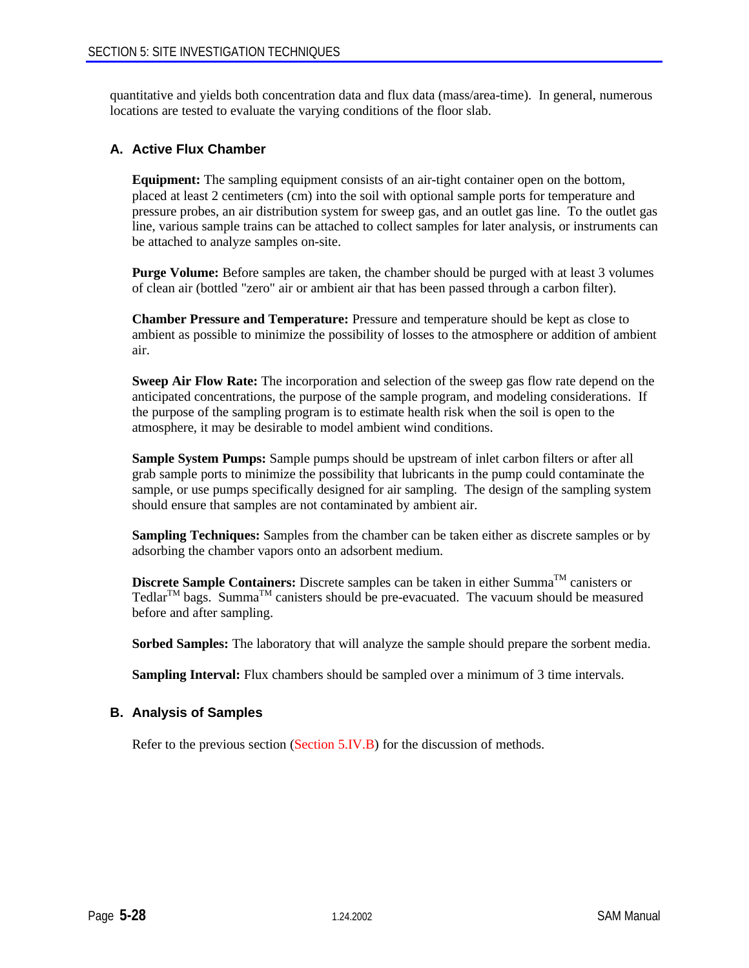quantitative and yields both concentration data and flux data (mass/area-time). In general, numerous locations are tested to evaluate the varying conditions of the floor slab.

# **A. Active Flux Chamber**

**Equipment:** The sampling equipment consists of an air-tight container open on the bottom, placed at least 2 centimeters (cm) into the soil with optional sample ports for temperature and pressure probes, an air distribution system for sweep gas, and an outlet gas line. To the outlet gas line, various sample trains can be attached to collect samples for later analysis, or instruments can be attached to analyze samples on-site.

**Purge Volume:** Before samples are taken, the chamber should be purged with at least 3 volumes of clean air (bottled "zero" air or ambient air that has been passed through a carbon filter).

**Chamber Pressure and Temperature:** Pressure and temperature should be kept as close to ambient as possible to minimize the possibility of losses to the atmosphere or addition of ambient air.

**Sweep Air Flow Rate:** The incorporation and selection of the sweep gas flow rate depend on the anticipated concentrations, the purpose of the sample program, and modeling considerations. If the purpose of the sampling program is to estimate health risk when the soil is open to the atmosphere, it may be desirable to model ambient wind conditions.

**Sample System Pumps:** Sample pumps should be upstream of inlet carbon filters or after all grab sample ports to minimize the possibility that lubricants in the pump could contaminate the sample, or use pumps specifically designed for air sampling. The design of the sampling system should ensure that samples are not contaminated by ambient air.

**Sampling Techniques:** Samples from the chamber can be taken either as discrete samples or by adsorbing the chamber vapors onto an adsorbent medium.

**Discrete Sample Containers:** Discrete samples can be taken in either Summa<sup>TM</sup> canisters or Tedlar<sup>TM</sup> bags. Summa<sup>TM</sup> canisters should be pre-evacuated. The vacuum should be measured before and after sampling.

**Sorbed Samples:** The laboratory that will analyze the sample should prepare the sorbent media.

**Sampling Interval:** Flux chambers should be sampled over a minimum of 3 time intervals.

#### **B. Analysis of Samples**

Refer to the previous section (Section 5.IV.B) for the discussion of methods.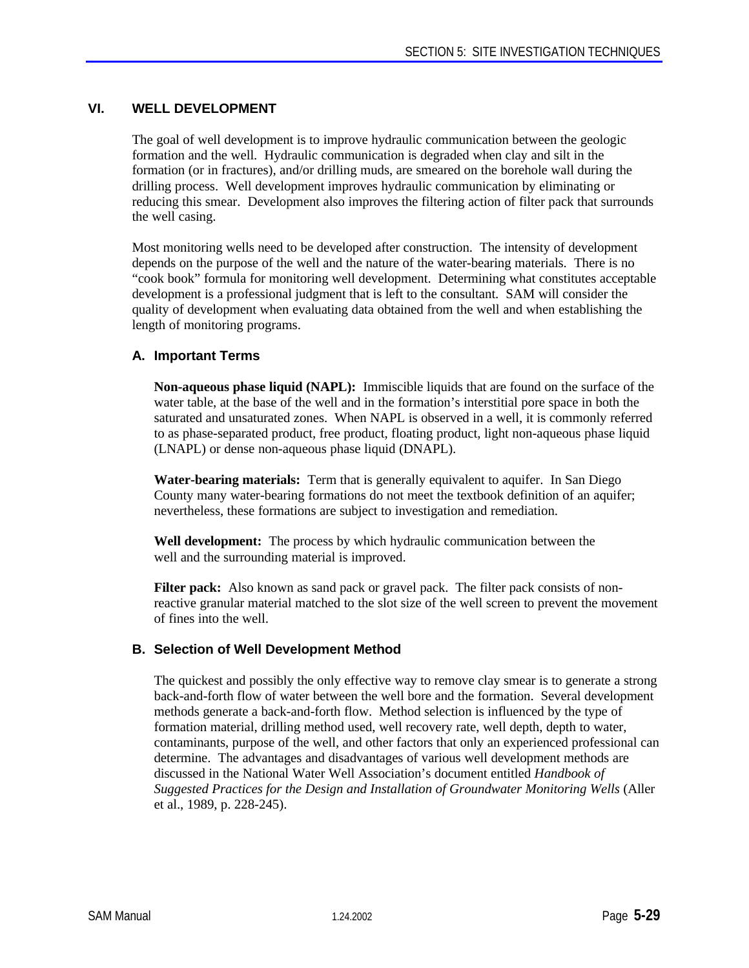# **VI. WELL DEVELOPMENT**

The goal of well development is to improve hydraulic communication between the geologic formation and the well. Hydraulic communication is degraded when clay and silt in the formation (or in fractures), and/or drilling muds, are smeared on the borehole wall during the drilling process. Well development improves hydraulic communication by eliminating or reducing this smear. Development also improves the filtering action of filter pack that surrounds the well casing.

Most monitoring wells need to be developed after construction. The intensity of development depends on the purpose of the well and the nature of the water-bearing materials. There is no "cook book" formula for monitoring well development. Determining what constitutes acceptable development is a professional judgment that is left to the consultant. SAM will consider the quality of development when evaluating data obtained from the well and when establishing the length of monitoring programs.

# **A. Important Terms**

**Non-aqueous phase liquid (NAPL):** Immiscible liquids that are found on the surface of the water table, at the base of the well and in the formation's interstitial pore space in both the saturated and unsaturated zones. When NAPL is observed in a well, it is commonly referred to as phase-separated product, free product, floating product, light non-aqueous phase liquid (LNAPL) or dense non-aqueous phase liquid (DNAPL).

**Water-bearing materials:** Term that is generally equivalent to aquifer. In San Diego County many water-bearing formations do not meet the textbook definition of an aquifer; nevertheless, these formations are subject to investigation and remediation.

**Well development:** The process by which hydraulic communication between the well and the surrounding material is improved.

**Filter pack:** Also known as sand pack or gravel pack. The filter pack consists of nonreactive granular material matched to the slot size of the well screen to prevent the movement of fines into the well.

# **B. Selection of Well Development Method**

The quickest and possibly the only effective way to remove clay smear is to generate a strong back-and-forth flow of water between the well bore and the formation. Several development methods generate a back-and-forth flow. Method selection is influenced by the type of formation material, drilling method used, well recovery rate, well depth, depth to water, contaminants, purpose of the well, and other factors that only an experienced professional can determine. The advantages and disadvantages of various well development methods are discussed in the National Water Well Association's document entitled *Handbook of Suggested Practices for the Design and Installation of Groundwater Monitoring Wells* (Aller et al., 1989, p. 228-245).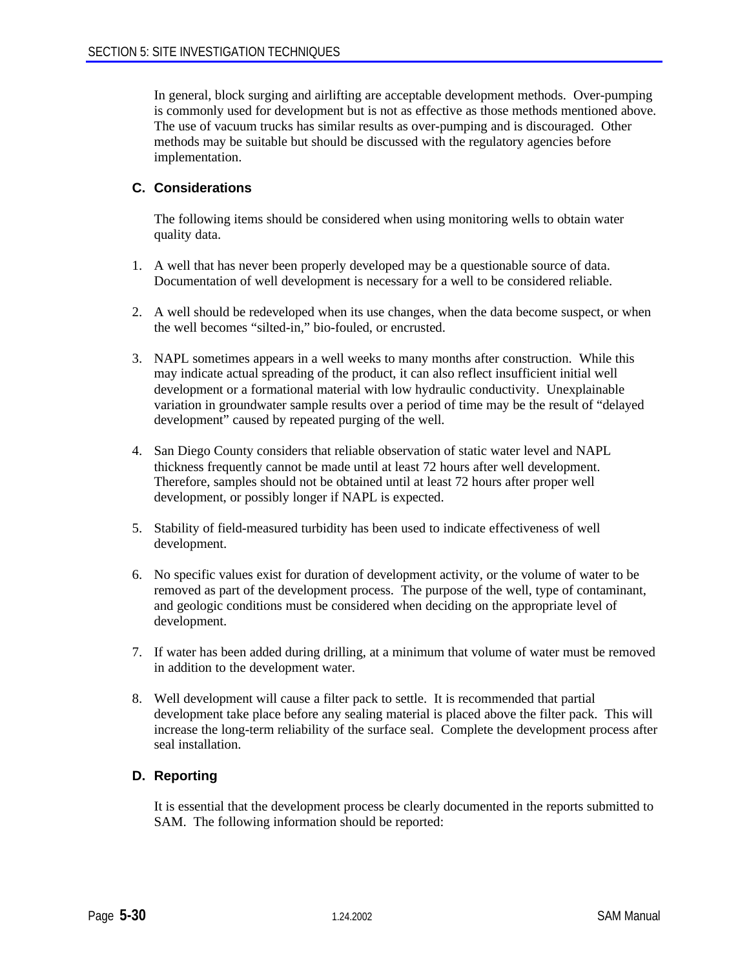In general, block surging and airlifting are acceptable development methods. Over-pumping is commonly used for development but is not as effective as those methods mentioned above. The use of vacuum trucks has similar results as over-pumping and is discouraged. Other methods may be suitable but should be discussed with the regulatory agencies before implementation.

# **C. Considerations**

The following items should be considered when using monitoring wells to obtain water quality data.

- 1. A well that has never been properly developed may be a questionable source of data. Documentation of well development is necessary for a well to be considered reliable.
- 2. A well should be redeveloped when its use changes, when the data become suspect, or when the well becomes "silted-in," bio-fouled, or encrusted.
- 3. NAPL sometimes appears in a well weeks to many months after construction. While this may indicate actual spreading of the product, it can also reflect insufficient initial well development or a formational material with low hydraulic conductivity. Unexplainable variation in groundwater sample results over a period of time may be the result of "delayed development" caused by repeated purging of the well.
- 4. San Diego County considers that reliable observation of static water level and NAPL thickness frequently cannot be made until at least 72 hours after well development. Therefore, samples should not be obtained until at least 72 hours after proper well development, or possibly longer if NAPL is expected.
- 5. Stability of field-measured turbidity has been used to indicate effectiveness of well development.
- 6. No specific values exist for duration of development activity, or the volume of water to be removed as part of the development process. The purpose of the well, type of contaminant, and geologic conditions must be considered when deciding on the appropriate level of development.
- 7. If water has been added during drilling, at a minimum that volume of water must be removed in addition to the development water.
- 8. Well development will cause a filter pack to settle. It is recommended that partial development take place before any sealing material is placed above the filter pack. This will increase the long-term reliability of the surface seal. Complete the development process after seal installation.

# **D. Reporting**

It is essential that the development process be clearly documented in the reports submitted to SAM. The following information should be reported: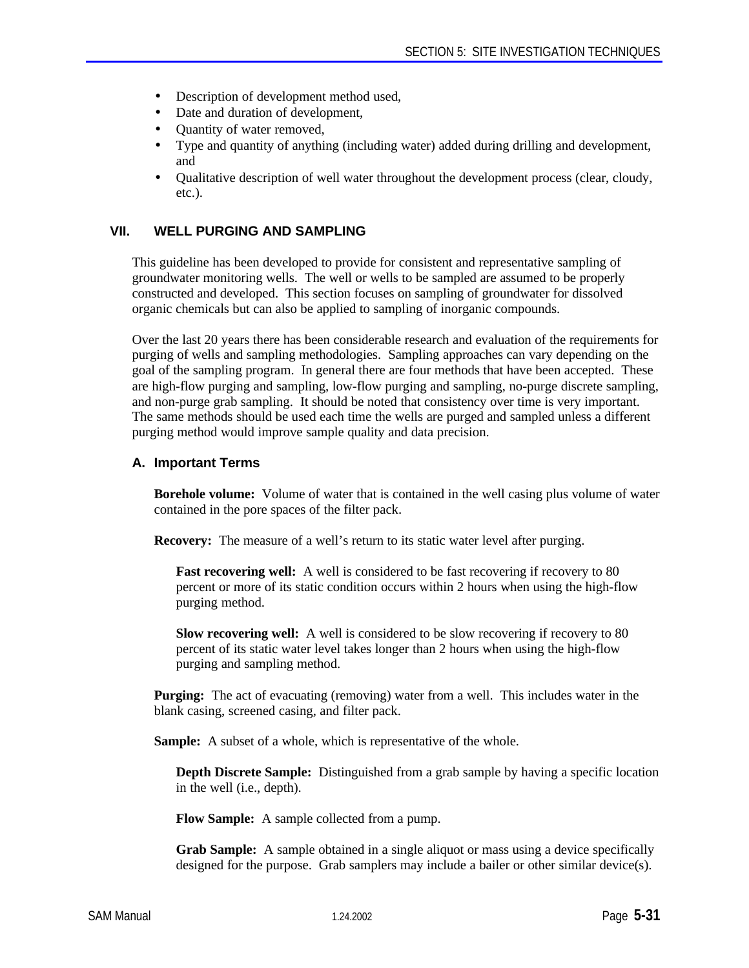- Description of development method used,
- Date and duration of development,
- Quantity of water removed,
- Type and quantity of anything (including water) added during drilling and development, and
- Qualitative description of well water throughout the development process (clear, cloudy, etc.).

# **VII. WELL PURGING AND SAMPLING**

This guideline has been developed to provide for consistent and representative sampling of groundwater monitoring wells. The well or wells to be sampled are assumed to be properly constructed and developed. This section focuses on sampling of groundwater for dissolved organic chemicals but can also be applied to sampling of inorganic compounds.

Over the last 20 years there has been considerable research and evaluation of the requirements for purging of wells and sampling methodologies. Sampling approaches can vary depending on the goal of the sampling program. In general there are four methods that have been accepted. These are high-flow purging and sampling, low-flow purging and sampling, no-purge discrete sampling, and non-purge grab sampling. It should be noted that consistency over time is very important. The same methods should be used each time the wells are purged and sampled unless a different purging method would improve sample quality and data precision.

#### **A. Important Terms**

**Borehole volume:** Volume of water that is contained in the well casing plus volume of water contained in the pore spaces of the filter pack.

**Recovery:** The measure of a well's return to its static water level after purging.

**Fast recovering well:** A well is considered to be fast recovering if recovery to 80 percent or more of its static condition occurs within 2 hours when using the high-flow purging method.

**Slow recovering well:** A well is considered to be slow recovering if recovery to 80 percent of its static water level takes longer than 2 hours when using the high-flow purging and sampling method.

**Purging:** The act of evacuating (removing) water from a well. This includes water in the blank casing, screened casing, and filter pack.

**Sample:** A subset of a whole, which is representative of the whole.

**Depth Discrete Sample:** Distinguished from a grab sample by having a specific location in the well (i.e., depth).

**Flow Sample:** A sample collected from a pump.

**Grab Sample:** A sample obtained in a single aliquot or mass using a device specifically designed for the purpose. Grab samplers may include a bailer or other similar device(s).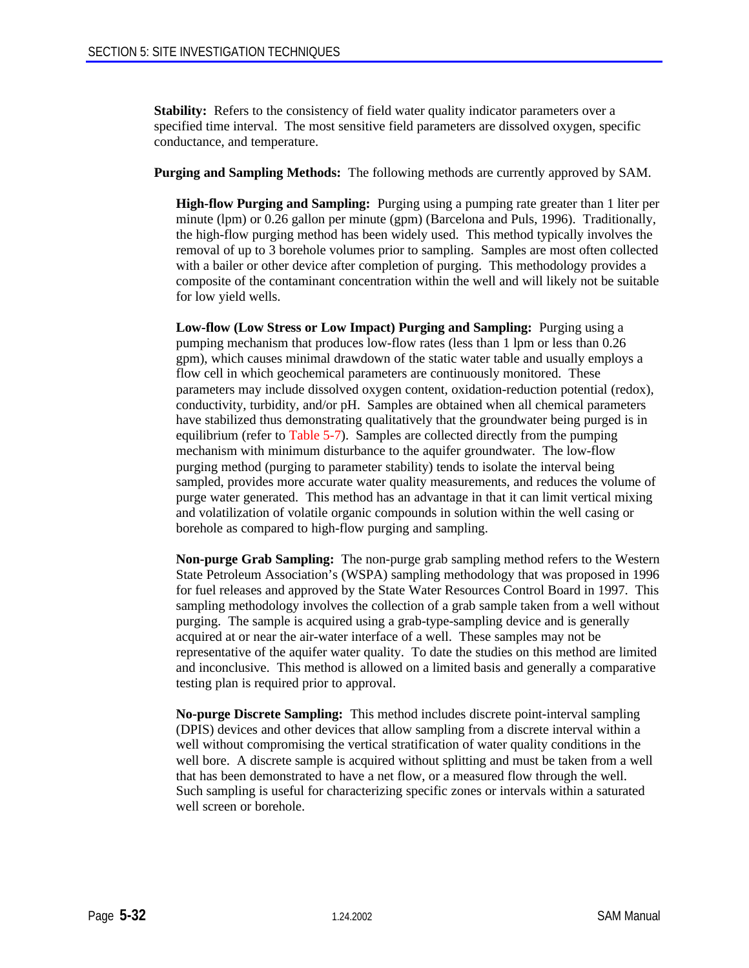**Stability:** Refers to the consistency of field water quality indicator parameters over a specified time interval. The most sensitive field parameters are dissolved oxygen, specific conductance, and temperature.

**Purging and Sampling Methods:** The following methods are currently approved by SAM.

**High-flow Purging and Sampling:** Purging using a pumping rate greater than 1 liter per minute (lpm) or 0.26 gallon per minute (gpm) (Barcelona and Puls, 1996). Traditionally, the high-flow purging method has been widely used. This method typically involves the removal of up to 3 borehole volumes prior to sampling. Samples are most often collected with a bailer or other device after completion of purging. This methodology provides a composite of the contaminant concentration within the well and will likely not be suitable for low yield wells.

**Low-flow (Low Stress or Low Impact) Purging and Sampling:** Purging using a pumping mechanism that produces low-flow rates (less than 1 lpm or less than 0.26 gpm), which causes minimal drawdown of the static water table and usually employs a flow cell in which geochemical parameters are continuously monitored. These parameters may include dissolved oxygen content, oxidation-reduction potential (redox), conductivity, turbidity, and/or pH. Samples are obtained when all chemical parameters have stabilized thus demonstrating qualitatively that the groundwater being purged is in equilibrium (refer to Table 5-7). Samples are collected directly from the pumping mechanism with minimum disturbance to the aquifer groundwater. The low-flow purging method (purging to parameter stability) tends to isolate the interval being sampled, provides more accurate water quality measurements, and reduces the volume of purge water generated. This method has an advantage in that it can limit vertical mixing and volatilization of volatile organic compounds in solution within the well casing or borehole as compared to high-flow purging and sampling.

**Non-purge Grab Sampling:** The non-purge grab sampling method refers to the Western State Petroleum Association's (WSPA) sampling methodology that was proposed in 1996 for fuel releases and approved by the State Water Resources Control Board in 1997. This sampling methodology involves the collection of a grab sample taken from a well without purging. The sample is acquired using a grab-type-sampling device and is generally acquired at or near the air-water interface of a well. These samples may not be representative of the aquifer water quality. To date the studies on this method are limited and inconclusive. This method is allowed on a limited basis and generally a comparative testing plan is required prior to approval.

**No-purge Discrete Sampling:** This method includes discrete point-interval sampling (DPIS) devices and other devices that allow sampling from a discrete interval within a well without compromising the vertical stratification of water quality conditions in the well bore. A discrete sample is acquired without splitting and must be taken from a well that has been demonstrated to have a net flow, or a measured flow through the well. Such sampling is useful for characterizing specific zones or intervals within a saturated well screen or borehole.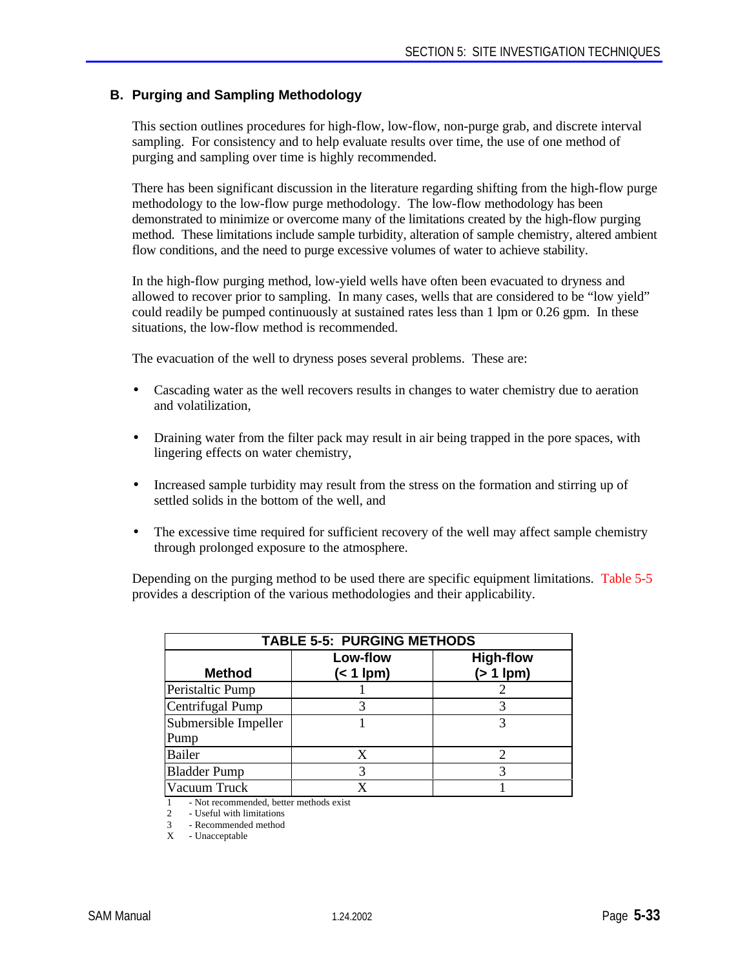# **B. Purging and Sampling Methodology**

This section outlines procedures for high-flow, low-flow, non-purge grab, and discrete interval sampling. For consistency and to help evaluate results over time, the use of one method of purging and sampling over time is highly recommended.

There has been significant discussion in the literature regarding shifting from the high-flow purge methodology to the low-flow purge methodology. The low-flow methodology has been demonstrated to minimize or overcome many of the limitations created by the high-flow purging method. These limitations include sample turbidity, alteration of sample chemistry, altered ambient flow conditions, and the need to purge excessive volumes of water to achieve stability.

In the high-flow purging method, low-yield wells have often been evacuated to dryness and allowed to recover prior to sampling. In many cases, wells that are considered to be "low yield" could readily be pumped continuously at sustained rates less than 1 lpm or 0.26 gpm. In these situations, the low-flow method is recommended.

The evacuation of the well to dryness poses several problems. These are:

- Cascading water as the well recovers results in changes to water chemistry due to aeration and volatilization,
- Draining water from the filter pack may result in air being trapped in the pore spaces, with lingering effects on water chemistry,
- Increased sample turbidity may result from the stress on the formation and stirring up of settled solids in the bottom of the well, and
- The excessive time required for sufficient recovery of the well may affect sample chemistry through prolonged exposure to the atmosphere.

Depending on the purging method to be used there are specific equipment limitations. Table 5-5 provides a description of the various methodologies and their applicability.

| <b>TABLE 5-5: PURGING METHODS</b> |                         |                                    |  |  |
|-----------------------------------|-------------------------|------------------------------------|--|--|
| <b>Method</b>                     | Low-flow<br>$(< 1$ lpm) | <b>High-flow</b><br>$(> 1$ lpm $)$ |  |  |
| Peristaltic Pump                  |                         |                                    |  |  |
| Centrifugal Pump                  |                         |                                    |  |  |
| Submersible Impeller<br>Pump      |                         |                                    |  |  |
| <b>Bailer</b>                     | X                       |                                    |  |  |
| <b>Bladder Pump</b>               | 3                       |                                    |  |  |
| Vacuum Truck                      | x                       |                                    |  |  |

1 - Not recommended, better methods exist<br>2 - Useful with limitations

2 - Useful with limitations

3 - Recommended method

X - Unacceptable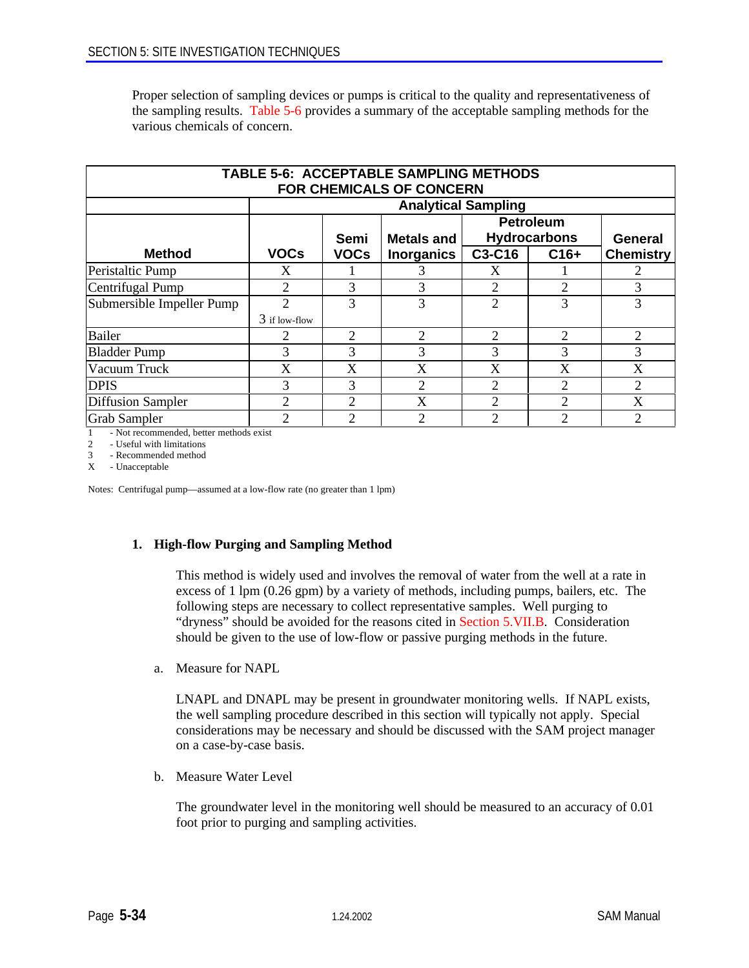Proper selection of sampling devices or pumps is critical to the quality and representativeness of the sampling results. Table 5-6 provides a summary of the acceptable sampling methods for the various chemicals of concern.

| <b>TABLE 5-6: ACCEPTABLE SAMPLING METHODS</b><br><b>FOR CHEMICALS OF CONCERN</b> |                            |                |                   |                             |                             |                  |
|----------------------------------------------------------------------------------|----------------------------|----------------|-------------------|-----------------------------|-----------------------------|------------------|
|                                                                                  | <b>Analytical Sampling</b> |                |                   |                             |                             |                  |
|                                                                                  |                            |                |                   |                             | <b>Petroleum</b>            |                  |
|                                                                                  |                            | Semi           | <b>Metals and</b> |                             | <b>Hydrocarbons</b>         | <b>General</b>   |
| <b>Method</b>                                                                    | <b>VOCs</b>                | <b>VOCs</b>    | <b>Inorganics</b> | C3-C16                      | $C16+$                      | <b>Chemistry</b> |
| Peristaltic Pump                                                                 | X                          |                | 3                 | X                           |                             | 2                |
| Centrifugal Pump                                                                 | 2                          | 3              | 3                 | 2                           | 2                           | 3                |
| Submersible Impeller Pump                                                        | 2                          | 3              | 3                 | $\overline{2}$              | 3                           | 3                |
|                                                                                  | $3$ if low-flow            |                |                   |                             |                             |                  |
| <b>Bailer</b>                                                                    |                            | $\mathfrak{D}$ | $\overline{2}$    | $\overline{2}$              | 2                           | 2                |
| <b>Bladder Pump</b>                                                              | 3                          | 3              | 3                 | 3                           | 3                           | 3                |
| Vacuum Truck                                                                     | X                          | X              | X                 | X                           | X                           | X                |
| <b>DPIS</b>                                                                      | 3                          | 3              | $\overline{2}$    | 2                           | 2                           | 2                |
| <b>Diffusion Sampler</b>                                                         | 2                          | $\overline{2}$ | X                 | $\overline{2}$              | 2                           | X                |
| <b>Grab Sampler</b>                                                              | 2                          | $\overline{2}$ | $\overline{2}$    | $\mathcal{D}_{\mathcal{A}}$ | $\mathcal{D}_{\mathcal{L}}$ | $\overline{2}$   |

1 - Not recommended, better methods exist

2 - Useful with limitations<br>3 - Recommended method

3 - Recommended method

X - Unacceptable

Notes: Centrifugal pump—assumed at a low-flow rate (no greater than 1 lpm)

# **1. High-flow Purging and Sampling Method**

This method is widely used and involves the removal of water from the well at a rate in excess of 1 lpm (0.26 gpm) by a variety of methods, including pumps, bailers, etc. The following steps are necessary to collect representative samples. Well purging to "dryness" should be avoided for the reasons cited in Section 5.VII.B. Consideration should be given to the use of low-flow or passive purging methods in the future.

a. Measure for NAPL

LNAPL and DNAPL may be present in groundwater monitoring wells. If NAPL exists, the well sampling procedure described in this section will typically not apply. Special considerations may be necessary and should be discussed with the SAM project manager on a case-by-case basis.

b. Measure Water Level

The groundwater level in the monitoring well should be measured to an accuracy of 0.01 foot prior to purging and sampling activities.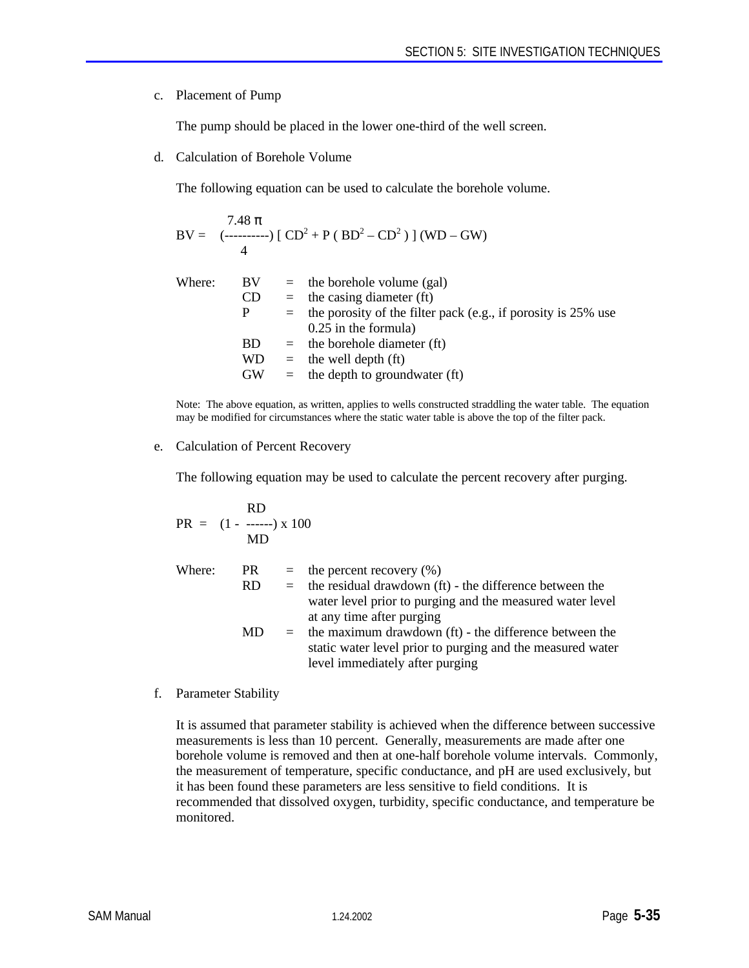#### c. Placement of Pump

The pump should be placed in the lower one-third of the well screen.

d. Calculation of Borehole Volume

The following equation can be used to calculate the borehole volume.

$$
BV = \frac{7.48 \pi}{4} [CD^{2} + P (BD^{2} - CD^{2})] (WD - GW)
$$

| Where: | BV.       | $=$ the borehole volume (gal)                                     |
|--------|-----------|-------------------------------------------------------------------|
|        | <b>CD</b> | $=$ the casing diameter (ft)                                      |
|        | P.        | $=$ the porosity of the filter pack (e.g., if porosity is 25% use |
|        |           | $0.25$ in the formula)                                            |
|        | BD.       | $=$ the borehole diameter (ft)                                    |
|        | WD        | $=$ the well depth (ft)                                           |
|        | <b>GW</b> | $=$ the depth to groundwater (ft)                                 |

Note: The above equation, as written, applies to wells constructed straddling the water table. The equation may be modified for circumstances where the static water table is above the top of the filter pack.

#### e. Calculation of Percent Recovery

The following equation may be used to calculate the percent recovery after purging.

$$
PR = (1 - \frac{RD}{MD}) \times 100
$$

| Where: | PR.       | $=$ the percent recovery $(\%)$                             |
|--------|-----------|-------------------------------------------------------------|
|        | <b>RD</b> | $=$ the residual drawdown (ft) - the difference between the |
|        |           | water level prior to purging and the measured water level   |
|        |           | at any time after purging                                   |
|        | MD.       | $=$ the maximum drawdown (ft) - the difference between the  |
|        |           | static water level prior to purging and the measured water  |

level immediately after purging

f. Parameter Stability

It is assumed that parameter stability is achieved when the difference between successive measurements is less than 10 percent. Generally, measurements are made after one borehole volume is removed and then at one-half borehole volume intervals. Commonly, the measurement of temperature, specific conductance, and pH are used exclusively, but it has been found these parameters are less sensitive to field conditions. It is recommended that dissolved oxygen, turbidity, specific conductance, and temperature be monitored.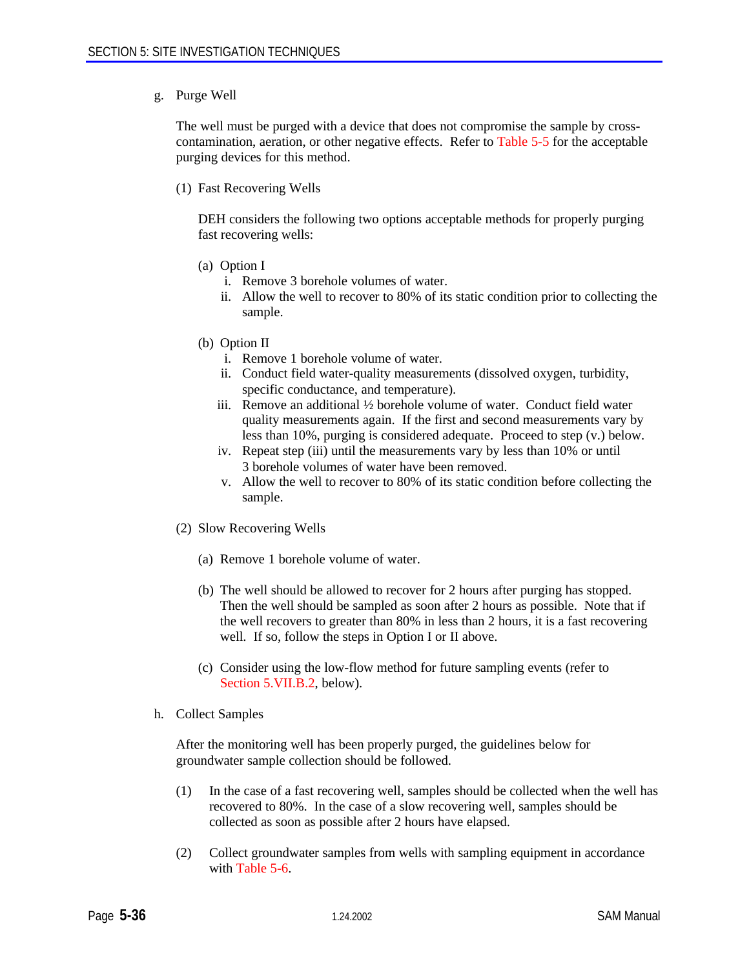#### g. Purge Well

The well must be purged with a device that does not compromise the sample by crosscontamination, aeration, or other negative effects. Refer to Table 5-5 for the acceptable purging devices for this method.

(1) Fast Recovering Wells

DEH considers the following two options acceptable methods for properly purging fast recovering wells:

- (a) Option I
	- i. Remove 3 borehole volumes of water.
	- ii. Allow the well to recover to 80% of its static condition prior to collecting the sample.
- (b) Option II
	- i. Remove 1 borehole volume of water.
	- ii. Conduct field water-quality measurements (dissolved oxygen, turbidity, specific conductance, and temperature).
	- iii. Remove an additional ½ borehole volume of water. Conduct field water quality measurements again. If the first and second measurements vary by less than 10%, purging is considered adequate. Proceed to step (v.) below.
	- iv. Repeat step (iii) until the measurements vary by less than 10% or until 3 borehole volumes of water have been removed.
	- v. Allow the well to recover to 80% of its static condition before collecting the sample.
- (2) Slow Recovering Wells
	- (a) Remove 1 borehole volume of water.
	- (b) The well should be allowed to recover for 2 hours after purging has stopped. Then the well should be sampled as soon after 2 hours as possible. Note that if the well recovers to greater than 80% in less than 2 hours, it is a fast recovering well. If so, follow the steps in Option I or II above.
	- (c) Consider using the low-flow method for future sampling events (refer to Section 5.VII.B.2, below).
- h. Collect Samples

After the monitoring well has been properly purged, the guidelines below for groundwater sample collection should be followed.

- (1) In the case of a fast recovering well, samples should be collected when the well has recovered to 80%. In the case of a slow recovering well, samples should be collected as soon as possible after 2 hours have elapsed.
- (2) Collect groundwater samples from wells with sampling equipment in accordance with Table 5-6.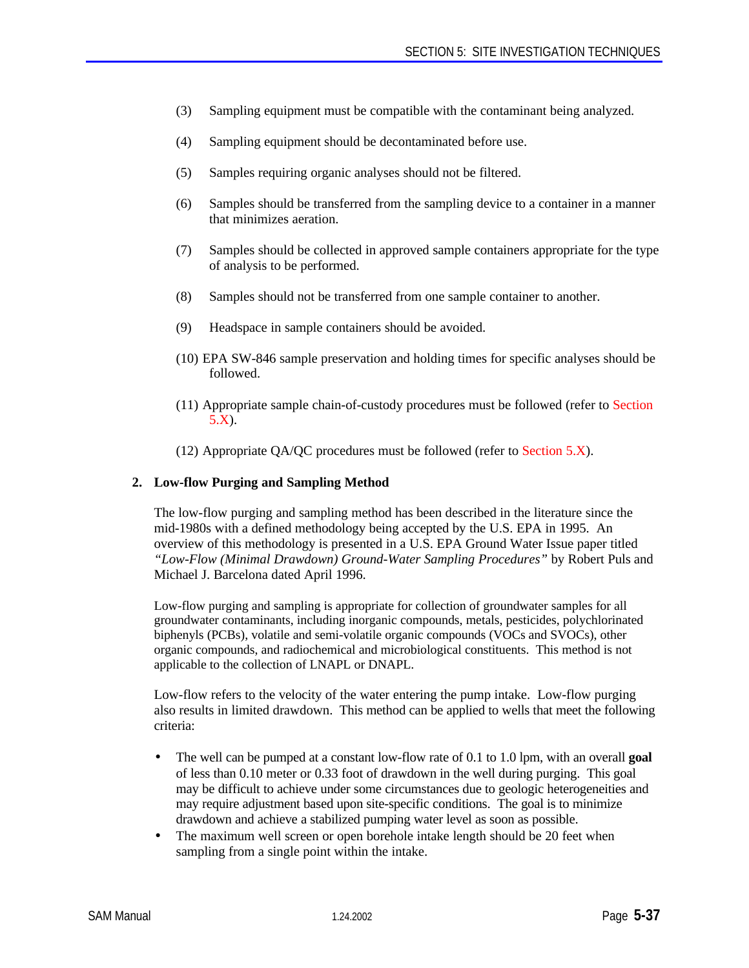- (3) Sampling equipment must be compatible with the contaminant being analyzed.
- (4) Sampling equipment should be decontaminated before use.
- (5) Samples requiring organic analyses should not be filtered.
- (6) Samples should be transferred from the sampling device to a container in a manner that minimizes aeration.
- (7) Samples should be collected in approved sample containers appropriate for the type of analysis to be performed.
- (8) Samples should not be transferred from one sample container to another.
- (9) Headspace in sample containers should be avoided.
- (10) EPA SW-846 sample preservation and holding times for specific analyses should be followed.
- (11) Appropriate sample chain-of-custody procedures must be followed (refer to Section 5.X).
- (12) Appropriate QA/QC procedures must be followed (refer to Section 5.X).

#### **2. Low-flow Purging and Sampling Method**

The low-flow purging and sampling method has been described in the literature since the mid-1980s with a defined methodology being accepted by the U.S. EPA in 1995. An overview of this methodology is presented in a U.S. EPA Ground Water Issue paper titled *"Low-Flow (Minimal Drawdown) Ground-Water Sampling Procedures"* by Robert Puls and Michael J. Barcelona dated April 1996.

Low-flow purging and sampling is appropriate for collection of groundwater samples for all groundwater contaminants, including inorganic compounds, metals, pesticides, polychlorinated biphenyls (PCBs), volatile and semi-volatile organic compounds (VOCs and SVOCs), other organic compounds, and radiochemical and microbiological constituents. This method is not applicable to the collection of LNAPL or DNAPL.

Low-flow refers to the velocity of the water entering the pump intake. Low-flow purging also results in limited drawdown. This method can be applied to wells that meet the following criteria:

- The well can be pumped at a constant low-flow rate of 0.1 to 1.0 lpm, with an overall **goal** of less than 0.10 meter or 0.33 foot of drawdown in the well during purging. This goal may be difficult to achieve under some circumstances due to geologic heterogeneities and may require adjustment based upon site-specific conditions. The goal is to minimize drawdown and achieve a stabilized pumping water level as soon as possible.
- The maximum well screen or open borehole intake length should be 20 feet when sampling from a single point within the intake.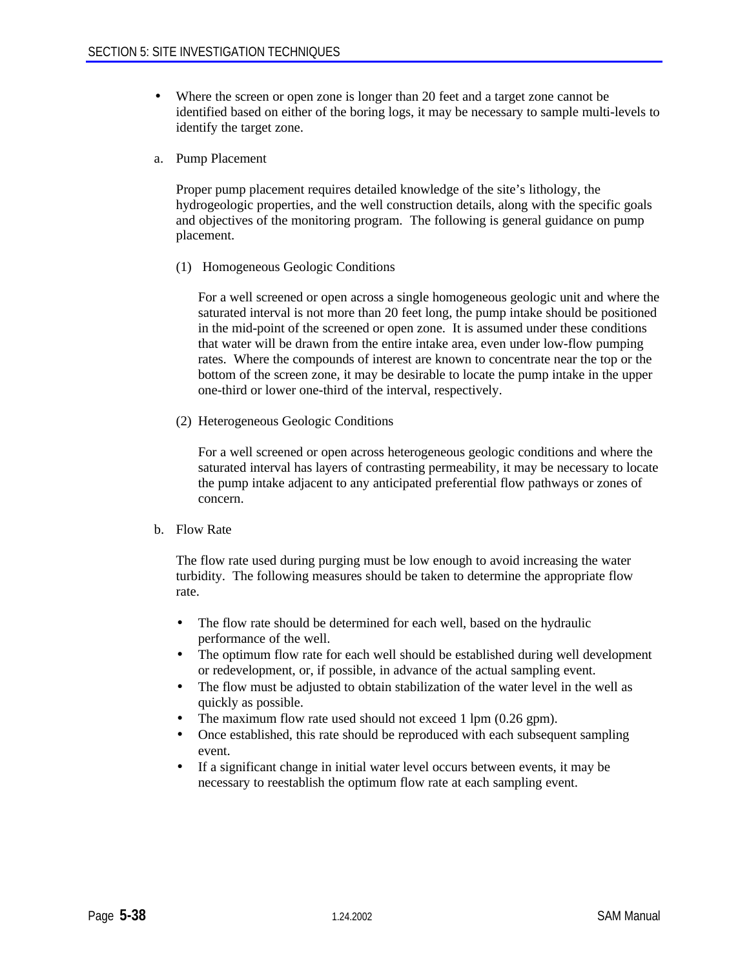- Where the screen or open zone is longer than 20 feet and a target zone cannot be identified based on either of the boring logs, it may be necessary to sample multi-levels to identify the target zone.
- a. Pump Placement

Proper pump placement requires detailed knowledge of the site's lithology, the hydrogeologic properties, and the well construction details, along with the specific goals and objectives of the monitoring program. The following is general guidance on pump placement.

(1) Homogeneous Geologic Conditions

For a well screened or open across a single homogeneous geologic unit and where the saturated interval is not more than 20 feet long, the pump intake should be positioned in the mid-point of the screened or open zone. It is assumed under these conditions that water will be drawn from the entire intake area, even under low-flow pumping rates. Where the compounds of interest are known to concentrate near the top or the bottom of the screen zone, it may be desirable to locate the pump intake in the upper one-third or lower one-third of the interval, respectively.

(2) Heterogeneous Geologic Conditions

For a well screened or open across heterogeneous geologic conditions and where the saturated interval has layers of contrasting permeability, it may be necessary to locate the pump intake adjacent to any anticipated preferential flow pathways or zones of concern.

b. Flow Rate

The flow rate used during purging must be low enough to avoid increasing the water turbidity. The following measures should be taken to determine the appropriate flow rate.

- The flow rate should be determined for each well, based on the hydraulic performance of the well.
- The optimum flow rate for each well should be established during well development or redevelopment, or, if possible, in advance of the actual sampling event.
- The flow must be adjusted to obtain stabilization of the water level in the well as quickly as possible.
- The maximum flow rate used should not exceed 1 lpm (0.26 gpm).
- Once established, this rate should be reproduced with each subsequent sampling event.
- If a significant change in initial water level occurs between events, it may be necessary to reestablish the optimum flow rate at each sampling event.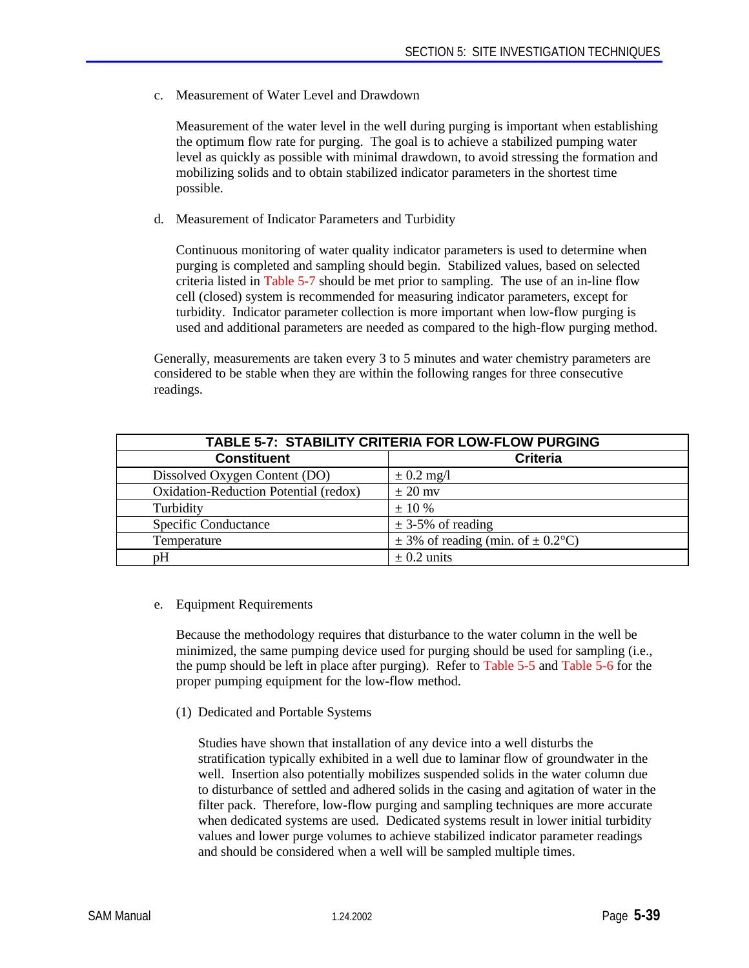c. Measurement of Water Level and Drawdown

Measurement of the water level in the well during purging is important when establishing the optimum flow rate for purging. The goal is to achieve a stabilized pumping water level as quickly as possible with minimal drawdown, to avoid stressing the formation and mobilizing solids and to obtain stabilized indicator parameters in the shortest time possible.

d. Measurement of Indicator Parameters and Turbidity

Continuous monitoring of water quality indicator parameters is used to determine when purging is completed and sampling should begin. Stabilized values, based on selected criteria listed in Table 5-7 should be met prior to sampling. The use of an in-line flow cell (closed) system is recommended for measuring indicator parameters, except for turbidity. Indicator parameter collection is more important when low-flow purging is used and additional parameters are needed as compared to the high-flow purging method.

Generally, measurements are taken every 3 to 5 minutes and water chemistry parameters are considered to be stable when they are within the following ranges for three consecutive readings.

| TABLE 5-7: STABILITY CRITERIA FOR LOW-FLOW PURGING |                                           |  |  |
|----------------------------------------------------|-------------------------------------------|--|--|
| <b>Constituent</b>                                 | <b>Criteria</b>                           |  |  |
| Dissolved Oxygen Content (DO)                      | $\pm$ 0.2 mg/l                            |  |  |
| Oxidation-Reduction Potential (redox)              | $\pm 20$ mv                               |  |  |
| Turbidity                                          | $\pm$ 10 %                                |  |  |
| <b>Specific Conductance</b>                        | $\pm$ 3-5% of reading                     |  |  |
| Temperature                                        | $\pm$ 3% of reading (min. of $\pm$ 0.2°C) |  |  |
| pH                                                 | $\pm$ 0.2 units                           |  |  |

e. Equipment Requirements

Because the methodology requires that disturbance to the water column in the well be minimized, the same pumping device used for purging should be used for sampling (i.e., the pump should be left in place after purging). Refer to Table 5-5 and Table 5-6 for the proper pumping equipment for the low-flow method.

(1) Dedicated and Portable Systems

Studies have shown that installation of any device into a well disturbs the stratification typically exhibited in a well due to laminar flow of groundwater in the well. Insertion also potentially mobilizes suspended solids in the water column due to disturbance of settled and adhered solids in the casing and agitation of water in the filter pack. Therefore, low-flow purging and sampling techniques are more accurate when dedicated systems are used. Dedicated systems result in lower initial turbidity values and lower purge volumes to achieve stabilized indicator parameter readings and should be considered when a well will be sampled multiple times.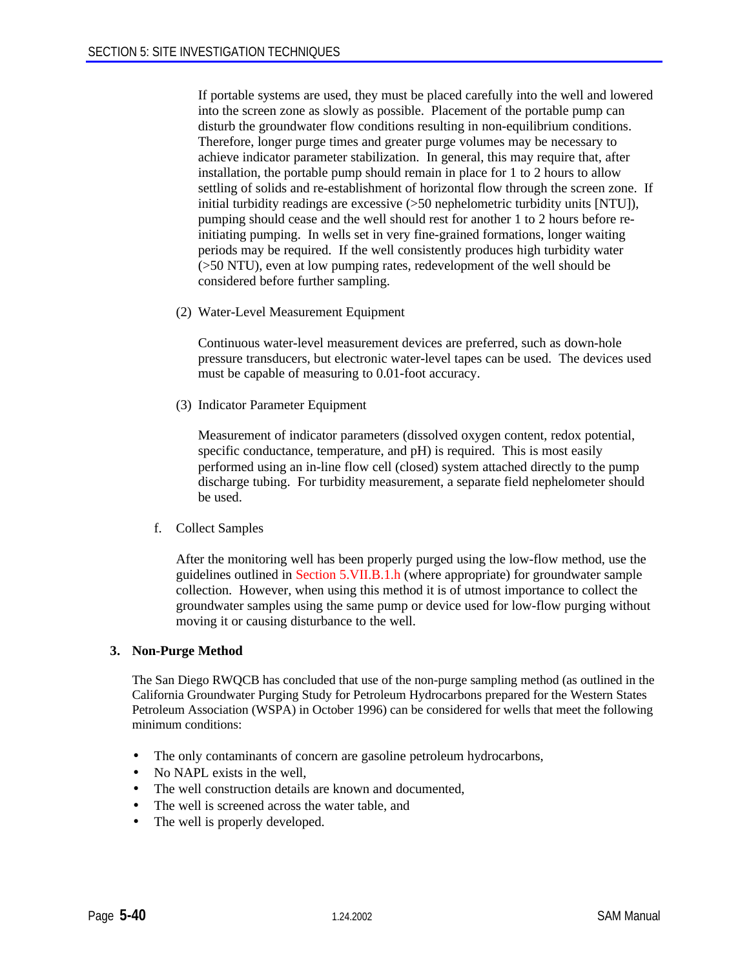If portable systems are used, they must be placed carefully into the well and lowered into the screen zone as slowly as possible. Placement of the portable pump can disturb the groundwater flow conditions resulting in non-equilibrium conditions. Therefore, longer purge times and greater purge volumes may be necessary to achieve indicator parameter stabilization. In general, this may require that, after installation, the portable pump should remain in place for 1 to 2 hours to allow settling of solids and re-establishment of horizontal flow through the screen zone. If initial turbidity readings are excessive (>50 nephelometric turbidity units [NTU]), pumping should cease and the well should rest for another 1 to 2 hours before reinitiating pumping. In wells set in very fine-grained formations, longer waiting periods may be required. If the well consistently produces high turbidity water (>50 NTU), even at low pumping rates, redevelopment of the well should be considered before further sampling.

(2) Water-Level Measurement Equipment

Continuous water-level measurement devices are preferred, such as down-hole pressure transducers, but electronic water-level tapes can be used. The devices used must be capable of measuring to 0.01-foot accuracy.

(3) Indicator Parameter Equipment

Measurement of indicator parameters (dissolved oxygen content, redox potential, specific conductance, temperature, and pH) is required. This is most easily performed using an in-line flow cell (closed) system attached directly to the pump discharge tubing. For turbidity measurement, a separate field nephelometer should be used.

f. Collect Samples

After the monitoring well has been properly purged using the low-flow method, use the guidelines outlined in Section 5.VII.B.1.h (where appropriate) for groundwater sample collection. However, when using this method it is of utmost importance to collect the groundwater samples using the same pump or device used for low-flow purging without moving it or causing disturbance to the well.

#### **3. Non-Purge Method**

The San Diego RWQCB has concluded that use of the non-purge sampling method (as outlined in the California Groundwater Purging Study for Petroleum Hydrocarbons prepared for the Western States Petroleum Association (WSPA) in October 1996) can be considered for wells that meet the following minimum conditions:

- The only contaminants of concern are gasoline petroleum hydrocarbons,
- No NAPL exists in the well,
- The well construction details are known and documented,
- The well is screened across the water table, and
- The well is properly developed.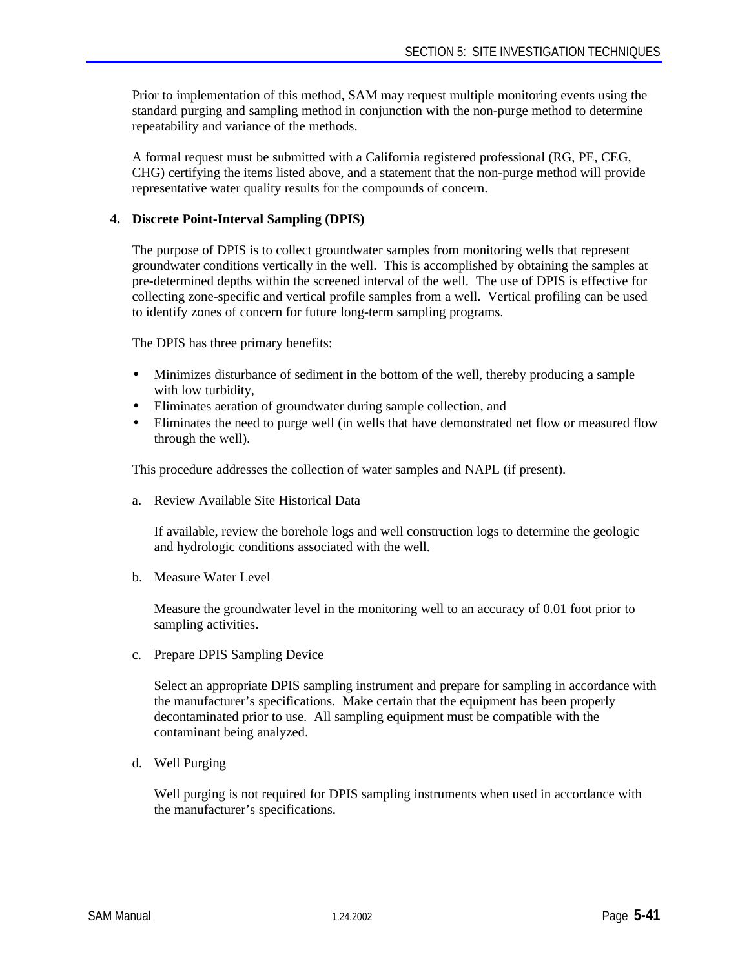Prior to implementation of this method, SAM may request multiple monitoring events using the standard purging and sampling method in conjunction with the non-purge method to determine repeatability and variance of the methods.

A formal request must be submitted with a California registered professional (RG, PE, CEG, CHG) certifying the items listed above, and a statement that the non-purge method will provide representative water quality results for the compounds of concern.

#### **4. Discrete Point-Interval Sampling (DPIS)**

The purpose of DPIS is to collect groundwater samples from monitoring wells that represent groundwater conditions vertically in the well. This is accomplished by obtaining the samples at pre-determined depths within the screened interval of the well. The use of DPIS is effective for collecting zone-specific and vertical profile samples from a well. Vertical profiling can be used to identify zones of concern for future long-term sampling programs.

The DPIS has three primary benefits:

- Minimizes disturbance of sediment in the bottom of the well, thereby producing a sample with low turbidity,
- Eliminates aeration of groundwater during sample collection, and
- Eliminates the need to purge well (in wells that have demonstrated net flow or measured flow through the well).

This procedure addresses the collection of water samples and NAPL (if present).

a. Review Available Site Historical Data

If available, review the borehole logs and well construction logs to determine the geologic and hydrologic conditions associated with the well.

b. Measure Water Level

Measure the groundwater level in the monitoring well to an accuracy of 0.01 foot prior to sampling activities.

c. Prepare DPIS Sampling Device

Select an appropriate DPIS sampling instrument and prepare for sampling in accordance with the manufacturer's specifications. Make certain that the equipment has been properly decontaminated prior to use. All sampling equipment must be compatible with the contaminant being analyzed.

d. Well Purging

Well purging is not required for DPIS sampling instruments when used in accordance with the manufacturer's specifications.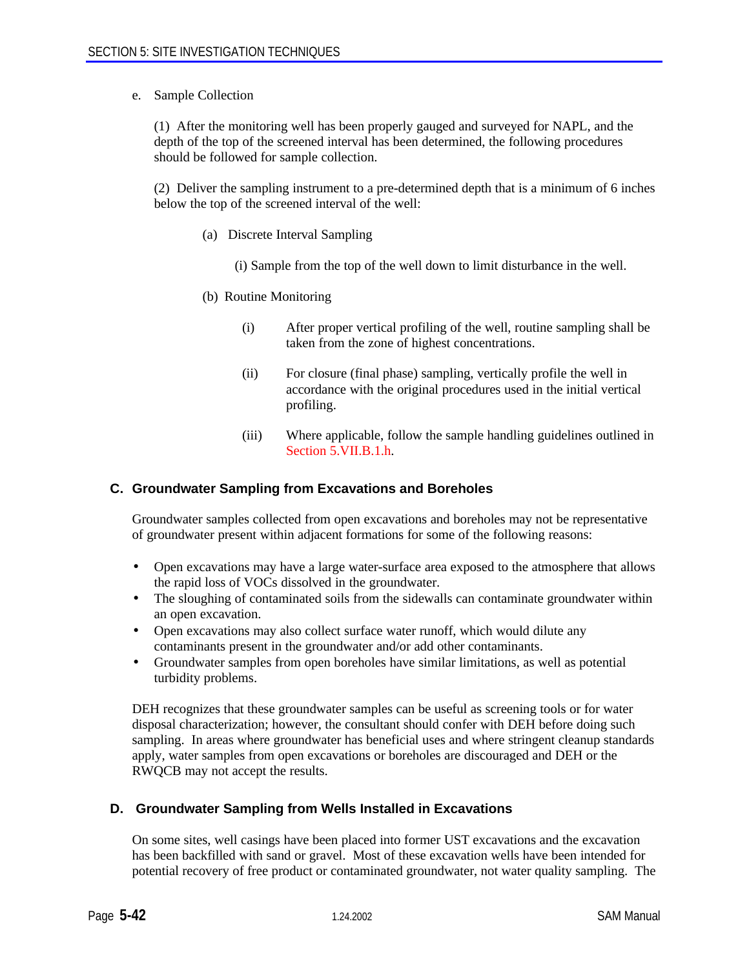e. Sample Collection

(1) After the monitoring well has been properly gauged and surveyed for NAPL, and the depth of the top of the screened interval has been determined, the following procedures should be followed for sample collection.

(2) Deliver the sampling instrument to a pre-determined depth that is a minimum of 6 inches below the top of the screened interval of the well:

- (a) Discrete Interval Sampling
	- (i) Sample from the top of the well down to limit disturbance in the well.
- (b) Routine Monitoring
	- (i) After proper vertical profiling of the well, routine sampling shall be taken from the zone of highest concentrations.
	- (ii) For closure (final phase) sampling, vertically profile the well in accordance with the original procedures used in the initial vertical profiling.
	- (iii) Where applicable, follow the sample handling guidelines outlined in Section 5.VII.B.1.h.

#### **C. Groundwater Sampling from Excavations and Boreholes**

Groundwater samples collected from open excavations and boreholes may not be representative of groundwater present within adjacent formations for some of the following reasons:

- Open excavations may have a large water-surface area exposed to the atmosphere that allows the rapid loss of VOCs dissolved in the groundwater.
- The sloughing of contaminated soils from the sidewalls can contaminate groundwater within an open excavation.
- Open excavations may also collect surface water runoff, which would dilute any contaminants present in the groundwater and/or add other contaminants.
- Groundwater samples from open boreholes have similar limitations, as well as potential turbidity problems.

DEH recognizes that these groundwater samples can be useful as screening tools or for water disposal characterization; however, the consultant should confer with DEH before doing such sampling. In areas where groundwater has beneficial uses and where stringent cleanup standards apply, water samples from open excavations or boreholes are discouraged and DEH or the RWQCB may not accept the results.

#### **D. Groundwater Sampling from Wells Installed in Excavations**

On some sites, well casings have been placed into former UST excavations and the excavation has been backfilled with sand or gravel. Most of these excavation wells have been intended for potential recovery of free product or contaminated groundwater, not water quality sampling. The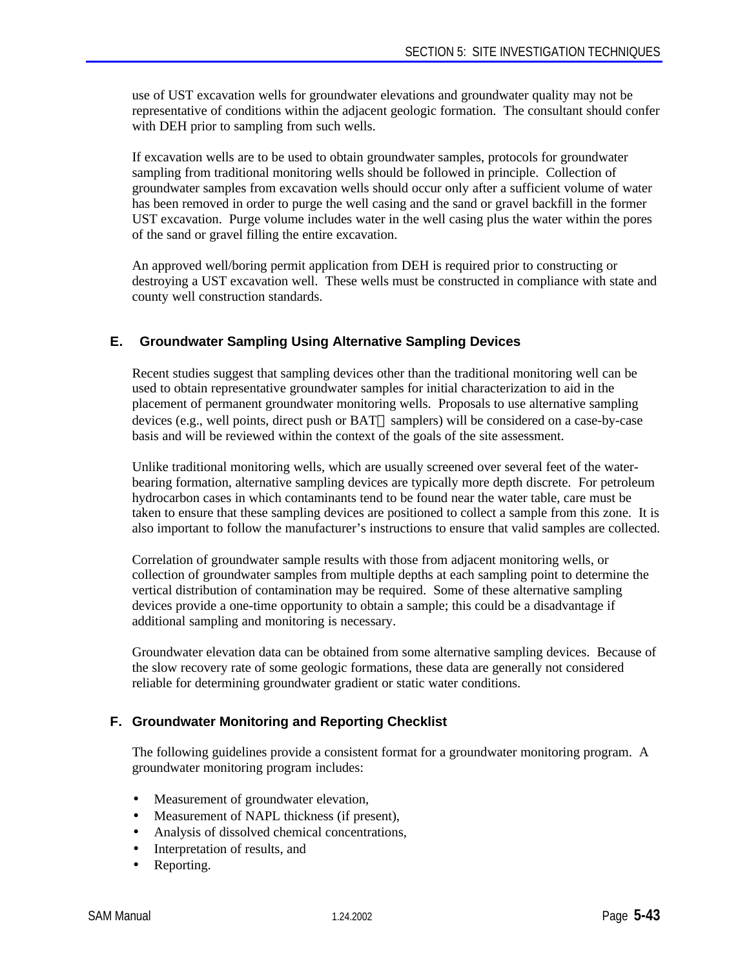use of UST excavation wells for groundwater elevations and groundwater quality may not be representative of conditions within the adjacent geologic formation. The consultant should confer with DEH prior to sampling from such wells.

If excavation wells are to be used to obtain groundwater samples, protocols for groundwater sampling from traditional monitoring wells should be followed in principle. Collection of groundwater samples from excavation wells should occur only after a sufficient volume of water has been removed in order to purge the well casing and the sand or gravel backfill in the former UST excavation. Purge volume includes water in the well casing plus the water within the pores of the sand or gravel filling the entire excavation.

An approved well/boring permit application from DEH is required prior to constructing or destroying a UST excavation well. These wells must be constructed in compliance with state and county well construction standards.

# **E. Groundwater Sampling Using Alternative Sampling Devices**

Recent studies suggest that sampling devices other than the traditional monitoring well can be used to obtain representative groundwater samples for initial characterization to aid in the placement of permanent groundwater monitoring wells. Proposals to use alternative sampling devices (e.g., well points, direct push or BAT $\circledast$  samplers) will be considered on a case-by-case basis and will be reviewed within the context of the goals of the site assessment.

Unlike traditional monitoring wells, which are usually screened over several feet of the waterbearing formation, alternative sampling devices are typically more depth discrete. For petroleum hydrocarbon cases in which contaminants tend to be found near the water table, care must be taken to ensure that these sampling devices are positioned to collect a sample from this zone. It is also important to follow the manufacturer's instructions to ensure that valid samples are collected.

Correlation of groundwater sample results with those from adjacent monitoring wells, or collection of groundwater samples from multiple depths at each sampling point to determine the vertical distribution of contamination may be required. Some of these alternative sampling devices provide a one-time opportunity to obtain a sample; this could be a disadvantage if additional sampling and monitoring is necessary.

Groundwater elevation data can be obtained from some alternative sampling devices. Because of the slow recovery rate of some geologic formations, these data are generally not considered reliable for determining groundwater gradient or static water conditions.

# **F. Groundwater Monitoring and Reporting Checklist**

The following guidelines provide a consistent format for a groundwater monitoring program. A groundwater monitoring program includes:

- Measurement of groundwater elevation,
- Measurement of NAPL thickness (if present),
- Analysis of dissolved chemical concentrations,
- Interpretation of results, and
- Reporting.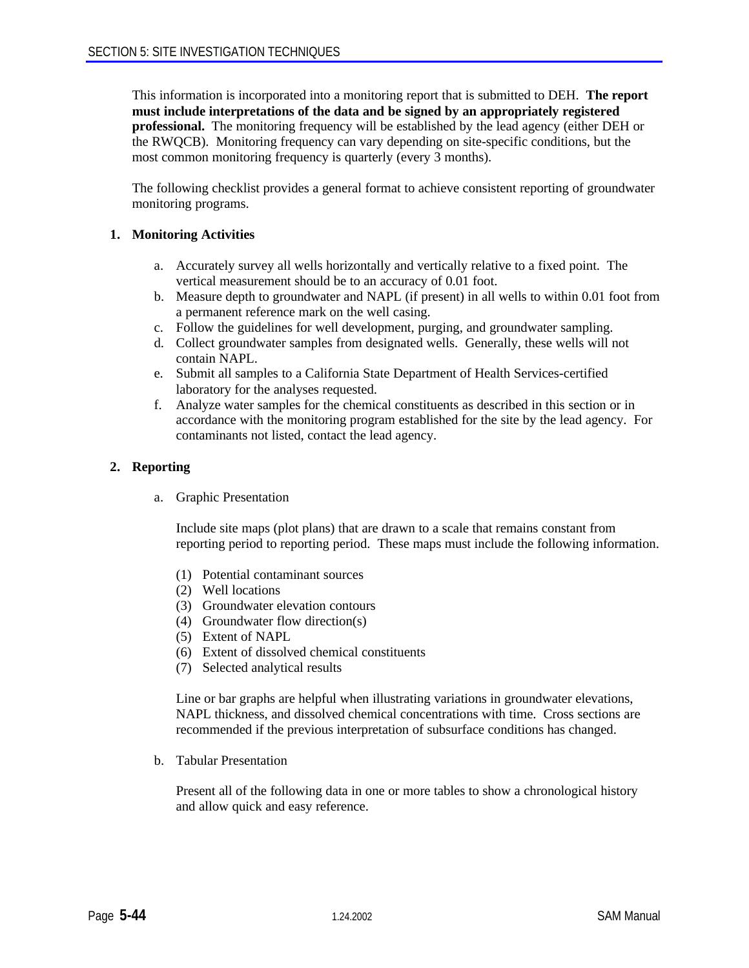This information is incorporated into a monitoring report that is submitted to DEH. **The report must include interpretations of the data and be signed by an appropriately registered professional.** The monitoring frequency will be established by the lead agency (either DEH or the RWQCB). Monitoring frequency can vary depending on site-specific conditions, but the most common monitoring frequency is quarterly (every 3 months).

The following checklist provides a general format to achieve consistent reporting of groundwater monitoring programs.

#### **1. Monitoring Activities**

- a. Accurately survey all wells horizontally and vertically relative to a fixed point. The vertical measurement should be to an accuracy of 0.01 foot.
- b. Measure depth to groundwater and NAPL (if present) in all wells to within 0.01 foot from a permanent reference mark on the well casing.
- c. Follow the guidelines for well development, purging, and groundwater sampling.
- d. Collect groundwater samples from designated wells. Generally, these wells will not contain NAPL.
- e. Submit all samples to a California State Department of Health Services-certified laboratory for the analyses requested.
- f. Analyze water samples for the chemical constituents as described in this section or in accordance with the monitoring program established for the site by the lead agency. For contaminants not listed, contact the lead agency.

#### **2. Reporting**

a. Graphic Presentation

Include site maps (plot plans) that are drawn to a scale that remains constant from reporting period to reporting period. These maps must include the following information.

- (1) Potential contaminant sources
- (2) Well locations
- (3) Groundwater elevation contours
- (4) Groundwater flow direction(s)
- (5) Extent of NAPL
- (6) Extent of dissolved chemical constituents
- (7) Selected analytical results

Line or bar graphs are helpful when illustrating variations in groundwater elevations, NAPL thickness, and dissolved chemical concentrations with time. Cross sections are recommended if the previous interpretation of subsurface conditions has changed.

b. Tabular Presentation

Present all of the following data in one or more tables to show a chronological history and allow quick and easy reference.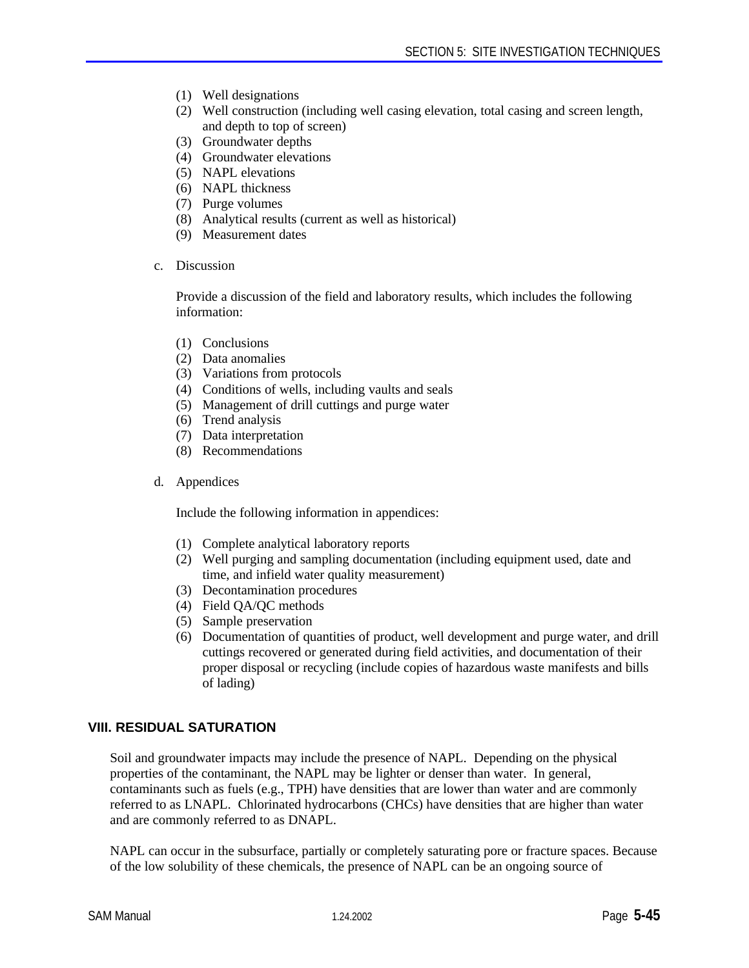- (1) Well designations
- (2) Well construction (including well casing elevation, total casing and screen length, and depth to top of screen)
- (3) Groundwater depths
- (4) Groundwater elevations
- (5) NAPL elevations
- (6) NAPL thickness
- (7) Purge volumes
- (8) Analytical results (current as well as historical)
- (9) Measurement dates
- c. Discussion

Provide a discussion of the field and laboratory results, which includes the following information:

- (1) Conclusions
- (2) Data anomalies
- (3) Variations from protocols
- (4) Conditions of wells, including vaults and seals
- (5) Management of drill cuttings and purge water
- (6) Trend analysis
- (7) Data interpretation
- (8) Recommendations
- d. Appendices

Include the following information in appendices:

- (1) Complete analytical laboratory reports
- (2) Well purging and sampling documentation (including equipment used, date and time, and infield water quality measurement)
- (3) Decontamination procedures
- (4) Field QA/QC methods
- (5) Sample preservation
- (6) Documentation of quantities of product, well development and purge water, and drill cuttings recovered or generated during field activities, and documentation of their proper disposal or recycling (include copies of hazardous waste manifests and bills of lading)

# **VIII. RESIDUAL SATURATION**

Soil and groundwater impacts may include the presence of NAPL. Depending on the physical properties of the contaminant, the NAPL may be lighter or denser than water. In general, contaminants such as fuels (e.g., TPH) have densities that are lower than water and are commonly referred to as LNAPL. Chlorinated hydrocarbons (CHCs) have densities that are higher than water and are commonly referred to as DNAPL.

NAPL can occur in the subsurface, partially or completely saturating pore or fracture spaces. Because of the low solubility of these chemicals, the presence of NAPL can be an ongoing source of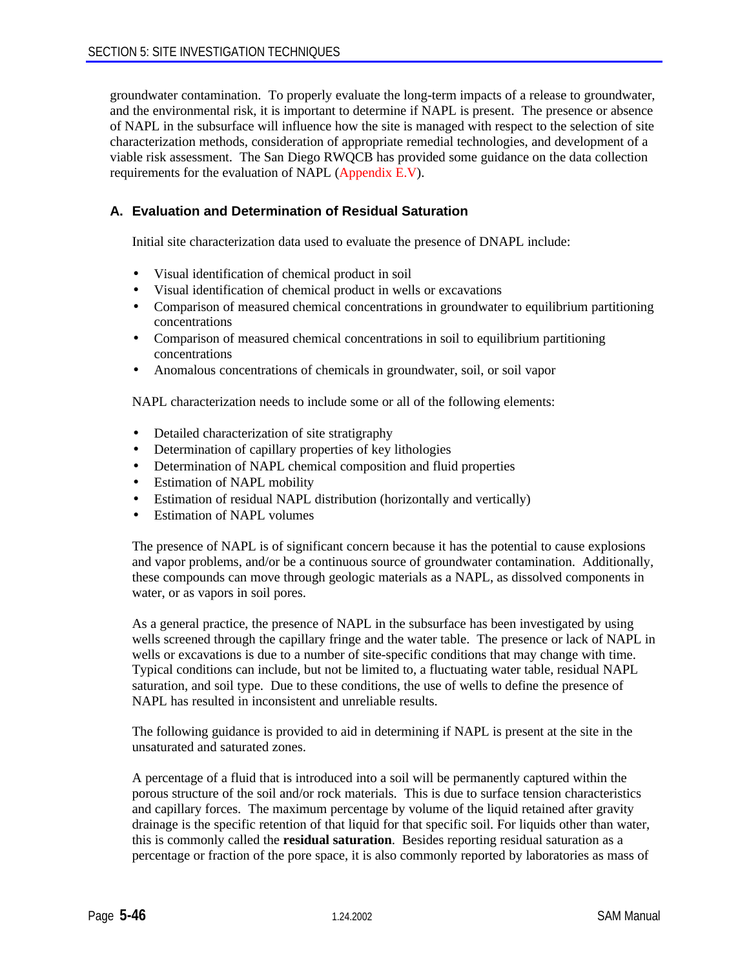groundwater contamination. To properly evaluate the long-term impacts of a release to groundwater, and the environmental risk, it is important to determine if NAPL is present. The presence or absence of NAPL in the subsurface will influence how the site is managed with respect to the selection of site characterization methods, consideration of appropriate remedial technologies, and development of a viable risk assessment. The San Diego RWQCB has provided some guidance on the data collection requirements for the evaluation of NAPL (Appendix E.V).

# **A. Evaluation and Determination of Residual Saturation**

Initial site characterization data used to evaluate the presence of DNAPL include:

- Visual identification of chemical product in soil
- Visual identification of chemical product in wells or excavations
- Comparison of measured chemical concentrations in groundwater to equilibrium partitioning concentrations
- Comparison of measured chemical concentrations in soil to equilibrium partitioning concentrations
- Anomalous concentrations of chemicals in groundwater, soil, or soil vapor

NAPL characterization needs to include some or all of the following elements:

- Detailed characterization of site stratigraphy
- Determination of capillary properties of key lithologies
- Determination of NAPL chemical composition and fluid properties
- Estimation of NAPL mobility
- Estimation of residual NAPL distribution (horizontally and vertically)
- Estimation of NAPL volumes

The presence of NAPL is of significant concern because it has the potential to cause explosions and vapor problems, and/or be a continuous source of groundwater contamination. Additionally, these compounds can move through geologic materials as a NAPL, as dissolved components in water, or as vapors in soil pores.

As a general practice, the presence of NAPL in the subsurface has been investigated by using wells screened through the capillary fringe and the water table. The presence or lack of NAPL in wells or excavations is due to a number of site-specific conditions that may change with time. Typical conditions can include, but not be limited to, a fluctuating water table, residual NAPL saturation, and soil type. Due to these conditions, the use of wells to define the presence of NAPL has resulted in inconsistent and unreliable results.

The following guidance is provided to aid in determining if NAPL is present at the site in the unsaturated and saturated zones.

A percentage of a fluid that is introduced into a soil will be permanently captured within the porous structure of the soil and/or rock materials. This is due to surface tension characteristics and capillary forces. The maximum percentage by volume of the liquid retained after gravity drainage is the specific retention of that liquid for that specific soil. For liquids other than water, this is commonly called the **residual saturation**. Besides reporting residual saturation as a percentage or fraction of the pore space, it is also commonly reported by laboratories as mass of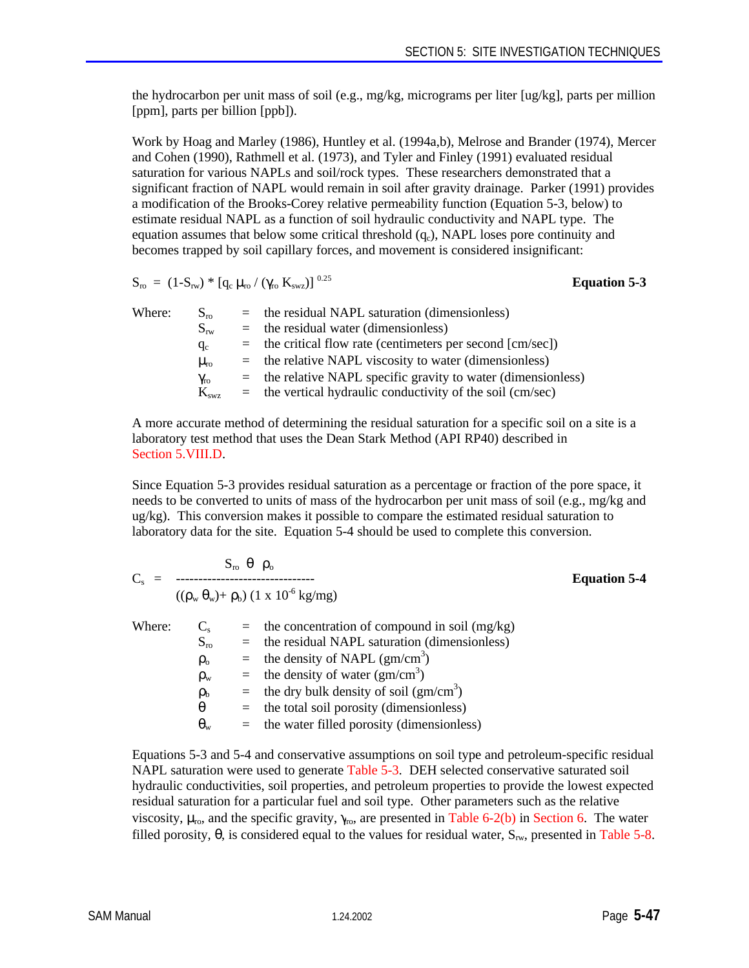the hydrocarbon per unit mass of soil (e.g., mg/kg, micrograms per liter [ug/kg], parts per million [ppm], parts per billion [ppb]).

Work by Hoag and Marley (1986), Huntley et al. (1994a,b), Melrose and Brander (1974), Mercer and Cohen (1990), Rathmell et al. (1973), and Tyler and Finley (1991) evaluated residual saturation for various NAPLs and soil/rock types. These researchers demonstrated that a significant fraction of NAPL would remain in soil after gravity drainage. Parker (1991) provides a modification of the Brooks-Corey relative permeability function (Equation 5-3, below) to estimate residual NAPL as a function of soil hydraulic conductivity and NAPL type. The equation assumes that below some critical threshold  $(q_c)$ , NAPL loses pore continuity and becomes trapped by soil capillary forces, and movement is considered insignificant:

$$
S_{\rm ro} = (1-S_{\rm rw}) * [q_c \mu_{\rm ro} / (\gamma_{\rm ro} K_{\rm swz})]^{0.2}
$$

 $\text{Equation 5-3}$ 

| $S_{\rm ro}$      | $=$ the residual NAPL saturation (dimensionless)                |
|-------------------|-----------------------------------------------------------------|
| $S_{rw}$          | $=$ the residual water (dimensionless)                          |
| $q_c$             | $=$ the critical flow rate (centimeters per second [cm/sec])    |
| $\mu_{\rm ro}$    | $=$ the relative NAPL viscosity to water (dimensionless)        |
| $\gamma_{\rm ro}$ | $=$ the relative NAPL specific gravity to water (dimensionless) |
| $K_{swz}$         | $=$ the vertical hydraulic conductivity of the soil (cm/sec)    |
|                   |                                                                 |

A more accurate method of determining the residual saturation for a specific soil on a site is a laboratory test method that uses the Dean Stark Method (API RP40) described in Section 5.VIII.D.

Since Equation 5-3 provides residual saturation as a percentage or fraction of the pore space, it needs to be converted to units of mass of the hydrocarbon per unit mass of soil (e.g., mg/kg and ug/kg). This conversion makes it possible to compare the estimated residual saturation to laboratory data for the site. Equation 5-4 should be used to complete this conversion.

$$
C_s = \frac{S_{ro} \theta \rho_o}{(\rho_w \theta_w) + \rho_b) (1 \times 10^{-6} \text{ kg/mg})}
$$
  
\nWhere:  
\n
$$
C_s = \text{ the concentration of compound in soil (mg/kg)}
$$
\n
$$
S_{ro} = \text{ the residual NAPL saturation (dimensionless)}
$$
\n
$$
\rho_o = \text{ the density of NAPL (gm/cm}^3)
$$
\n
$$
\rho_w = \text{ the density of water (gm/cm}^3)
$$
\n
$$
\rho_b = \text{ the dry bulk density of soil (gm/cm}^3)
$$
\n
$$
\theta = \text{ the total soil porosity (dimensionless)}
$$
\n
$$
\theta_w = \text{ the water filled porosity (dimensionless)}
$$

Equations 5-3 and 5-4 and conservative assumptions on soil type and petroleum-specific residual NAPL saturation were used to generate Table 5-3. DEH selected conservative saturated soil hydraulic conductivities, soil properties, and petroleum properties to provide the lowest expected residual saturation for a particular fuel and soil type. Other parameters such as the relative viscosity,  $\mu_{\rm ro}$ , and the specific gravity,  $\gamma_{\rm ro}$ , are presented in Table 6-2(b) in Section 6. The water filled porosity,  $\theta$ , is considered equal to the values for residual water,  $S_{rw}$ , presented in Table 5-8.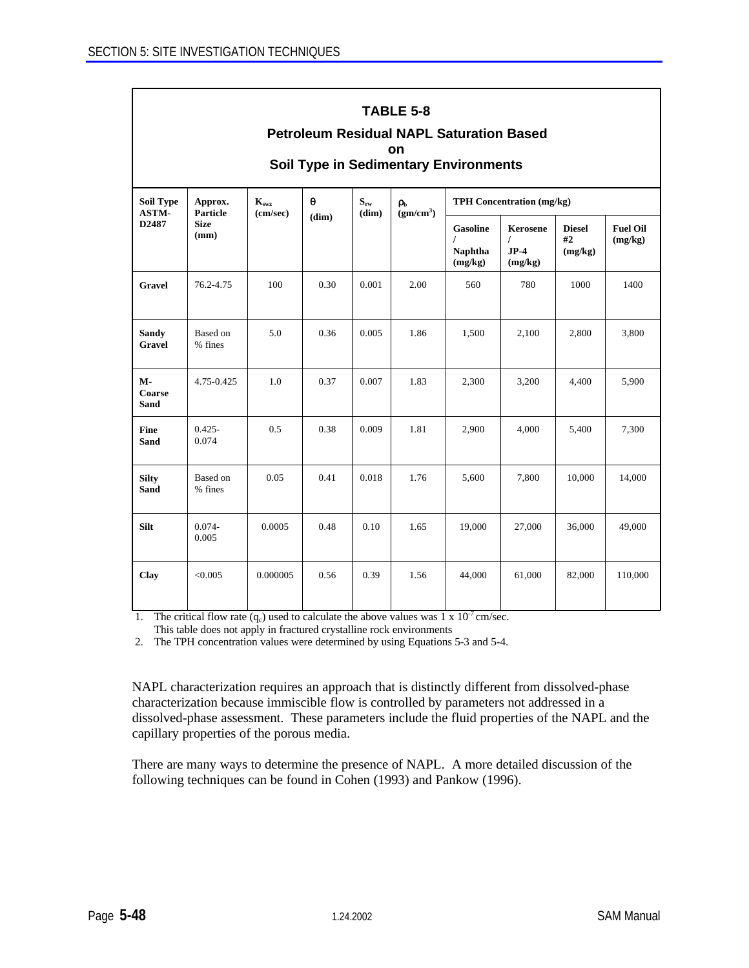| <b>TABLE 5-8</b><br><b>Petroleum Residual NAPL Saturation Based</b><br>on<br><b>Soil Type in Sedimentary Environments</b> |                                 |          |       |       |                       |                                                          |                                           |                                |                            |
|---------------------------------------------------------------------------------------------------------------------------|---------------------------------|----------|-------|-------|-----------------------|----------------------------------------------------------|-------------------------------------------|--------------------------------|----------------------------|
| <b>Soil Type</b><br>Approx.<br>$K_{swz}$<br>$\theta$<br>$S_{rw}$<br><b>TPH Concentration (mg/kg)</b><br>ρь<br>ASTM-       |                                 |          |       |       |                       |                                                          |                                           |                                |                            |
| D2487                                                                                                                     | Particle<br><b>Size</b><br>(mm) | (cm/sec) | (dim) | (dim) | (gm/cm <sup>3</sup> ) | <b>Gasoline</b><br>$\prime$<br><b>Naphtha</b><br>(mg/kg) | Kerosene<br>$\prime$<br>$JP-4$<br>(mg/kg) | <b>Diesel</b><br>#2<br>(mg/kg) | <b>Fuel Oil</b><br>(mg/kg) |
| <b>Gravel</b>                                                                                                             | 76.2-4.75                       | 100      | 0.30  | 0.001 | 2.00                  | 560                                                      | 780                                       | 1000                           | 1400                       |
| <b>Sandy</b><br><b>Gravel</b>                                                                                             | Based on<br>% fines             | 5.0      | 0.36  | 0.005 | 1.86                  | 1,500                                                    | 2,100                                     | 2,800                          | 3,800                      |
| $M -$<br>Coarse<br><b>Sand</b>                                                                                            | 4.75-0.425                      | 1.0      | 0.37  | 0.007 | 1.83                  | 2,300                                                    | 3,200                                     | 4,400                          | 5,900                      |
| Fine<br><b>Sand</b>                                                                                                       | $0.425 -$<br>0.074              | 0.5      | 0.38  | 0.009 | 1.81                  | 2,900                                                    | 4,000                                     | 5,400                          | 7,300                      |
| <b>Silty</b><br><b>Sand</b>                                                                                               | Based on<br>% fines             | 0.05     | 0.41  | 0.018 | 1.76                  | 5,600                                                    | 7,800                                     | 10,000                         | 14,000                     |
| <b>Silt</b>                                                                                                               | $0.074 -$<br>0.005              | 0.0005   | 0.48  | 0.10  | 1.65                  | 19,000                                                   | 27,000                                    | 36,000                         | 49,000                     |
| Clay                                                                                                                      | < 0.005                         | 0.000005 | 0.56  | 0.39  | 1.56                  | 44,000                                                   | 61,000                                    | 82,000                         | 110,000                    |

1. The critical flow rate  $(q_c)$  used to calculate the above values was 1 x  $10^{-7}$  cm/sec. This table does not apply in fractured crystalline rock environments

2. The TPH concentration values were determined by using Equations 5-3 and 5-4.

NAPL characterization requires an approach that is distinctly different from dissolved-phase characterization because immiscible flow is controlled by parameters not addressed in a dissolved-phase assessment. These parameters include the fluid properties of the NAPL and the capillary properties of the porous media.

There are many ways to determine the presence of NAPL. A more detailed discussion of the following techniques can be found in Cohen (1993) and Pankow (1996).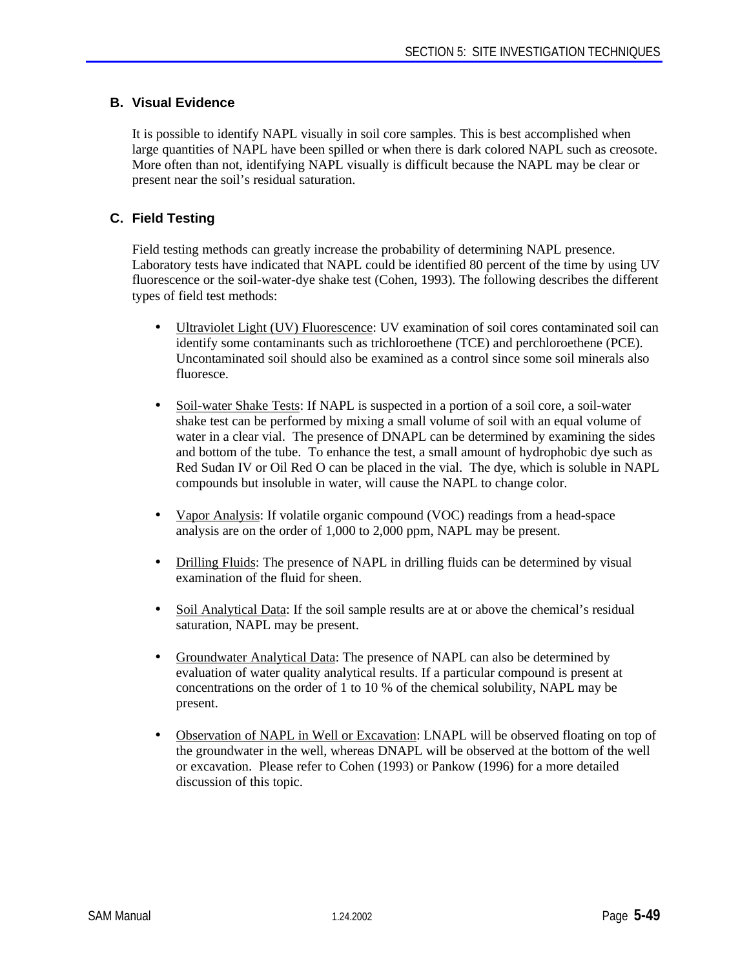# **B. Visual Evidence**

It is possible to identify NAPL visually in soil core samples. This is best accomplished when large quantities of NAPL have been spilled or when there is dark colored NAPL such as creosote. More often than not, identifying NAPL visually is difficult because the NAPL may be clear or present near the soil's residual saturation.

# **C. Field Testing**

Field testing methods can greatly increase the probability of determining NAPL presence. Laboratory tests have indicated that NAPL could be identified 80 percent of the time by using UV fluorescence or the soil-water-dye shake test (Cohen, 1993). The following describes the different types of field test methods:

- Ultraviolet Light (UV) Fluorescence: UV examination of soil cores contaminated soil can identify some contaminants such as trichloroethene (TCE) and perchloroethene (PCE). Uncontaminated soil should also be examined as a control since some soil minerals also fluoresce.
- Soil-water Shake Tests: If NAPL is suspected in a portion of a soil core, a soil-water shake test can be performed by mixing a small volume of soil with an equal volume of water in a clear vial. The presence of DNAPL can be determined by examining the sides and bottom of the tube. To enhance the test, a small amount of hydrophobic dye such as Red Sudan IV or Oil Red O can be placed in the vial. The dye, which is soluble in NAPL compounds but insoluble in water, will cause the NAPL to change color.
- Vapor Analysis: If volatile organic compound (VOC) readings from a head-space analysis are on the order of 1,000 to 2,000 ppm, NAPL may be present.
- Drilling Fluids: The presence of NAPL in drilling fluids can be determined by visual examination of the fluid for sheen.
- Soil Analytical Data: If the soil sample results are at or above the chemical's residual saturation, NAPL may be present.
- Groundwater Analytical Data: The presence of NAPL can also be determined by evaluation of water quality analytical results. If a particular compound is present at concentrations on the order of 1 to 10 % of the chemical solubility, NAPL may be present.
- Observation of NAPL in Well or Excavation: LNAPL will be observed floating on top of the groundwater in the well, whereas DNAPL will be observed at the bottom of the well or excavation. Please refer to Cohen (1993) or Pankow (1996) for a more detailed discussion of this topic.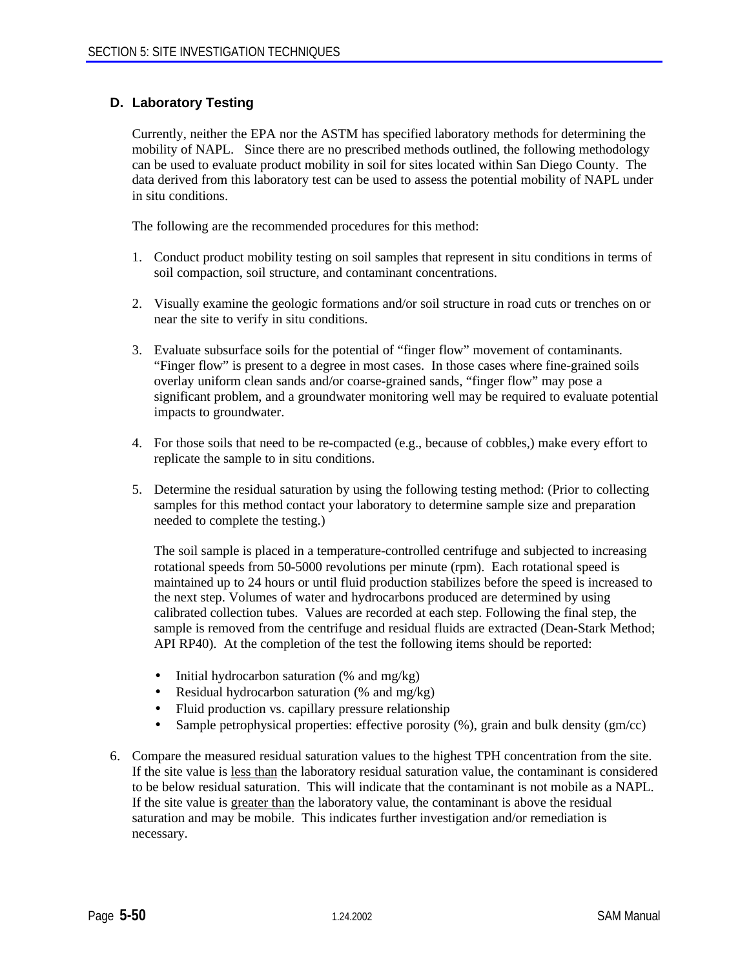# **D. Laboratory Testing**

Currently, neither the EPA nor the ASTM has specified laboratory methods for determining the mobility of NAPL. Since there are no prescribed methods outlined, the following methodology can be used to evaluate product mobility in soil for sites located within San Diego County. The data derived from this laboratory test can be used to assess the potential mobility of NAPL under in situ conditions.

The following are the recommended procedures for this method:

- 1. Conduct product mobility testing on soil samples that represent in situ conditions in terms of soil compaction, soil structure, and contaminant concentrations.
- 2. Visually examine the geologic formations and/or soil structure in road cuts or trenches on or near the site to verify in situ conditions.
- 3. Evaluate subsurface soils for the potential of "finger flow" movement of contaminants. "Finger flow" is present to a degree in most cases. In those cases where fine-grained soils overlay uniform clean sands and/or coarse-grained sands, "finger flow" may pose a significant problem, and a groundwater monitoring well may be required to evaluate potential impacts to groundwater.
- 4. For those soils that need to be re-compacted (e.g., because of cobbles,) make every effort to replicate the sample to in situ conditions.
- 5. Determine the residual saturation by using the following testing method: (Prior to collecting samples for this method contact your laboratory to determine sample size and preparation needed to complete the testing.)

The soil sample is placed in a temperature-controlled centrifuge and subjected to increasing rotational speeds from 50-5000 revolutions per minute (rpm). Each rotational speed is maintained up to 24 hours or until fluid production stabilizes before the speed is increased to the next step. Volumes of water and hydrocarbons produced are determined by using calibrated collection tubes. Values are recorded at each step. Following the final step, the sample is removed from the centrifuge and residual fluids are extracted (Dean-Stark Method; API RP40). At the completion of the test the following items should be reported:

- Initial hydrocarbon saturation (% and mg/kg)
- Residual hydrocarbon saturation (% and mg/kg)
- Fluid production vs. capillary pressure relationship
- Sample petrophysical properties: effective porosity (%), grain and bulk density (gm/cc)
- 6. Compare the measured residual saturation values to the highest TPH concentration from the site. If the site value is less than the laboratory residual saturation value, the contaminant is considered to be below residual saturation. This will indicate that the contaminant is not mobile as a NAPL. If the site value is greater than the laboratory value, the contaminant is above the residual saturation and may be mobile. This indicates further investigation and/or remediation is necessary.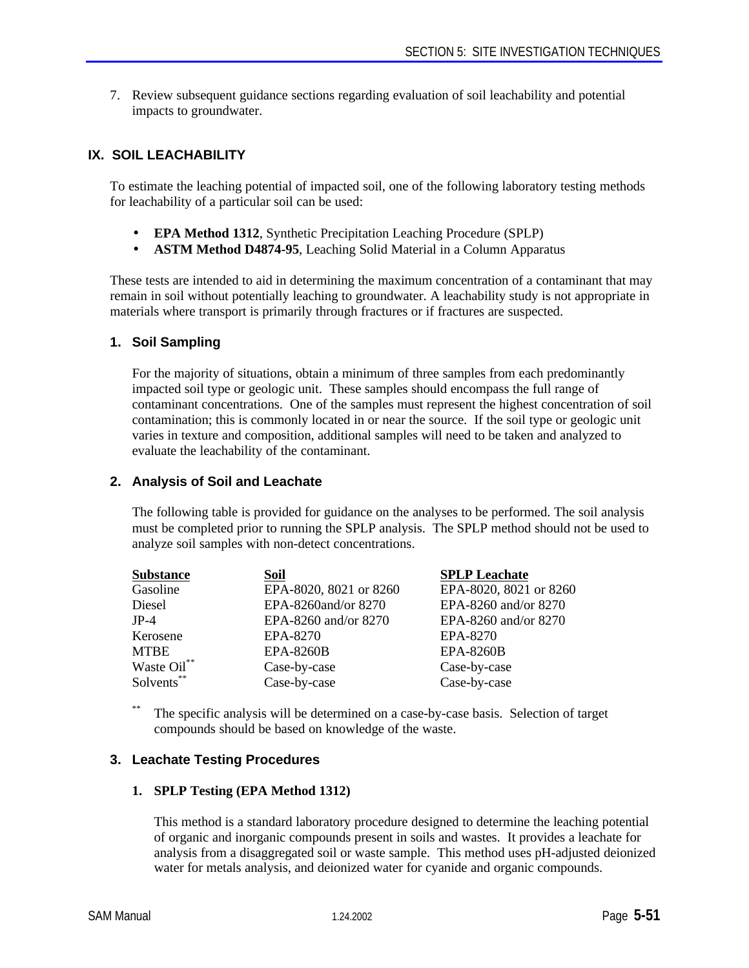7. Review subsequent guidance sections regarding evaluation of soil leachability and potential impacts to groundwater.

# **IX. SOIL LEACHABILITY**

To estimate the leaching potential of impacted soil, one of the following laboratory testing methods for leachability of a particular soil can be used:

- **EPA Method 1312**, Synthetic Precipitation Leaching Procedure (SPLP)
- **ASTM Method D4874-95**, Leaching Solid Material in a Column Apparatus

These tests are intended to aid in determining the maximum concentration of a contaminant that may remain in soil without potentially leaching to groundwater. A leachability study is not appropriate in materials where transport is primarily through fractures or if fractures are suspected.

#### **1. Soil Sampling**

For the majority of situations, obtain a minimum of three samples from each predominantly impacted soil type or geologic unit. These samples should encompass the full range of contaminant concentrations. One of the samples must represent the highest concentration of soil contamination; this is commonly located in or near the source. If the soil type or geologic unit varies in texture and composition, additional samples will need to be taken and analyzed to evaluate the leachability of the contaminant.

#### **2. Analysis of Soil and Leachate**

The following table is provided for guidance on the analyses to be performed. The soil analysis must be completed prior to running the SPLP analysis. The SPLP method should not be used to analyze soil samples with non-detect concentrations.

| <b>Substance</b> | Soil                   | <b>SPLP</b> Leachate   |
|------------------|------------------------|------------------------|
| Gasoline         | EPA-8020, 8021 or 8260 | EPA-8020, 8021 or 8260 |
| Diesel           | EPA-8260and/or 8270    | EPA-8260 and/or 8270   |
| $JP-4$           | EPA-8260 and/or 8270   | EPA-8260 and/or 8270   |
| Kerosene         | EPA-8270               | EPA-8270               |
| <b>MTBE</b>      | <b>EPA-8260B</b>       | <b>EPA-8260B</b>       |
| Waste Oil**      | Case-by-case           | Case-by-case           |
| Solvents**       | Case-by-case           | Case-by-case           |

\*\* The specific analysis will be determined on a case-by-case basis. Selection of target compounds should be based on knowledge of the waste.

# **3. Leachate Testing Procedures**

#### **1. SPLP Testing (EPA Method 1312)**

This method is a standard laboratory procedure designed to determine the leaching potential of organic and inorganic compounds present in soils and wastes. It provides a leachate for analysis from a disaggregated soil or waste sample. This method uses pH-adjusted deionized water for metals analysis, and deionized water for cyanide and organic compounds.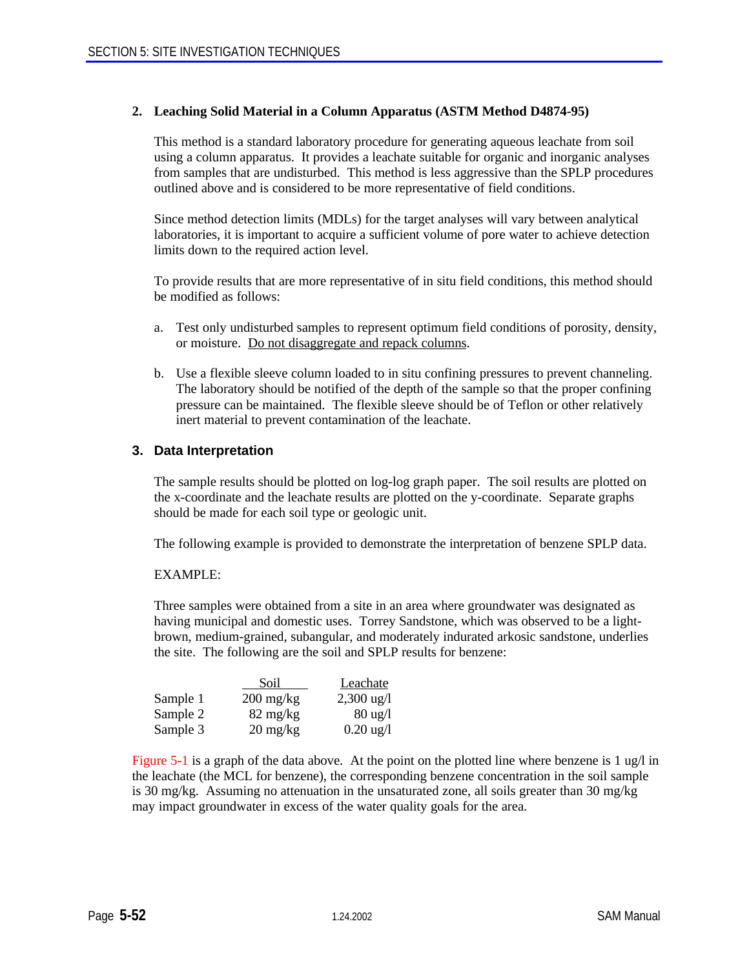#### **2. Leaching Solid Material in a Column Apparatus (ASTM Method D4874-95)**

This method is a standard laboratory procedure for generating aqueous leachate from soil using a column apparatus. It provides a leachate suitable for organic and inorganic analyses from samples that are undisturbed. This method is less aggressive than the SPLP procedures outlined above and is considered to be more representative of field conditions.

Since method detection limits (MDLs) for the target analyses will vary between analytical laboratories, it is important to acquire a sufficient volume of pore water to achieve detection limits down to the required action level.

To provide results that are more representative of in situ field conditions, this method should be modified as follows:

- a. Test only undisturbed samples to represent optimum field conditions of porosity, density, or moisture. Do not disaggregate and repack columns.
- b. Use a flexible sleeve column loaded to in situ confining pressures to prevent channeling. The laboratory should be notified of the depth of the sample so that the proper confining pressure can be maintained. The flexible sleeve should be of Teflon or other relatively inert material to prevent contamination of the leachate.

# **3. Data Interpretation**

The sample results should be plotted on log-log graph paper. The soil results are plotted on the x-coordinate and the leachate results are plotted on the y-coordinate. Separate graphs should be made for each soil type or geologic unit.

The following example is provided to demonstrate the interpretation of benzene SPLP data.

#### EXAMPLE:

Three samples were obtained from a site in an area where groundwater was designated as having municipal and domestic uses. Torrey Sandstone, which was observed to be a lightbrown, medium-grained, subangular, and moderately indurated arkosic sandstone, underlies the site. The following are the soil and SPLP results for benzene:

|          | Soil                              | Leachate             |
|----------|-----------------------------------|----------------------|
| Sample 1 | $200 \frac{\text{mg}}{\text{kg}}$ | $2,300 \text{ ug}/l$ |
| Sample 2 | $82 \text{ mg/kg}$                | $80 \text{ ug}/l$    |
| Sample 3 | $20 \frac{\text{mg}}{\text{kg}}$  | $0.20 \text{ ug}/1$  |

Figure 5-1 is a graph of the data above. At the point on the plotted line where benzene is 1 ug/l in the leachate (the MCL for benzene), the corresponding benzene concentration in the soil sample is 30 mg/kg. Assuming no attenuation in the unsaturated zone, all soils greater than 30 mg/kg may impact groundwater in excess of the water quality goals for the area.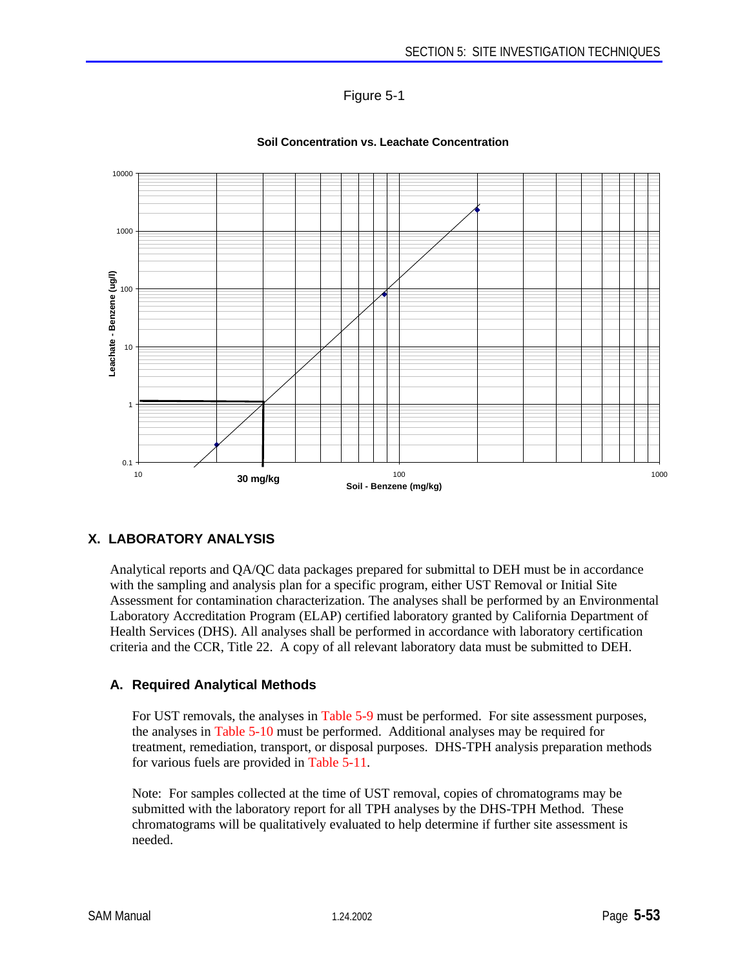



#### **Soil Concentration vs. Leachate Concentration**

# **X. LABORATORY ANALYSIS**

Analytical reports and QA/QC data packages prepared for submittal to DEH must be in accordance with the sampling and analysis plan for a specific program, either UST Removal or Initial Site Assessment for contamination characterization. The analyses shall be performed by an Environmental Laboratory Accreditation Program (ELAP) certified laboratory granted by California Department of Health Services (DHS). All analyses shall be performed in accordance with laboratory certification criteria and the CCR, Title 22. A copy of all relevant laboratory data must be submitted to DEH.

# **A. Required Analytical Methods**

For UST removals, the analyses in Table 5-9 must be performed. For site assessment purposes, the analyses in Table 5-10 must be performed. Additional analyses may be required for treatment, remediation, transport, or disposal purposes. DHS-TPH analysis preparation methods for various fuels are provided in Table 5-11.

Note: For samples collected at the time of UST removal, copies of chromatograms may be submitted with the laboratory report for all TPH analyses by the DHS-TPH Method. These chromatograms will be qualitatively evaluated to help determine if further site assessment is needed.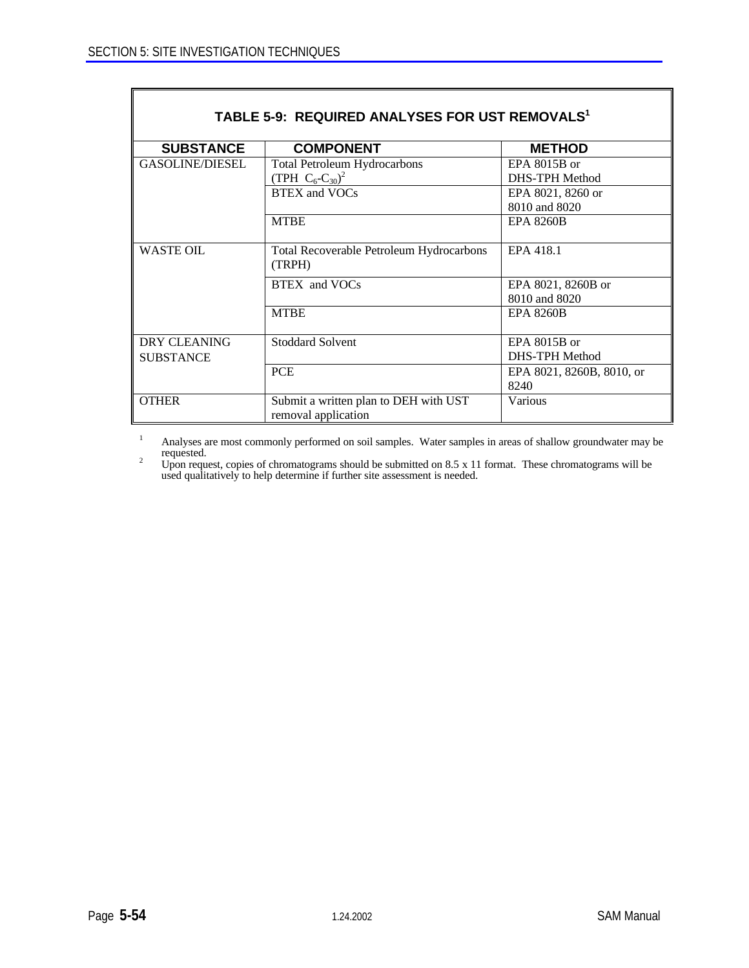| TABLE 5-9: REQUIRED ANALYSES FOR UST REMOVALS <sup>1</sup> |                                                    |                           |  |  |  |  |
|------------------------------------------------------------|----------------------------------------------------|---------------------------|--|--|--|--|
| <b>SUBSTANCE</b>                                           | <b>COMPONENT</b>                                   | <b>METHOD</b>             |  |  |  |  |
| <b>GASOLINE/DIESEL</b>                                     | <b>Total Petroleum Hydrocarbons</b>                | EPA $8015B$ or            |  |  |  |  |
|                                                            | (TPH $C_6$ -C <sub>30</sub> ) <sup>2</sup>         | <b>DHS-TPH Method</b>     |  |  |  |  |
|                                                            | <b>BTEX</b> and VOCs                               | EPA 8021, 8260 or         |  |  |  |  |
|                                                            |                                                    | 8010 and 8020             |  |  |  |  |
|                                                            | <b>MTBE</b>                                        | <b>EPA 8260B</b>          |  |  |  |  |
| <b>WASTE OIL</b>                                           | Total Recoverable Petroleum Hydrocarbons<br>(TRPH) | EPA 418.1                 |  |  |  |  |
|                                                            | BTEX and VOCs                                      | EPA 8021, 8260B or        |  |  |  |  |
|                                                            |                                                    | 8010 and 8020             |  |  |  |  |
|                                                            | <b>MTBE</b>                                        | <b>EPA 8260B</b>          |  |  |  |  |
| DRY CLEANING                                               | <b>Stoddard Solvent</b>                            | EPA 8015B or              |  |  |  |  |
| <b>SUBSTANCE</b>                                           |                                                    | DHS-TPH Method            |  |  |  |  |
|                                                            | <b>PCE</b>                                         | EPA 8021, 8260B, 8010, or |  |  |  |  |
|                                                            |                                                    | 8240                      |  |  |  |  |
| <b>OTHER</b>                                               | Submit a written plan to DEH with UST              | Various                   |  |  |  |  |
|                                                            | removal application                                |                           |  |  |  |  |

<sup>1</sup> Analyses are most commonly performed on soil samples. Water samples in areas of shallow groundwater may be requested.

<sup>2</sup> Upon request, copies of chromatograms should be submitted on 8.5 x 11 format. These chromatograms will be used qualitatively to help determine if further site assessment is needed.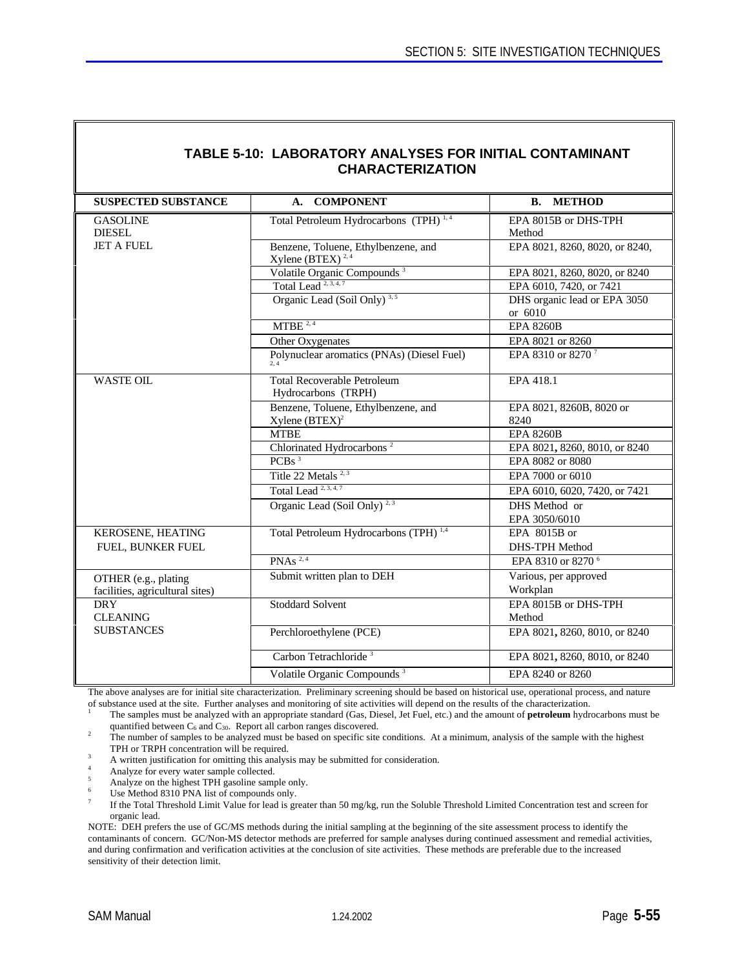| <b>TABLE 5-10: LABORATORY ANALYSES FOR INITIAL CONTAMINANT</b><br><b>CHARACTERIZATION</b> |                                                                     |                                         |  |  |  |
|-------------------------------------------------------------------------------------------|---------------------------------------------------------------------|-----------------------------------------|--|--|--|
| <b>SUSPECTED SUBSTANCE</b>                                                                | <b>COMPONENT</b><br>$A_{\cdot}$                                     | <b>METHOD</b><br>В.                     |  |  |  |
| <b>GASOLINE</b><br><b>DIESEL</b>                                                          | Total Petroleum Hydrocarbons (TPH) <sup>1,4</sup>                   | EPA 8015B or DHS-TPH<br>Method          |  |  |  |
| <b>JET A FUEL</b>                                                                         | Benzene, Toluene, Ethylbenzene, and<br>Xylene (BTEX) <sup>2,4</sup> | EPA 8021, 8260, 8020, or 8240,          |  |  |  |
|                                                                                           | Volatile Organic Compounds <sup>3</sup>                             | EPA 8021, 8260, 8020, or 8240           |  |  |  |
|                                                                                           | Total Lead <sup><math>2,3,4,7</math></sup>                          | EPA 6010, 7420, or 7421                 |  |  |  |
|                                                                                           | Organic Lead (Soil Only) <sup>3,5</sup>                             | DHS organic lead or EPA 3050<br>or 6010 |  |  |  |
|                                                                                           | MTBE <sup>2,4</sup>                                                 | <b>EPA 8260B</b>                        |  |  |  |
|                                                                                           | Other Oxygenates                                                    | EPA 8021 or 8260                        |  |  |  |
|                                                                                           | Polynuclear aromatics (PNAs) (Diesel Fuel)                          | EPA 8310 or 8270 <sup>7</sup>           |  |  |  |
| <b>WASTE OIL</b>                                                                          | <b>Total Recoverable Petroleum</b><br>Hydrocarbons (TRPH)           | EPA 418.1                               |  |  |  |
|                                                                                           | Benzene, Toluene, Ethylbenzene, and<br>Xylene $(BTEX)^2$            | EPA 8021, 8260B, 8020 or<br>8240        |  |  |  |
|                                                                                           | <b>MTBE</b>                                                         | <b>EPA 8260B</b>                        |  |  |  |
|                                                                                           | Chlorinated Hydrocarbons <sup>2</sup>                               | EPA 8021, 8260, 8010, or 8240           |  |  |  |
|                                                                                           | PCBs <sup>3</sup>                                                   | EPA 8082 or 8080                        |  |  |  |
|                                                                                           | Title 22 Metals <sup>2,3</sup>                                      | EPA 7000 or 6010                        |  |  |  |
|                                                                                           | Total Lead <sup>2, 3, 4, 7</sup>                                    | EPA 6010, 6020, 7420, or 7421           |  |  |  |
|                                                                                           | Organic Lead (Soil Only) <sup>2,3</sup>                             | DHS Method or<br>EPA 3050/6010          |  |  |  |
| KEROSENE, HEATING<br>FUEL, BUNKER FUEL                                                    | Total Petroleum Hydrocarbons (TPH) <sup>1,4</sup>                   | EPA 8015B or<br>DHS-TPH Method          |  |  |  |
|                                                                                           | PNAs $^{2,4}$                                                       | EPA 8310 or 8270 <sup>6</sup>           |  |  |  |
| OTHER (e.g., plating<br>facilities, agricultural sites)                                   | Submit written plan to DEH                                          | Various, per approved<br>Workplan       |  |  |  |
| <b>DRY</b><br><b>CLEANING</b>                                                             | <b>Stoddard Solvent</b>                                             | EPA 8015B or DHS-TPH<br>Method          |  |  |  |
| <b>SUBSTANCES</b>                                                                         | Perchloroethylene (PCE)                                             | EPA 8021, 8260, 8010, or 8240           |  |  |  |
|                                                                                           | Carbon Tetrachloride <sup>3</sup>                                   | EPA 8021, 8260, 8010, or 8240           |  |  |  |
|                                                                                           | Volatile Organic Compounds <sup>3</sup>                             | EPA 8240 or 8260                        |  |  |  |

The above analyses are for initial site characterization. Preliminary screening should be based on historical use, operational process, and nature of substance used at the site. Further analyses and monitoring of site activities will depend on the results of the characterization.

<sup>1</sup> The samples must be analyzed with an appropriate standard (Gas, Diesel, Jet Fuel, etc.) and the amount of **petroleum** hydrocarbons must be quantified between  $C_6$  and  $C_{30}$ . Report all carbon ranges discovered.

<sup>2</sup> The number of samples to be analyzed must be based on specific site conditions. At a minimum, analysis of the sample with the highest TPH or TRPH concentration will be required.

- <sup>3</sup> A written justification for omitting this analysis may be submitted for consideration.
- <sup>4</sup> Analyze for every water sample collected.
- <sup>5</sup> Analyze on the highest TPH gasoline sample only.
- Use Method 8310 PNA list of compounds only.

7 If the Total Threshold Limit Value for lead is greater than 50 mg/kg, run the Soluble Threshold Limited Concentration test and screen for organic lead.

NOTE: DEH prefers the use of GC/MS methods during the initial sampling at the beginning of the site assessment process to identify the contaminants of concern. GC/Non-MS detector methods are preferred for sample analyses during continued assessment and remedial activities, and during confirmation and verification activities at the conclusion of site activities. These methods are preferable due to the increased sensitivity of their detection limit.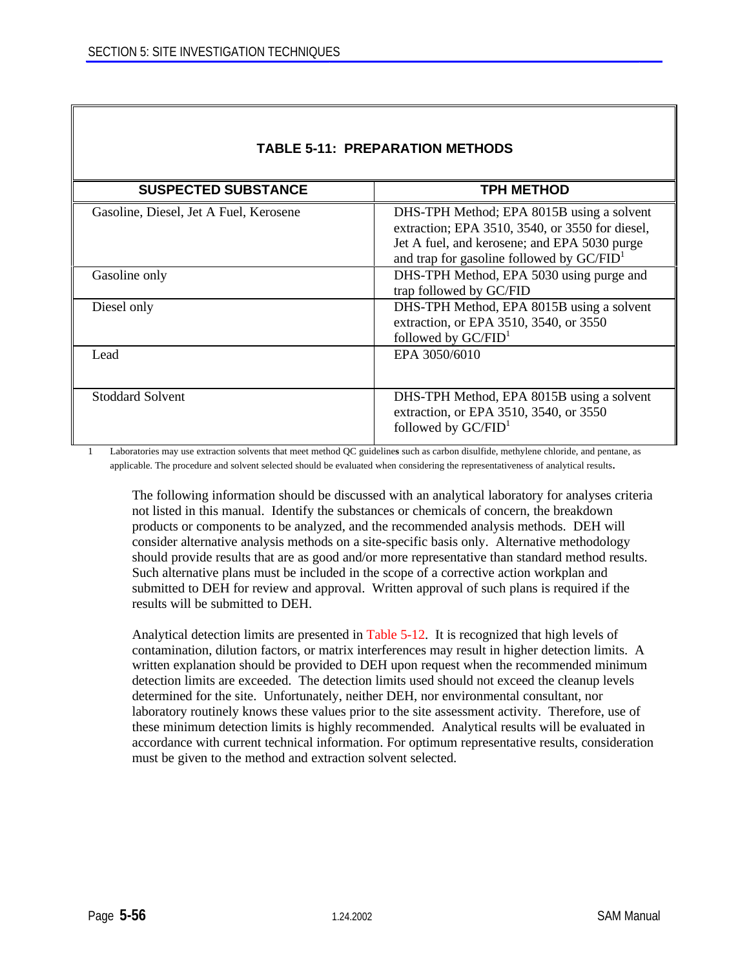| IABLE 5-11: PREPARATION METHODS        |                                                                                                                                                                                                       |  |  |  |
|----------------------------------------|-------------------------------------------------------------------------------------------------------------------------------------------------------------------------------------------------------|--|--|--|
| <b>SUSPECTED SUBSTANCE</b>             | <b>TPH METHOD</b>                                                                                                                                                                                     |  |  |  |
| Gasoline, Diesel, Jet A Fuel, Kerosene | DHS-TPH Method; EPA 8015B using a solvent<br>extraction; EPA 3510, 3540, or 3550 for diesel,<br>Jet A fuel, and kerosene; and EPA 5030 purge<br>and trap for gasoline followed by GC/FID <sup>1</sup> |  |  |  |
| Gasoline only                          | DHS-TPH Method, EPA 5030 using purge and<br>trap followed by GC/FID                                                                                                                                   |  |  |  |
| Diesel only                            | DHS-TPH Method, EPA 8015B using a solvent<br>extraction, or EPA 3510, 3540, or 3550<br>followed by $GC/FID1$                                                                                          |  |  |  |
| Lead                                   | EPA 3050/6010                                                                                                                                                                                         |  |  |  |
| <b>Stoddard Solvent</b>                | DHS-TPH Method, EPA 8015B using a solvent<br>extraction, or EPA 3510, 3540, or 3550<br>followed by $GC/FID1$                                                                                          |  |  |  |

# **TABLE 5-11: PREPARATION METHODS**

1 Laboratories may use extraction solvents that meet method QC guideline**s** such as carbon disulfide, methylene chloride, and pentane, as applicable. The procedure and solvent selected should be evaluated when considering the representativeness of analytical results.

The following information should be discussed with an analytical laboratory for analyses criteria not listed in this manual. Identify the substances or chemicals of concern, the breakdown products or components to be analyzed, and the recommended analysis methods. DEH will consider alternative analysis methods on a site-specific basis only. Alternative methodology should provide results that are as good and/or more representative than standard method results. Such alternative plans must be included in the scope of a corrective action workplan and submitted to DEH for review and approval. Written approval of such plans is required if the results will be submitted to DEH.

Analytical detection limits are presented in Table 5-12. It is recognized that high levels of contamination, dilution factors, or matrix interferences may result in higher detection limits. A written explanation should be provided to DEH upon request when the recommended minimum detection limits are exceeded. The detection limits used should not exceed the cleanup levels determined for the site. Unfortunately, neither DEH, nor environmental consultant, nor laboratory routinely knows these values prior to the site assessment activity. Therefore, use of these minimum detection limits is highly recommended. Analytical results will be evaluated in accordance with current technical information. For optimum representative results, consideration must be given to the method and extraction solvent selected.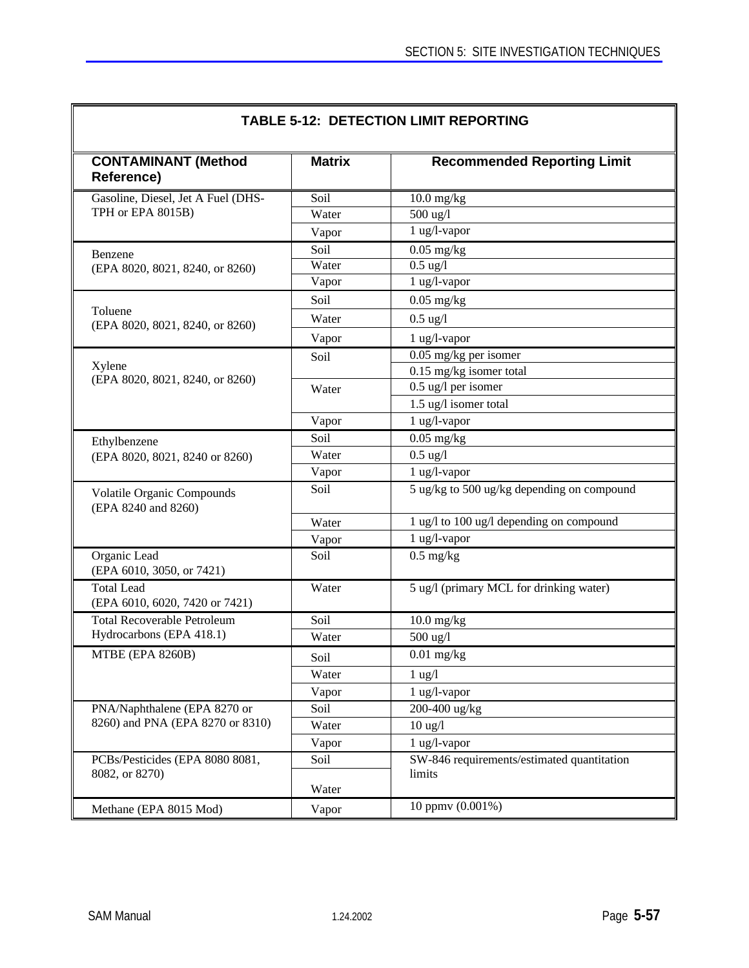| <b>CONTAMINANT (Method</b><br>Reference)            | <b>Matrix</b> | <b>Recommended Reporting Limit</b>                   |
|-----------------------------------------------------|---------------|------------------------------------------------------|
| Gasoline, Diesel, Jet A Fuel (DHS-                  | Soil          | $10.0$ mg/kg                                         |
| TPH or EPA 8015B)                                   | Water         | 500 ug/l                                             |
|                                                     | Vapor         | 1 ug/l-vapor                                         |
| Benzene                                             | Soil          | $0.05$ mg/kg                                         |
| (EPA 8020, 8021, 8240, or 8260)                     | Water         | $0.5$ ug/l                                           |
|                                                     | Vapor         | 1 ug/l-vapor                                         |
|                                                     | Soil          | $0.05$ mg/kg                                         |
| Toluene<br>(EPA 8020, 8021, 8240, or 8260)          | Water         | $0.5$ ug/l                                           |
|                                                     | Vapor         | $1$ ug/l-vapor                                       |
|                                                     | Soil          | $0.05$ mg/kg per isomer                              |
| Xylene                                              |               | 0.15 mg/kg isomer total                              |
| (EPA 8020, 8021, 8240, or 8260)                     | Water         | $0.5$ ug/l per isomer                                |
|                                                     |               | 1.5 ug/l isomer total                                |
|                                                     | Vapor         | 1 ug/l-vapor                                         |
| Ethylbenzene                                        | Soil          | $0.05$ mg/kg                                         |
| (EPA 8020, 8021, 8240 or 8260)                      | Water         | $0.5$ ug/l                                           |
|                                                     | Vapor         | 1 ug/l-vapor                                         |
| Volatile Organic Compounds<br>(EPA 8240 and 8260)   | Soil          | 5 ug/kg to 500 ug/kg depending on compound           |
|                                                     | Water         | 1 ug/l to 100 ug/l depending on compound             |
|                                                     | Vapor         | 1 ug/l-vapor                                         |
| Organic Lead<br>(EPA 6010, 3050, or 7421)           | Soil          | $0.5$ mg/kg                                          |
| <b>Total Lead</b><br>(EPA 6010, 6020, 7420 or 7421) | Water         | 5 ug/l (primary MCL for drinking water)              |
| <b>Total Recoverable Petroleum</b>                  | Soil          | $10.0$ mg/kg                                         |
| Hydrocarbons (EPA 418.1)                            | Water         | 500 ug/l                                             |
| MTBE (EPA 8260B)                                    | Soil          | $\overline{0.01}$ mg/kg                              |
|                                                     | Water         | $1 \text{ ug}/1$                                     |
|                                                     | Vapor         | 1 ug/l-vapor                                         |
| PNA/Naphthalene (EPA 8270 or                        | Soil          | 200-400 ug/kg                                        |
| 8260) and PNA (EPA 8270 or 8310)                    | Water         | $10 \text{ ug}/l$                                    |
|                                                     | Vapor         | 1 ug/l-vapor                                         |
| PCBs/Pesticides (EPA 8080 8081,<br>8082, or 8270)   | Soil          | SW-846 requirements/estimated quantitation<br>limits |
|                                                     | Water         |                                                      |
| Methane (EPA 8015 Mod)                              | Vapor         | 10 ppmv (0.001%)                                     |
|                                                     |               |                                                      |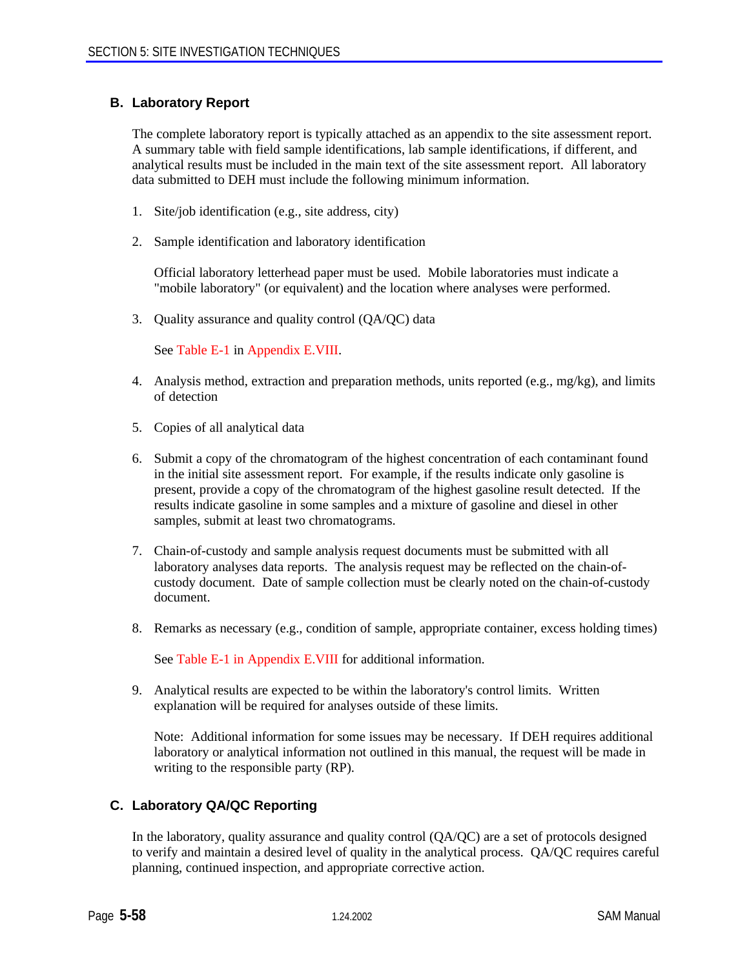# **B. Laboratory Report**

The complete laboratory report is typically attached as an appendix to the site assessment report. A summary table with field sample identifications, lab sample identifications, if different, and analytical results must be included in the main text of the site assessment report. All laboratory data submitted to DEH must include the following minimum information.

- 1. Site/job identification (e.g., site address, city)
- 2. Sample identification and laboratory identification

Official laboratory letterhead paper must be used. Mobile laboratories must indicate a "mobile laboratory" (or equivalent) and the location where analyses were performed.

3. Quality assurance and quality control (QA/QC) data

See Table E-1 in Appendix E.VIII.

- 4. Analysis method, extraction and preparation methods, units reported (e.g., mg/kg), and limits of detection
- 5. Copies of all analytical data
- 6. Submit a copy of the chromatogram of the highest concentration of each contaminant found in the initial site assessment report. For example, if the results indicate only gasoline is present, provide a copy of the chromatogram of the highest gasoline result detected. If the results indicate gasoline in some samples and a mixture of gasoline and diesel in other samples, submit at least two chromatograms.
- 7. Chain-of-custody and sample analysis request documents must be submitted with all laboratory analyses data reports. The analysis request may be reflected on the chain-ofcustody document. Date of sample collection must be clearly noted on the chain-of-custody document.
- 8. Remarks as necessary (e.g., condition of sample, appropriate container, excess holding times)

See Table E-1 in Appendix E.VIII for additional information.

9. Analytical results are expected to be within the laboratory's control limits. Written explanation will be required for analyses outside of these limits.

Note: Additional information for some issues may be necessary. If DEH requires additional laboratory or analytical information not outlined in this manual, the request will be made in writing to the responsible party (RP).

# **C. Laboratory QA/QC Reporting**

In the laboratory, quality assurance and quality control (QA/QC) are a set of protocols designed to verify and maintain a desired level of quality in the analytical process. QA/QC requires careful planning, continued inspection, and appropriate corrective action.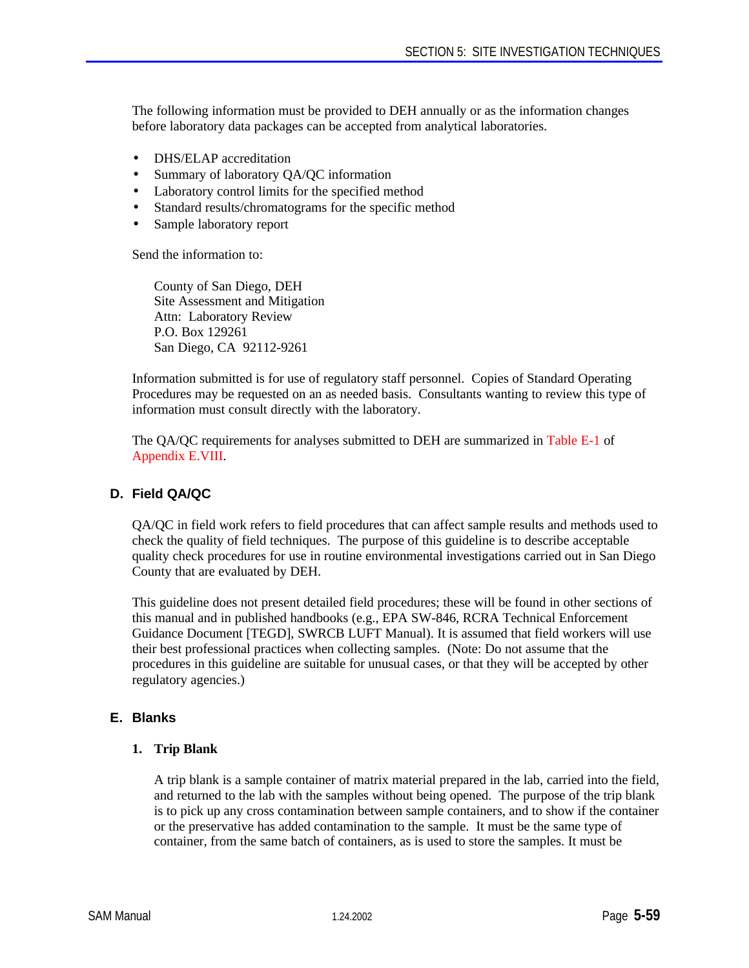The following information must be provided to DEH annually or as the information changes before laboratory data packages can be accepted from analytical laboratories.

- **DHS/ELAP** accreditation
- Summary of laboratory QA/QC information
- Laboratory control limits for the specified method
- Standard results/chromatograms for the specific method
- Sample laboratory report

Send the information to:

County of San Diego, DEH Site Assessment and Mitigation Attn: Laboratory Review P.O. Box 129261 San Diego, CA 92112-9261

Information submitted is for use of regulatory staff personnel. Copies of Standard Operating Procedures may be requested on an as needed basis. Consultants wanting to review this type of information must consult directly with the laboratory.

The QA/QC requirements for analyses submitted to DEH are summarized in Table E-1 of Appendix E.VIII.

# **D. Field QA/QC**

QA/QC in field work refers to field procedures that can affect sample results and methods used to check the quality of field techniques. The purpose of this guideline is to describe acceptable quality check procedures for use in routine environmental investigations carried out in San Diego County that are evaluated by DEH.

This guideline does not present detailed field procedures; these will be found in other sections of this manual and in published handbooks (e.g., EPA SW-846, RCRA Technical Enforcement Guidance Document [TEGD], SWRCB LUFT Manual). It is assumed that field workers will use their best professional practices when collecting samples. (Note: Do not assume that the procedures in this guideline are suitable for unusual cases, or that they will be accepted by other regulatory agencies.)

# **E. Blanks**

#### **1. Trip Blank**

A trip blank is a sample container of matrix material prepared in the lab, carried into the field, and returned to the lab with the samples without being opened. The purpose of the trip blank is to pick up any cross contamination between sample containers, and to show if the container or the preservative has added contamination to the sample. It must be the same type of container, from the same batch of containers, as is used to store the samples. It must be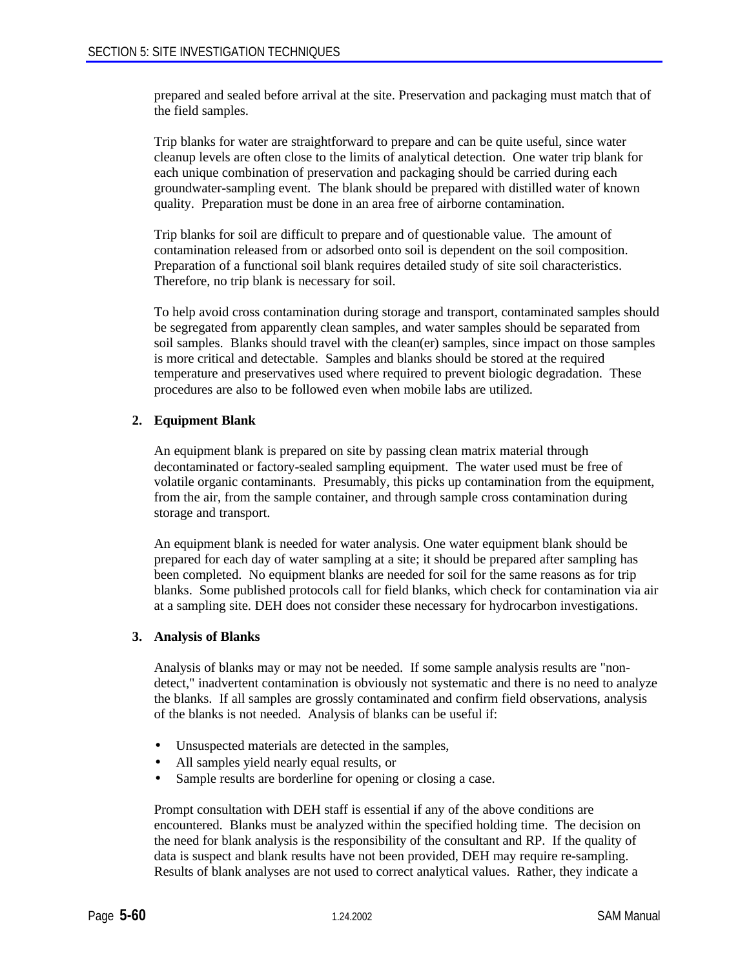prepared and sealed before arrival at the site. Preservation and packaging must match that of the field samples.

Trip blanks for water are straightforward to prepare and can be quite useful, since water cleanup levels are often close to the limits of analytical detection. One water trip blank for each unique combination of preservation and packaging should be carried during each groundwater-sampling event. The blank should be prepared with distilled water of known quality. Preparation must be done in an area free of airborne contamination.

Trip blanks for soil are difficult to prepare and of questionable value. The amount of contamination released from or adsorbed onto soil is dependent on the soil composition. Preparation of a functional soil blank requires detailed study of site soil characteristics. Therefore, no trip blank is necessary for soil.

To help avoid cross contamination during storage and transport, contaminated samples should be segregated from apparently clean samples, and water samples should be separated from soil samples. Blanks should travel with the clean(er) samples, since impact on those samples is more critical and detectable. Samples and blanks should be stored at the required temperature and preservatives used where required to prevent biologic degradation. These procedures are also to be followed even when mobile labs are utilized.

# **2. Equipment Blank**

An equipment blank is prepared on site by passing clean matrix material through decontaminated or factory-sealed sampling equipment. The water used must be free of volatile organic contaminants. Presumably, this picks up contamination from the equipment, from the air, from the sample container, and through sample cross contamination during storage and transport.

An equipment blank is needed for water analysis. One water equipment blank should be prepared for each day of water sampling at a site; it should be prepared after sampling has been completed. No equipment blanks are needed for soil for the same reasons as for trip blanks. Some published protocols call for field blanks, which check for contamination via air at a sampling site. DEH does not consider these necessary for hydrocarbon investigations.

#### **3. Analysis of Blanks**

Analysis of blanks may or may not be needed. If some sample analysis results are "nondetect," inadvertent contamination is obviously not systematic and there is no need to analyze the blanks. If all samples are grossly contaminated and confirm field observations, analysis of the blanks is not needed. Analysis of blanks can be useful if:

- Unsuspected materials are detected in the samples,
- All samples yield nearly equal results, or
- Sample results are borderline for opening or closing a case.

Prompt consultation with DEH staff is essential if any of the above conditions are encountered. Blanks must be analyzed within the specified holding time. The decision on the need for blank analysis is the responsibility of the consultant and RP. If the quality of data is suspect and blank results have not been provided, DEH may require re-sampling. Results of blank analyses are not used to correct analytical values. Rather, they indicate a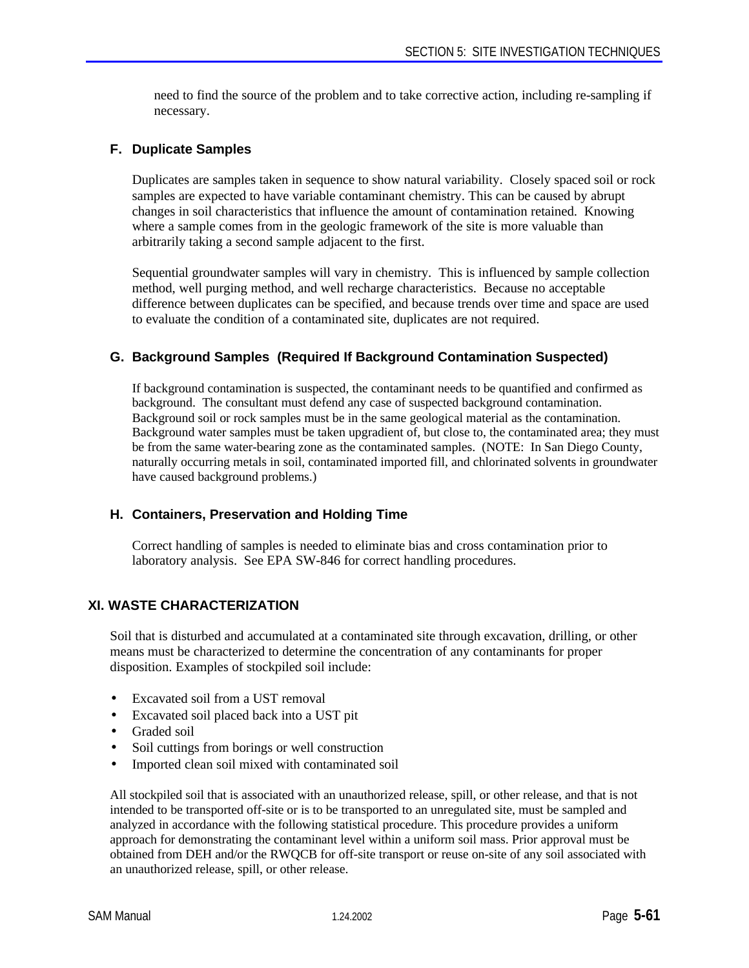need to find the source of the problem and to take corrective action, including re-sampling if necessary.

# **F. Duplicate Samples**

Duplicates are samples taken in sequence to show natural variability. Closely spaced soil or rock samples are expected to have variable contaminant chemistry. This can be caused by abrupt changes in soil characteristics that influence the amount of contamination retained. Knowing where a sample comes from in the geologic framework of the site is more valuable than arbitrarily taking a second sample adjacent to the first.

Sequential groundwater samples will vary in chemistry. This is influenced by sample collection method, well purging method, and well recharge characteristics. Because no acceptable difference between duplicates can be specified, and because trends over time and space are used to evaluate the condition of a contaminated site, duplicates are not required.

# **G. Background Samples (Required If Background Contamination Suspected)**

If background contamination is suspected, the contaminant needs to be quantified and confirmed as background. The consultant must defend any case of suspected background contamination. Background soil or rock samples must be in the same geological material as the contamination. Background water samples must be taken upgradient of, but close to, the contaminated area; they must be from the same water-bearing zone as the contaminated samples. (NOTE: In San Diego County, naturally occurring metals in soil, contaminated imported fill, and chlorinated solvents in groundwater have caused background problems.)

# **H. Containers, Preservation and Holding Time**

Correct handling of samples is needed to eliminate bias and cross contamination prior to laboratory analysis. See EPA SW-846 for correct handling procedures.

# **XI. WASTE CHARACTERIZATION**

Soil that is disturbed and accumulated at a contaminated site through excavation, drilling, or other means must be characterized to determine the concentration of any contaminants for proper disposition. Examples of stockpiled soil include:

- Excavated soil from a UST removal
- Excavated soil placed back into a UST pit
- Graded soil
- Soil cuttings from borings or well construction
- Imported clean soil mixed with contaminated soil

All stockpiled soil that is associated with an unauthorized release, spill, or other release, and that is not intended to be transported off-site or is to be transported to an unregulated site, must be sampled and analyzed in accordance with the following statistical procedure. This procedure provides a uniform approach for demonstrating the contaminant level within a uniform soil mass. Prior approval must be obtained from DEH and/or the RWQCB for off-site transport or reuse on-site of any soil associated with an unauthorized release, spill, or other release.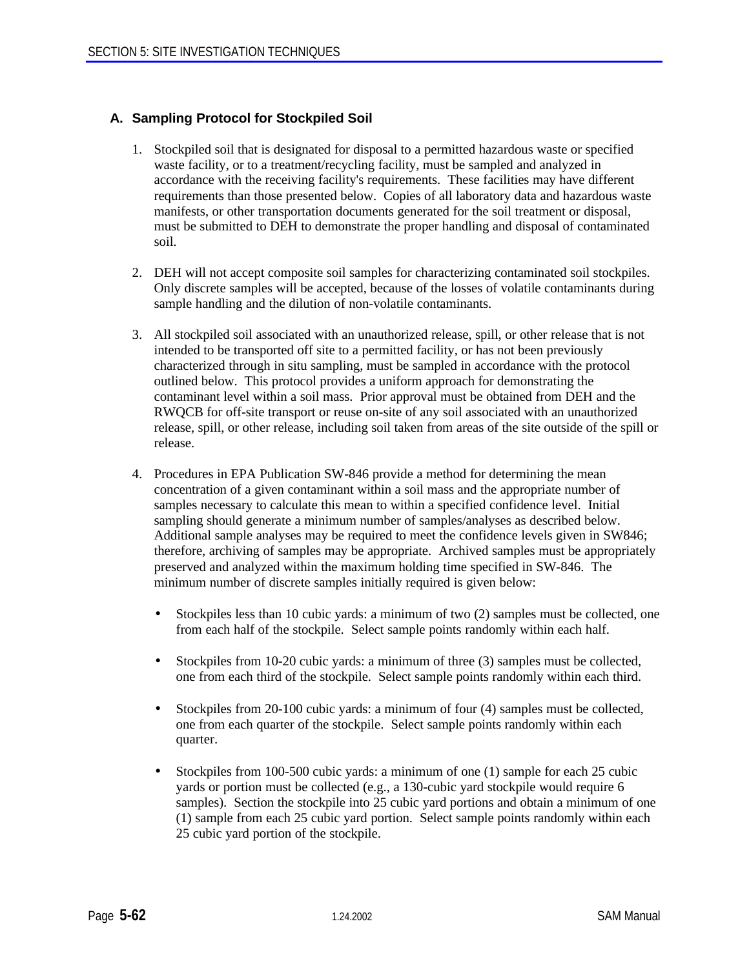# **A. Sampling Protocol for Stockpiled Soil**

- 1. Stockpiled soil that is designated for disposal to a permitted hazardous waste or specified waste facility, or to a treatment/recycling facility, must be sampled and analyzed in accordance with the receiving facility's requirements. These facilities may have different requirements than those presented below. Copies of all laboratory data and hazardous waste manifests, or other transportation documents generated for the soil treatment or disposal, must be submitted to DEH to demonstrate the proper handling and disposal of contaminated soil.
- 2. DEH will not accept composite soil samples for characterizing contaminated soil stockpiles. Only discrete samples will be accepted, because of the losses of volatile contaminants during sample handling and the dilution of non-volatile contaminants.
- 3. All stockpiled soil associated with an unauthorized release, spill, or other release that is not intended to be transported off site to a permitted facility, or has not been previously characterized through in situ sampling, must be sampled in accordance with the protocol outlined below. This protocol provides a uniform approach for demonstrating the contaminant level within a soil mass. Prior approval must be obtained from DEH and the RWQCB for off-site transport or reuse on-site of any soil associated with an unauthorized release, spill, or other release, including soil taken from areas of the site outside of the spill or release.
- 4. Procedures in EPA Publication SW-846 provide a method for determining the mean concentration of a given contaminant within a soil mass and the appropriate number of samples necessary to calculate this mean to within a specified confidence level. Initial sampling should generate a minimum number of samples/analyses as described below. Additional sample analyses may be required to meet the confidence levels given in SW846; therefore, archiving of samples may be appropriate. Archived samples must be appropriately preserved and analyzed within the maximum holding time specified in SW-846. The minimum number of discrete samples initially required is given below:
	- Stockpiles less than 10 cubic yards: a minimum of two (2) samples must be collected, one from each half of the stockpile. Select sample points randomly within each half.
	- Stockpiles from 10-20 cubic yards: a minimum of three (3) samples must be collected, one from each third of the stockpile. Select sample points randomly within each third.
	- Stockpiles from 20-100 cubic yards: a minimum of four (4) samples must be collected, one from each quarter of the stockpile. Select sample points randomly within each quarter.
	- Stockpiles from 100-500 cubic yards: a minimum of one (1) sample for each 25 cubic yards or portion must be collected (e.g., a 130-cubic yard stockpile would require 6 samples). Section the stockpile into 25 cubic yard portions and obtain a minimum of one (1) sample from each 25 cubic yard portion. Select sample points randomly within each 25 cubic yard portion of the stockpile.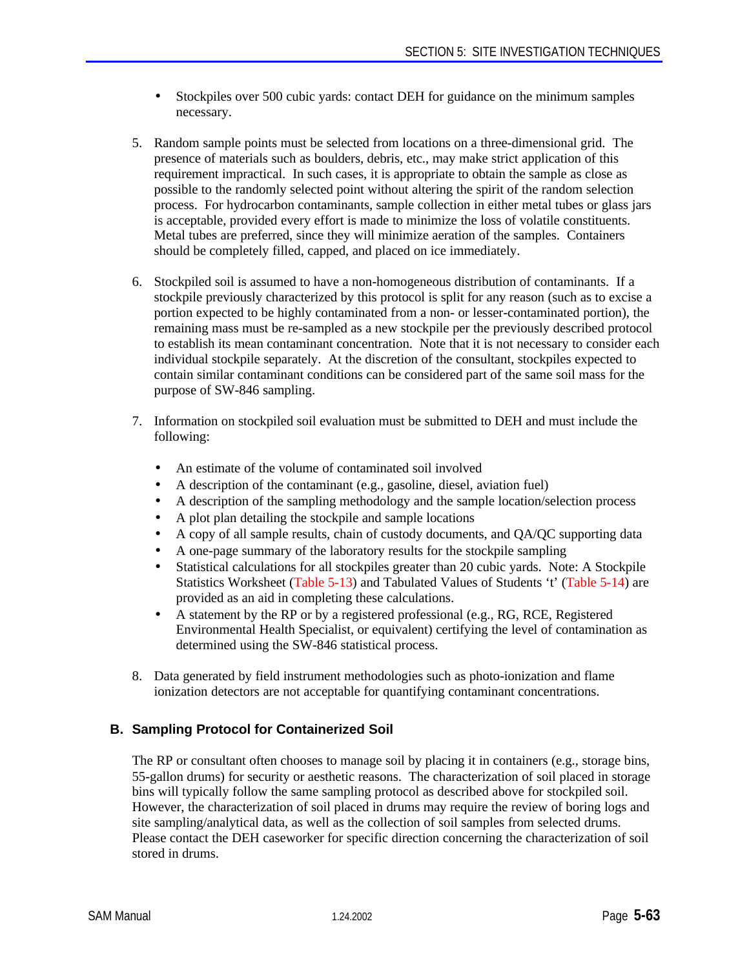- Stockpiles over 500 cubic yards: contact DEH for guidance on the minimum samples necessary.
- 5. Random sample points must be selected from locations on a three-dimensional grid. The presence of materials such as boulders, debris, etc., may make strict application of this requirement impractical. In such cases, it is appropriate to obtain the sample as close as possible to the randomly selected point without altering the spirit of the random selection process. For hydrocarbon contaminants, sample collection in either metal tubes or glass jars is acceptable, provided every effort is made to minimize the loss of volatile constituents. Metal tubes are preferred, since they will minimize aeration of the samples. Containers should be completely filled, capped, and placed on ice immediately.
- 6. Stockpiled soil is assumed to have a non-homogeneous distribution of contaminants. If a stockpile previously characterized by this protocol is split for any reason (such as to excise a portion expected to be highly contaminated from a non- or lesser-contaminated portion), the remaining mass must be re-sampled as a new stockpile per the previously described protocol to establish its mean contaminant concentration. Note that it is not necessary to consider each individual stockpile separately. At the discretion of the consultant, stockpiles expected to contain similar contaminant conditions can be considered part of the same soil mass for the purpose of SW-846 sampling.
- 7. Information on stockpiled soil evaluation must be submitted to DEH and must include the following:
	- An estimate of the volume of contaminated soil involved
	- A description of the contaminant (e.g., gasoline, diesel, aviation fuel)
	- A description of the sampling methodology and the sample location/selection process
	- A plot plan detailing the stockpile and sample locations
	- A copy of all sample results, chain of custody documents, and QA/QC supporting data
	- A one-page summary of the laboratory results for the stockpile sampling
	- Statistical calculations for all stockpiles greater than 20 cubic vards. Note: A Stockpile Statistics Worksheet (Table 5-13) and Tabulated Values of Students 't' (Table 5-14) are provided as an aid in completing these calculations.
	- A statement by the RP or by a registered professional (e.g., RG, RCE, Registered Environmental Health Specialist, or equivalent) certifying the level of contamination as determined using the SW-846 statistical process.
- 8. Data generated by field instrument methodologies such as photo-ionization and flame ionization detectors are not acceptable for quantifying contaminant concentrations.

# **B. Sampling Protocol for Containerized Soil**

The RP or consultant often chooses to manage soil by placing it in containers (e.g., storage bins, 55-gallon drums) for security or aesthetic reasons. The characterization of soil placed in storage bins will typically follow the same sampling protocol as described above for stockpiled soil. However, the characterization of soil placed in drums may require the review of boring logs and site sampling/analytical data, as well as the collection of soil samples from selected drums. Please contact the DEH caseworker for specific direction concerning the characterization of soil stored in drums.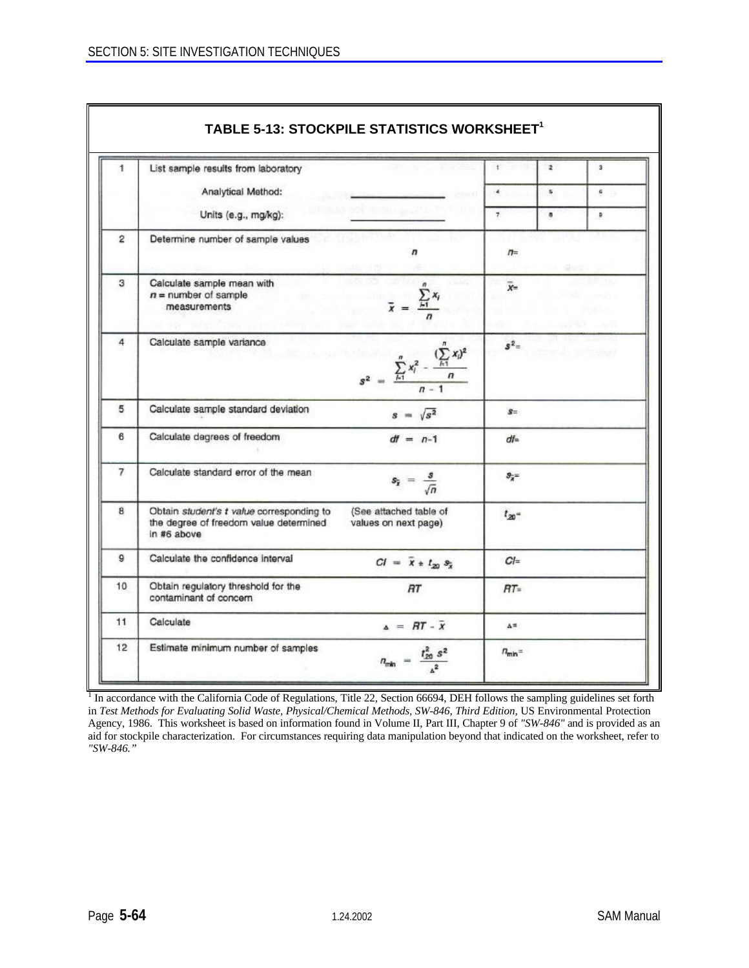| 1  | List sample results from laboratory                                                                |                                                                       | 1              | $\mathbf{z}$   | $\overline{\mathbf{3}}$ |
|----|----------------------------------------------------------------------------------------------------|-----------------------------------------------------------------------|----------------|----------------|-------------------------|
|    | Analytical Method:                                                                                 |                                                                       | $\overline{4}$ | s.             | G                       |
|    | Units (e.g., mg/kg):                                                                               |                                                                       | $\mathbf{7}$   | $\blacksquare$ | $\circ$                 |
| 2  | Determine number of sample values                                                                  | n                                                                     | $\pi$          | 29 C           |                         |
| 3  | Calculate sample mean with<br>$n =$ number of sample<br>measurements                               | $\bar{x} = \frac{\sum_i x_i}{\sum_i x_i}$                             | $\overline{x}$ |                |                         |
| 4  | Calculate sample variance                                                                          | $s^2 = \frac{\sum_{i=1}^n x_i^2 - \frac{(\sum_{i=1}^n x_i)^2}{n}}{n}$ | $s^2 =$        |                |                         |
| 5  | Calculate sample standard deviation                                                                | $s = \sqrt{s^2}$                                                      | $S =$          |                |                         |
| 6  | Calculate degrees of freedom                                                                       | $df = n-1$                                                            | $df =$         |                |                         |
| 7  | Calculate standard error of the mean                                                               | $s_{\overline{x}} = \frac{s}{\sqrt{n}}$                               | $S_{2} =$      |                |                         |
| 8  | Obtain student's t value corresponding to<br>the degree of freedom value determined<br>in #6 above | (See attached table of<br>values on next page)                        | $t_{20}$       |                |                         |
| 9  | Calculate the confidence interval                                                                  | $CI = \bar{x} * t_{20} s_{\bar{x}}$                                   | $Cl =$         |                |                         |
| 10 | Obtain regulatory threshold for the<br>contaminant of concern                                      | RT                                                                    | $RT =$         |                |                         |
| 11 | Calculate                                                                                          | $A = \overline{AT} - \overline{X}$                                    | A=             |                |                         |

<sup>1</sup> In accordance with the California Code of Regulations, Title 22, Section 66694, DEH follows the sampling guidelines set forth in *Test Methods for Evaluating Solid Waste, Physical/Chemical Methods, SW-846, Third Edition,* US Environmental Protection Agency, 1986. This worksheet is based on information found in Volume II, Part III, Chapter 9 of *"SW-846"* and is provided as an aid for stockpile characterization. For circumstances requiring data manipulation beyond that indicated on the worksheet, refer to *"SW-846."*